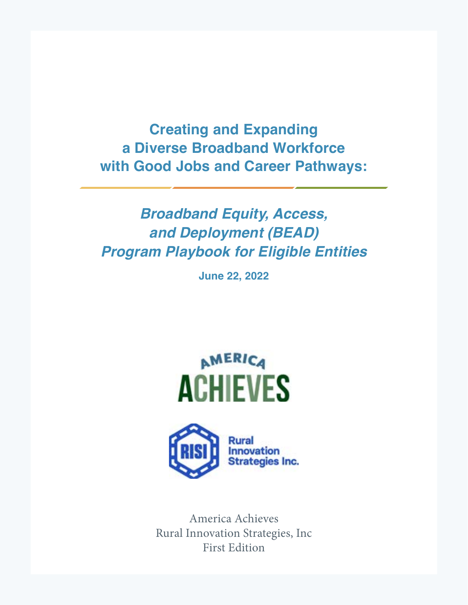**Creating and Expanding a Diverse Broadband Workforce with Good Jobs and Career Pathways:**

# **Broadband Equity, Access, and Deployment (BEAD) Program Playbook for Eligible Entities**

**June 22, 2022**





America Achieves Rural Innovation Strategies, Inc First Edition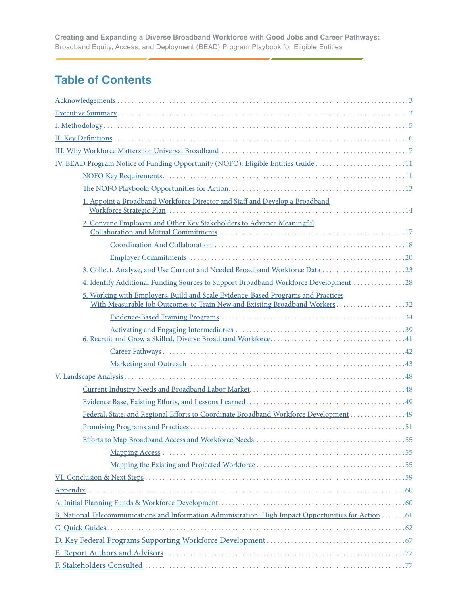# **Table of Contents**

| IV. BEAD Program Notice of Funding Opportunity (NOFO): Eligible Entities Guide 11                                                                              |
|----------------------------------------------------------------------------------------------------------------------------------------------------------------|
|                                                                                                                                                                |
|                                                                                                                                                                |
| 1. Appoint a Broadband Workforce Director and Staff and Develop a Broadband                                                                                    |
| 2. Convene Employers and Other Key Stakeholders to Advance Meaningful                                                                                          |
|                                                                                                                                                                |
|                                                                                                                                                                |
|                                                                                                                                                                |
| 3. Collect, Analyze, and Use Current and Needed Broadband Workforce Data  23                                                                                   |
| 4. Identify Additional Funding Sources to Support Broadband Workforce Development 28                                                                           |
| 5. Working with Employers, Build and Scale Evidence-Based Programs and Practices<br>With Measurable Job Outcomes to Train New and Existing Broadband Workers32 |
|                                                                                                                                                                |
|                                                                                                                                                                |
|                                                                                                                                                                |
|                                                                                                                                                                |
|                                                                                                                                                                |
|                                                                                                                                                                |
|                                                                                                                                                                |
| Federal, State, and Regional Efforts to Coordinate Broadband Workforce Development  49                                                                         |
|                                                                                                                                                                |
|                                                                                                                                                                |
|                                                                                                                                                                |
|                                                                                                                                                                |
|                                                                                                                                                                |
|                                                                                                                                                                |
|                                                                                                                                                                |
| B. National Telecommunications and Information Administration: High Impact Opportunities for Action 61                                                         |
|                                                                                                                                                                |
|                                                                                                                                                                |
|                                                                                                                                                                |
|                                                                                                                                                                |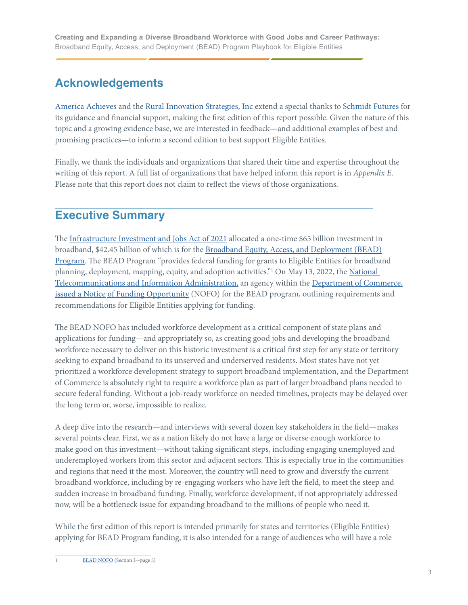# <span id="page-2-0"></span>**Acknowledgements**

[America Achieves](https://americaachieves.org) and the [Rural Innovation Strategies, Inc](https://ruralinnovation.us) extend a special thanks to [Schmidt Futures](https://www.schmidtfutures.com) for its guidance and financial support, making the first edition of this report possible. Given the nature of this topic and a growing evidence base, we are interested in feedback—and additional examples of best and promising practices—to inform a second edition to best support Eligible Entities.

Finally, we thank the individuals and organizations that shared their time and expertise throughout the writing of this report. A full list of organizations that have helped inform this report is in *Appendix E*. Please note that this report does not claim to reflect the views of those organizations.

# **Executive Summary**

The [Infrastructure Investment and Jobs Act of 2021](https://www.whitehouse.gov/briefing-room/statements-releases/2021/11/06/fact-sheet-the-bipartisan-infrastructure-deal/) allocated a one-time \$65 billion investment in broadband, \$42.45 billion of which is for the [Broadband Equity, Access, and Deployment \(BEAD\)](https://broadbandusa.ntia.doc.gov/broadband-equity-access-and-deployment-bead-program) [Program.](https://broadbandusa.ntia.doc.gov/broadband-equity-access-and-deployment-bead-program) The BEAD Program "provides federal funding for grants to Eligible Entities for broadband planning, deployment, mapping, equity, and adoption activities."<sup>1</sup> On May 13, 2022, the National [Telecommunications and Information Administration](https://www.ntia.doc.gov), an agency within the [Department of Commerce](https://www.commerce.gov), issued a Notice [of Funding Opportunity](https://broadbandusa.ntia.doc.gov/sites/default/files/2022-05/BEAD%20NOFO.pdf) (NOFO) for the BEAD program, outlining requirements and recommendations for Eligible Entities applying for funding.

The BEAD NOFO has included workforce development as a critical component of state plans and applications for funding—and appropriately so, as creating good jobs and developing the broadband workforce necessary to deliver on this historic investment is a critical first step for any state or territory seeking to expand broadband to its unserved and underserved residents. Most states have not yet prioritized a workforce development strategy to support broadband implementation, and the Department of Commerce is absolutely right to require a workforce plan as part of larger broadband plans needed to secure federal funding. Without a job-ready workforce on needed timelines, projects may be delayed over the long term or, worse, impossible to realize.

A deep dive into the research—and interviews with several dozen key stakeholders in the field—makes several points clear. First, we as a nation likely do not have a large or diverse enough workforce to make good on this investment—without taking significant steps, including engaging unemployed and underemployed workers from this sector and adjacent sectors. This is especially true in the communities and regions that need it the most. Moreover, the country will need to grow and diversify the current broadband workforce, including by re-engaging workers who have left the field, to meet the steep and sudden increase in broadband funding. Finally, workforce development, if not appropriately addressed now, will be a bottleneck issue for expanding broadband to the millions of people who need it.

While the first edition of this report is intended primarily for states and territories (Eligible Entities) applying for BEAD Program funding, it is also intended for a range of audiences who will have a role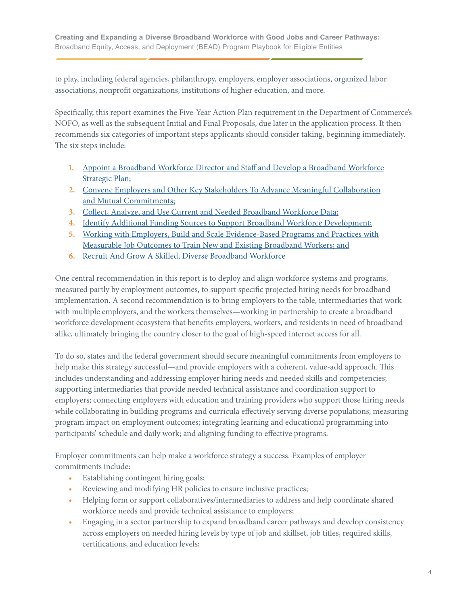to play, including federal agencies, philanthropy, employers, employer associations, organized labor associations, nonprofit organizations, institutions of higher education, and more.

Specifically, this report examines the Five-Year Action Plan requirement in the Department of Commerce's NOFO, as well as the subsequent Initial and Final Proposals, due later in the application process. It then recommends six categories of important steps applicants should consider taking, beginning immediately. The six steps include:

- **1.** [Appoint a Broadband Workforce Director and Staff and Develop a Broadband Workforce](#page-13-0) [Strategic Plan;](#page-13-0)
- **2.** [Convene Employers and Other Key Stakeholders To Advance Meaningful Collaboration](#page-16-0) [and Mutual Commitments;](#page-16-0)
- **3.** [Collect, Analyze, and Use Current and Needed Broadband Workforce Data;](#page-22-0)
- **4.** [Identify Additional Funding Sources to Support Broadband Workforce Development;](#page-27-0)
- **5.** [Working with Employers, Build and Scale Evidence-Based Programs and Practices with](#page-31-0) [Measurable Job Outcomes to Train New and Existing Broadband Workers; and](#page-31-0)
- **6.** [Recruit And Grow A Skilled, Diverse Broadband Workforce](#page-40-0)

One central recommendation in this report is to deploy and align workforce systems and programs, measured partly by employment outcomes, to support specific projected hiring needs for broadband implementation. A second recommendation is to bring employers to the table, intermediaries that work with multiple employers, and the workers themselves—working in partnership to create a broadband workforce development ecosystem that benefits employers, workers, and residents in need of broadband alike, ultimately bringing the country closer to the goal of high-speed internet access for all.

To do so, states and the federal government should secure meaningful commitments from employers to help make this strategy successful—and provide employers with a coherent, value-add approach. This includes understanding and addressing employer hiring needs and needed skills and competencies; supporting intermediaries that provide needed technical assistance and coordination support to employers; connecting employers with education and training providers who support those hiring needs while collaborating in building programs and curricula effectively serving diverse populations; measuring program impact on employment outcomes; integrating learning and educational programming into participants' schedule and daily work; and aligning funding to effective programs.

Employer commitments can help make a workforce strategy a success. Examples of employer commitments include:

- **•** Establishing contingent hiring goals;
- **•** Reviewing and modifying HR policies to ensure inclusive practices;
- **•** Helping form or support collaboratives/intermediaries to address and help coordinate shared workforce needs and provide technical assistance to employers;
- **•** Engaging in a sector partnership to expand broadband career pathways and develop consistency across employers on needed hiring levels by type of job and skillset, job titles, required skills, certifications, and education levels;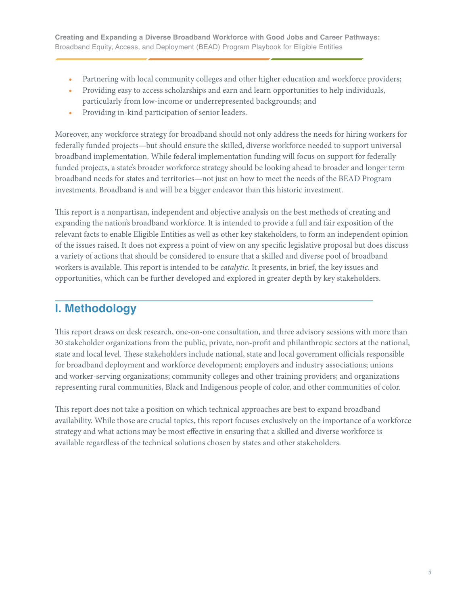- <span id="page-4-0"></span>Partnering with local community colleges and other higher education and workforce providers;
- **•** Providing easy to access scholarships and earn and learn opportunities to help individuals, particularly from low-income or underrepresented backgrounds; and
- **•** Providing in-kind participation of senior leaders.

Moreover, any workforce strategy for broadband should not only address the needs for hiring workers for federally funded projects—but should ensure the skilled, diverse workforce needed to support universal broadband implementation. While federal implementation funding will focus on support for federally funded projects, a state's broader workforce strategy should be looking ahead to broader and longer term broadband needs for states and territories—not just on how to meet the needs of the BEAD Program investments. Broadband is and will be a bigger endeavor than this historic investment.

This report is a nonpartisan, independent and objective analysis on the best methods of creating and expanding the nation's broadband workforce. It is intended to provide a full and fair exposition of the relevant facts to enable Eligible Entities as well as other key stakeholders, to form an independent opinion of the issues raised. It does not express a point of view on any specific legislative proposal but does discuss a variety of actions that should be considered to ensure that a skilled and diverse pool of broadband workers is available. This report is intended to be *catalytic*. It presents, in brief, the key issues and opportunities, which can be further developed and explored in greater depth by key stakeholders.

# **I. Methodology**

This report draws on desk research, one-on-one consultation, and three advisory sessions with more than 30 stakeholder organizations from the public, private, non-profit and philanthropic sectors at the national, state and local level. These stakeholders include national, state and local government officials responsible for broadband deployment and workforce development; employers and industry associations; unions and worker-serving organizations; community colleges and other training providers; and organizations representing rural communities, Black and Indigenous people of color, and other communities of color.

This report does not take a position on which technical approaches are best to expand broadband availability. While those are crucial topics, this report focuses exclusively on the importance of a workforce strategy and what actions may be most effective in ensuring that a skilled and diverse workforce is available regardless of the technical solutions chosen by states and other stakeholders.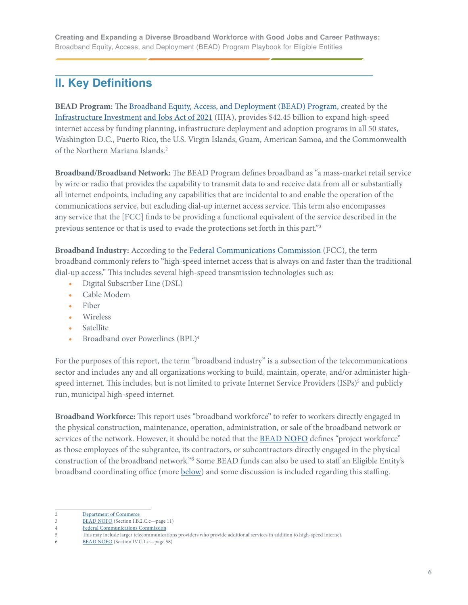## <span id="page-5-0"></span>**II. Key Definitions**

**BEAD Program:** The [Broadband Equity, Access, and Deployment \(BEAD\) Program, created by the](https://www.whitehouse.gov/briefing-room/statements-releases/2021/11/06/fact-sheet-the-bipartisan-infrastructure-deal/) [Infrastructure Investment](https://www.whitehouse.gov/briefing-room/statements-releases/2021/11/06/fact-sheet-the-bipartisan-infrastructure-deal/) and Jobs Act of 2021 (IIJA), provides \$42.45 billion to expand high-speed internet access by funding planning, infrastructure deployment and adoption programs in all 50 states, Washington D.C., Puerto Rico, the U.S. Virgin Islands, Guam, American Samoa, and the Commonwealth of the Northern Mariana Islands. 2

**Broadband/Broadband Network:** The BEAD Program defines broadband as "a mass-market retail service by wire or radio that provides the capability to transmit data to and receive data from all or substantially all internet endpoints, including any capabilities that are incidental to and enable the operation of the communications service, but excluding dial-up internet access service. This term also encompasses any service that the [FCC] finds to be providing a functional equivalent of the service described in the previous sentence or that is used to evade the protections set forth in this part."3

**Broadband Industry:** According to the [Federal Communications Commission](https://www.fcc.gov/general/types-broadband-connections) (FCC), the term broadband commonly refers to "high-speed internet access that is always on and faster than the traditional dial-up access." This includes several high-speed transmission technologies such as:

- **•** Digital Subscriber Line (DSL)
- **•** Cable Modem
- **•** Fiber
- **•** Wireless
- **•** Satellite
- **•** Broadband over Powerlines (BPL)4

For the purposes of this report, the term "broadband industry" is a subsection of the telecommunications sector and includes any and all organizations working to build, maintain, operate, and/or administer highspeed internet. This includes, but is not limited to private Internet Service Providers (ISPs)<sup>5</sup> and publicly run, municipal high-speed internet.

**Broadband Workforce:** This report uses "broadband workforce" to refer to workers directly engaged in the physical construction, maintenance, operation, administration, or sale of the broadband network or services of the network. However, it should be noted that the **BEAD NOFO** defines "project workforce" as those employees of the subgrantee, its contractors, or subcontractors directly engaged in the physical construction of the broadband network."<sup>6</sup> Some BEAD funds can also be used to staff an Eligible Entity's broadband coordinating office (more [below](#page-13-0)) and some discussion is included regarding this staffing.

<sup>2</sup> [Department of Commerce](https://broadbandusa.ntia.doc.gov/broadband-equity-access-and-deployment-bead-program)

<sup>3</sup> [BEAD NOFO](https://broadbandusa.ntia.doc.gov/sites/default/files/2022-05/BEAD%20NOFO.pdf) (Section I.B.2.C.c—page 11)<br>Federal Communications Commission

**[Federal Communications Commission](https://www.fcc.gov/general/types-broadband-connections)** 

<sup>5</sup> This may include larger telecommunications providers who provide additional services in addition to high-speed internet.

<sup>6</sup> [BEAD NOFO](https://broadbandusa.ntia.doc.gov/sites/default/files/2022-05/BEAD%20NOFO.pdf) (Section IV.C.1.e—page 58)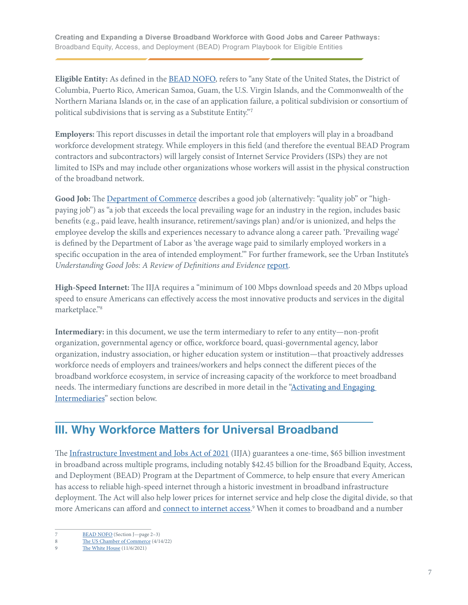<span id="page-6-0"></span>**Eligible Entity:** As defined in the [BEAD NOFO,](https://broadbandusa.ntia.doc.gov/sites/default/files/2022-05/BEAD%20NOFO.pdf) refers to "any State of the United States, the District of Columbia, Puerto Rico, American Samoa, Guam, the U.S. Virgin Islands, and the Commonwealth of the Northern Mariana Islands or, in the case of an application failure, a political subdivision or consortium of political subdivisions that is serving as a Substitute Entity."<sup>7</sup>

**Employers:** This report discusses in detail the important role that employers will play in a broadband workforce development strategy. While employers in this field (and therefore the eventual BEAD Program contractors and subcontractors) will largely consist of Internet Service Providers (ISPs) they are not limited to ISPs and may include other organizations whose workers will assist in the physical construction of the broadband network.

**Good Job:** The [Department of Commerce](https://eda.gov/arpa/good-jobs-challenge/faq/#1e) describes a good job (alternatively: "quality job" or "highpaying job") as "a job that exceeds the local prevailing wage for an industry in the region, includes basic benefits (e.g., paid leave, health insurance, retirement/savings plan) and/or is unionized, and helps the employee develop the skills and experiences necessary to advance along a career path. 'Prevailing wage' is defined by the Department of Labor as 'the average wage paid to similarly employed workers in a specific occupation in the area of intended employment.'" For further framework, see the Urban Institute's Understanding Good Jobs: A Review of Definitions and Evidence [report](https://www.urban.org/research/publication/understanding-good-jobs-review-definitions-and-evidence).

**High-Speed Internet:** The IIJA requires a "minimum of 100 Mbps download speeds and 20 Mbps upload speed to ensure Americans can effectively access the most innovative products and services in the digital marketplace."8

**Intermediary:** in this document, we use the term intermediary to refer to any entity—non-profit organization, governmental agency or office, workforce board, quasi-governmental agency, labor organization, industry association, or higher education system or institution—that proactively addresses workforce needs of employers and trainees/workers and helps connect the different pieces of the broadband workforce ecosystem, in service of increasing capacity of the workforce to meet broadband needs. The intermediary functions are described in more detail in the ["Activating and Engaging](#page-38-0)  [Intermediaries"](#page-38-0) section below.

# **III. Why Workforce Matters for Universal Broadband**

The [Infrastructure Investment and Jobs Act of 2021](https://www.whitehouse.gov/briefing-room/statements-releases/2021/11/06/fact-sheet-the-bipartisan-infrastructure-deal/) (IIJA) guarantees a one-time, \$65 billion investment in broadband across multiple programs, including notably \$42.45 billion for the Broadband Equity, Access, and Deployment (BEAD) Program at the Department of Commerce, to help ensure that every American has access to reliable high-speed internet through a historic investment in broadband infrastructure deployment. The Act will also help lower prices for internet service and help close the digital divide, so that more Americans can afford and <u>connect to internet access</u>.<sup>9</sup> When it comes to broadband and a number

<sup>7</sup> [BEAD NOFO](https://broadbandusa.ntia.doc.gov/sites/default/files/2022-05/BEAD%20NOFO.pdf) (Section J—page 2–3)

<sup>8</sup> [The US Chamber of Commerce](https://www.uschamber.com/infrastructure/the-infrastructure-bill-has-65-billion-for-broadband-deployment-now-what) (4/14/22)

<sup>9</sup> [The White House](https://www.whitehouse.gov/briefing-room/statements-releases/2021/11/06/fact-sheet-the-bipartisan-infrastructure-deal/) (11/6/2021)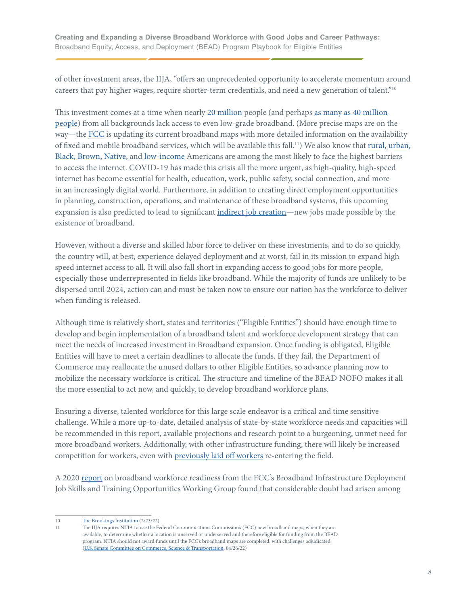of other investment areas, the IIJA, "offers an unprecedented opportunity to accelerate momentum around careers that pay higher wages, require shorter-term credentials, and need a new generation of talent."10

This investment comes at a time when nearly [20 million](https://www.google.com/url?q=https://docs.fcc.gov/public/attachments/FCC-20-50A1.pdf&sa=D&source=docs&ust=1655489617761537&usg=AOvVaw131e3lXVvtgDJOuXpwUkDq) people (and perhaps [as many as 40 million](https://broadbandnow.com/research/fcc-underestimates-unserved-by-50-percent#:~:text=In%20total%2C%20we%20estimate%20that,of%20Americans%20beyond%20FCC%20estimates.) [people\)](https://broadbandnow.com/research/fcc-underestimates-unserved-by-50-percent#:~:text=In%20total%2C%20we%20estimate%20that,of%20Americans%20beyond%20FCC%20estimates.) from all backgrounds lack access to even low-grade broadband. (More precise maps are on the way—the [FCC](https://www.govtech.com/network/fcc-chair-broadband-maps-will-be-absolutely-done-in-fall) is updating its current broadband maps with more detailed information on the availability of fixed and mobile broadband services, which will be available this fall.<sup>11</sup>) We also know that <u>rural, urban</u>, [Black, Brown](https://www.pewresearch.org/internet/fact-sheet/internet-broadband/), [Native,](https://www.npr.org/2018/12/06/673364305/native-americans-on-tribal-land-are-the-least-connected-to-high-speed-internet) and [low-income](https://aspe.hhs.gov/sites/default/files/private/pdf/263601/Internet_Access_Among_Low_Income.pdf) Americans are among the most likely to face the highest barriers to access the internet. COVID-19 has made this crisis all the more urgent, as high-quality, high-speed internet has become essential for health, education, work, public safety, social connection, and more in an increasingly digital world. Furthermore, in addition to creating direct employment opportunities in planning, construction, operations, and maintenance of these broadband systems, this upcoming expansion is also predicted to lead to significant [indirect job creation—](https://www.nga.org/news/commentary/governors-broadband-investments-are-creating-jobs/)new jobs made possible by the existence of broadband.

However, without a diverse and skilled labor force to deliver on these investments, and to do so quickly, the country will, at best, experience delayed deployment and at worst, fail in its mission to expand high speed internet access to all. It will also fall short in expanding access to good jobs for more people, especially those underrepresented in fields like broadband. While the majority of funds are unlikely to be dispersed until 2024, action can and must be taken now to ensure our nation has the workforce to deliver when funding is released.

Although time is relatively short, states and territories ("Eligible Entities") should have enough time to develop and begin implementation of a broadband talent and workforce development strategy that can meet the needs of increased investment in Broadband expansion. Once funding is obligated, Eligible Entities will have to meet a certain deadlines to allocate the funds. If they fail, the Department of Commerce may reallocate the unused dollars to other Eligible Entities, so advance planning now to mobilize the necessary workforce is critical. The structure and timeline of the BEAD NOFO makes it all the more essential to act now, and quickly, to develop broadband workforce plans.

Ensuring a diverse, talented workforce for this large scale endeavor is a critical and time sensitive challenge. While a more up-to-date, detailed analysis of state-by-state workforce needs and capacities will be recommended in this report, available projections and research point to a burgeoning, unmet need for more broadband workers. Additionally, with other infrastructure funding, there will likely be increased competition for workers, even with [previously laid off workers](https://www.brookings.edu/blog/the-avenue/2022/02/23/harnessing-the-infrastructure-investment-and-jobs-act-to-train-the-next-generation-of-workers/) re-entering the field.

A 2020 [report](https://www.fcc.gov/sites/default/files/bdac-job-skills-training-opportunities-approved-rec-10292020.pdf) on broadband workforce readiness from the FCC's Broadband Infrastructure Deployment Job Skills and Training Opportunities Working Group found that considerable doubt had arisen among

<sup>10</sup> [The Brookings Institution](http://The Brookings Institution) (2/23/22)

<sup>11</sup> The IIJA requires NTIA to use the Federal Communications Commission's (FCC) new broadband maps, when they are available, to determine whether a location is unserved or underserved and therefore eligible for funding from the BEAD program. NTIA should not award funds until the FCC's broadband maps are completed, with challenges adjudicated. [\(U.S. Senate Committee on Commerce, Science & Transportation,](https://www.commerce.senate.gov/index.php/2022/4/senate-and-house-committee-leaders-share-broadband-program-priorities-with-ntia) 04/26/22)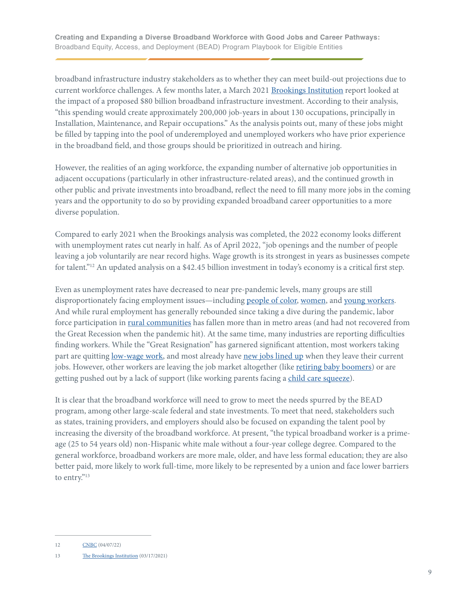broadband infrastructure industry stakeholders as to whether they can meet build-out projections due to current workforce challenges. A few months later, a March 2021 [Brookings Institution](https://www.brookings.edu/research/how-federal-infrastructure-investment-can-put-america-to-work/) report looked at the impact of a proposed \$80 billion broadband infrastructure investment. According to their analysis, "this spending would create approximately 200,000 job-years in about 130 occupations, principally in Installation, Maintenance, and Repair occupations." As the analysis points out, many of these jobs might be filled by tapping into the pool of underemployed and unemployed workers who have prior experience in the broadband field, and those groups should be prioritized in outreach and hiring.

However, the realities of an aging workforce, the expanding number of alternative job opportunities in adjacent occupations (particularly in other infrastructure-related areas), and the continued growth in other public and private investments into broadband, reflect the need to fill many more jobs in the coming years and the opportunity to do so by providing expanded broadband career opportunities to a more diverse population.

Compared to early 2021 when the Brookings analysis was completed, the 2022 economy looks different with unemployment rates cut nearly in half. As of April 2022, "job openings and the number of people leaving a job voluntarily are near record highs. Wage growth is its strongest in years as businesses compete for talent."12 An updated analysis on a \$42.45 billion investment in today's economy is a critical first step.

Even as unemployment rates have decreased to near pre-pandemic levels, many groups are still disproportionately facing employment issues—including [people of color](https://www.brookings.edu/blog/the-avenue/2022/01/11/decembers-jobs-report-reveals-a-growing-racial-employment-gap-especially-for-black-women/), [women](https://nwlc.org/wp-content/uploads/2022/04/March-Jobs-Day.pdf), and [young workers.](https://www.statista.com/statistics/217448/seasonally-adjusted-monthly-youth-unemployment-rate-in-the-us/#:~:text=Youth%20unemployment%20in%20the%20United%20States&text=During%20the%20period%20in%20question,rate%20in%20the%20United%20States.) And while rural employment has generally rebounded since taking a dive during the pandemic, labor force participation in [rural communities](https://www.ers.usda.gov/topics/rural-economy-population/employment-education/rural-employment-and-unemployment/) has fallen more than in metro areas (and had not recovered from the Great Recession when the pandemic hit). At the same time, many industries are reporting difficulties finding workers. While the "Great Resignation" has garnered significant attention, most workers taking part are quitting [low-wage work](https://www.nytimes.com/2022/01/04/business/economy/job-openings-coronavirus.html), and most already have [new jobs lined up](https://www.shrm.org/resourcesandtools/hr-topics/employee-relations/pages/hr-moves-with-the-great-reshuffling.aspx) when they leave their current jobs. However, other workers are leaving the job market altogether (like [retiring baby boomers](https://www.washingtonpost.com/opinions/2022/02/18/great-resignation-is-also-great-retirement-baby-boomers-thats-problem/)) or are getting pushed out by a lack of support (like working parents facing a [child care squeeze\)](https://www.axios.com/2022/02/16/child-care-squeeze-fuels-great-resignation-gender-gap).

It is clear that the broadband workforce will need to grow to meet the needs spurred by the BEAD program, among other large-scale federal and state investments. To meet that need, stakeholders such as states, training providers, and employers should also be focused on expanding the talent pool by increasing the diversity of the broadband workforce. At present, "the typical broadband worker is a primeage (25 to 54 years old) non-Hispanic white male without a four-year college degree. Compared to the general workforce, broadband workers are more male, older, and have less formal education; they are also better paid, more likely to work full-time, more likely to be represented by a union and face lower barriers to entry."<sup>13</sup>

<sup>12</sup> [CNBC](https://www.cnbc.com/2022/04/07/here-are-the-signs-the-job-market-is-hot-for-workers.html) (04/07/22)

<sup>13</sup> [The Brookings Institution](https://www.brookings.edu/research/how-federal-infrastructure-investment-can-put-america-to-work/) (03/17/2021)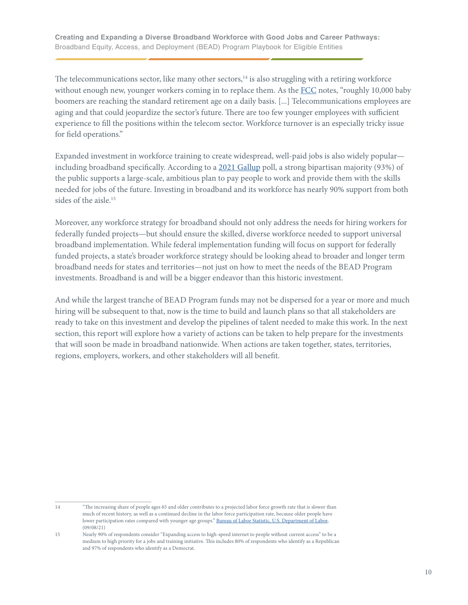The telecommunications sector, like many other sectors, $14$  is also struggling with a retiring workforce without enough new, younger workers coming in to replace them. As the [FCC](https://www.fcc.gov/sites/default/files/bdac-job-skills-training-opportunities-approved-rec-10292020.pdf) notes, "roughly 10,000 baby boomers are reaching the standard retirement age on a daily basis. [...] Telecommunications employees are aging and that could jeopardize the sector's future. There are too few younger employees with sufficient experience to fill the positions within the telecom sector. Workforce turnover is an especially tricky issue for field operations."

Expanded investment in workforce training to create widespread, well-paid jobs is also widely popular including broadband specifically. According to a [2021 Gallup](https://www.gallup.com/analytics/329573/back-to-work-listening-to-americans.aspx) poll, a strong bipartisan majority (93%) of the public supports a large-scale, ambitious plan to pay people to work and provide them with the skills needed for jobs of the future. Investing in broadband and its workforce has nearly 90% support from both sides of the aisle. 15

Moreover, any workforce strategy for broadband should not only address the needs for hiring workers for federally funded projects—but should ensure the skilled, diverse workforce needed to support universal broadband implementation. While federal implementation funding will focus on support for federally funded projects, a state's broader workforce strategy should be looking ahead to broader and longer term broadband needs for states and territories—not just on how to meet the needs of the BEAD Program investments. Broadband is and will be a bigger endeavor than this historic investment.

And while the largest tranche of BEAD Program funds may not be dispersed for a year or more and much hiring will be subsequent to that, now is the time to build and launch plans so that all stakeholders are ready to take on this investment and develop the pipelines of talent needed to make this work. In the next section, this report will explore how a variety of actions can be taken to help prepare for the investments that will soon be made in broadband nationwide. When actions are taken together, states, territories, regions, employers, workers, and other stakeholders will all benefit.

<sup>14</sup> "The increasing share of people ages 65 and older contributes to a projected labor force growth rate that is slower than much of recent history, as well as a continued decline in the labor force participation rate, because older people have lower participation rates compared with younger age groups." [Bureau of Labor Statistic, U.S. Department of Labor,](https://www.bls.gov/news.release/ecopro.htm#:~:text=The%20increasing%20share%20of%20people,compared%20with%20younger%20age%20groups.) (09/08/21)

<sup>15</sup> Nearly 90% of respondents consider "Expanding access to high-speed internet to people without current access" to be a medium to high priority for a jobs and training initiative. This includes 80% of respondents who identify as a Republican and 97% of respondents who identify as a Democrat.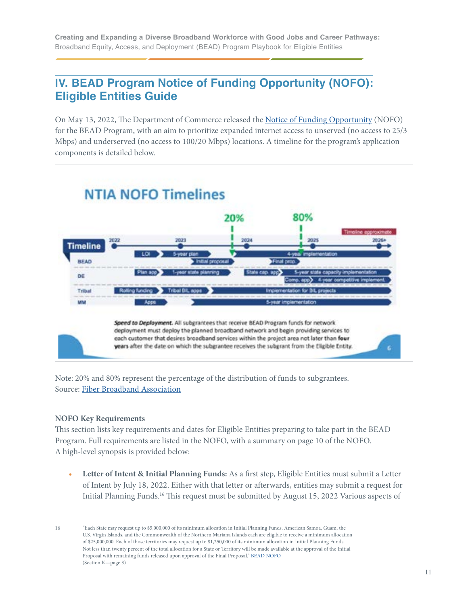# <span id="page-10-0"></span>**IV. BEAD Program Notice of Funding Opportunity (NOFO): Eligible Entities Guide**

On May 13, 2022, The Department of Commerce released the [Notice of Funding Opportunity](https://broadbandusa.ntia.doc.gov/sites/default/files/2022-05/BEAD%20NOFO.pdf) (NOFO) for the BEAD Program, with an aim to prioritize expanded internet access to unserved (no access to 25/3 Mbps) and underserved (no access to 100/20 Mbps) locations. A timeline for the program's application components is detailed below.



Note: 20% and 80% represent the percentage of the distribution of funds to subgrantees. Source: [Fiber Broadband Association](https://www.fiberbroadband.org)

#### **NOFO Key Requirements**

This section lists key requirements and dates for Eligible Entities preparing to take part in the BEAD Program. Full requirements are listed in the NOFO, with a summary on page 10 of the NOFO. A high-level synopsis is provided below:

**• Letter of Intent & Initial Planning Funds:** As a first step, Eligible Entities must submit a Letter of Intent by July 18, 2022. Either with that letter or afterwards, entities may submit a request for Initial Planning Funds.<sup>16</sup> This request must be submitted by August 15, 2022 Various aspects of

<sup>16</sup> "Each State may request up to \$5,000,000 of its minimum allocation in Initial Planning Funds. American Samoa, Guam, the U.S. Virgin Islands, and the Commonwealth of the Northern Mariana Islands each are eligible to receive a minimum allocation of \$25,000,000. Each of those territories may request up to \$1,250,000 of its minimum allocation in Initial Planning Funds. Not less than twenty percent of the total allocation for a State or Territory will be made available at the approval of the Initial Proposal with remaining funds released upon approval of the Final Proposal." [BEAD NOFO](https://broadbandusa.ntia.doc.gov/sites/default/files/2022-05/BEAD%20NOFO.pdf) (Section K—page 3)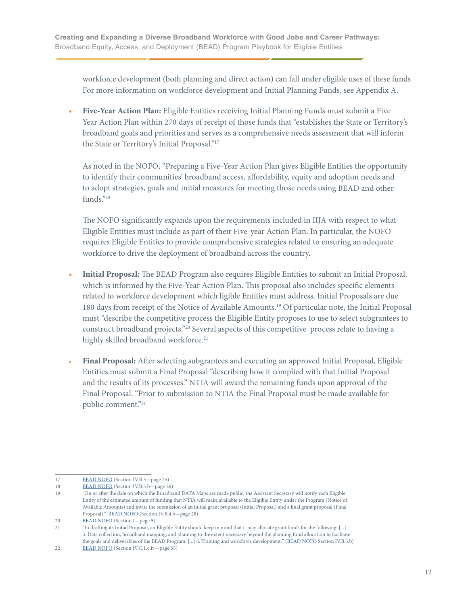workforce development (both planning and direct action) can fall under eligible uses of these funds For more information on workforce development and Initial Planning Funds, see Appendix A.

**• Five-Year Action Plan:** Eligible Entities receiving Initial Planning Funds must submit a Five Year Action Plan within 270 days of receipt of those funds that "establishes the State or Territory's broadband goals and priorities and serves as a comprehensive needs assessment that will inform the State or Territory's Initial Proposal."17

As noted in the NOFO, "Preparing a Five-Year Action Plan gives Eligible Entities the opportunity to identify their communities' broadband access, affordability, equity and adoption needs and to adopt strategies, goals and initial measures for meeting those needs using BEAD and other funds."18

The NOFO significantly expands upon the requirements included in IIJA with respect to what Eligible Entities must include as part of their Five-year Action Plan. In particular, the NOFO requires Eligible Entities to provide comprehensive strategies related to ensuring an adequate workforce to drive the deployment of broadband across the country.

- **• Initial Proposal:** The BEAD Program also requires Eligible Entities to submit an Initial Proposal, which is informed by the Five-Year Action Plan. This proposal also includes specific elements related to workforce development which ligible Entities must address. Initial Proposals are due 180 days from receipt of the Notice of Available Amounts. 19 Of particular note, the Initial Proposal must "describe the competitive process the Eligible Entity proposes to use to select subgrantees to construct broadband projects."<sup>20</sup> Several aspects of this competitive process relate to having a highly skilled broadband workforce. 21
- **• Final Proposal:** After selecting subgrantees and executing an approved Initial Proposal, Eligible Entities must submit a Final Proposal "describing how it complied with that Initial Proposal and the results of its processes." NTIA will award the remaining funds upon approval of the Final Proposal. "Prior to submission to NTIA the Final Proposal must be made available for public comment."<sup>22</sup>

<sup>17</sup> [BEAD NOFO](http://BEAD NOFO) (Section IV.B.3-page 25)

<sup>18</sup> [BEAD NOFO](https://broadbandusa.ntia.doc.gov/sites/default/files/2022-05/BEAD%20NOFO.pdf) (Section IV.B.3.b—page 26)

<sup>19</sup> "On or after the date on which the Broadband DATA Maps are made public, the Assistant Secretary will notify each Eligible Entity of the estimated amount of funding that NTIA will make available to the Eligible Entity under the Program (Notice of Available Amounts) and invite the submission of an initial grant proposal (Initial Proposal) and a final grant proposal (Final Proposal)." **BEAD NOFO** (Section IV.B.4.b-page 28)

<sup>20</sup> [BEAD NOFO](http://BEAD NOFO) (Section I—page 5)

<sup>21</sup> "In drafting its Initial Proposal, an Eligible Entity should keep in mind that it may allocate grant funds for the following: [...] 3. Data collection, broadband mapping, and planning to the extent necessary beyond the planning fund allocation to facilitate the goals and deliverables of the BEAD Program; [...] 6. Training and workforce development;" ([BEAD NOFO](https://broadbandusa.ntia.doc.gov/sites/default/files/2022-05/BEAD%20NOFO.pdf) Section IV.B.5.b)

<sup>22</sup> [BEAD NOFO](https://broadbandusa.ntia.doc.gov/sites/default/files/2022-05/BEAD%20NOFO.pdf) (Section IV.C.1.c.iv—page 55)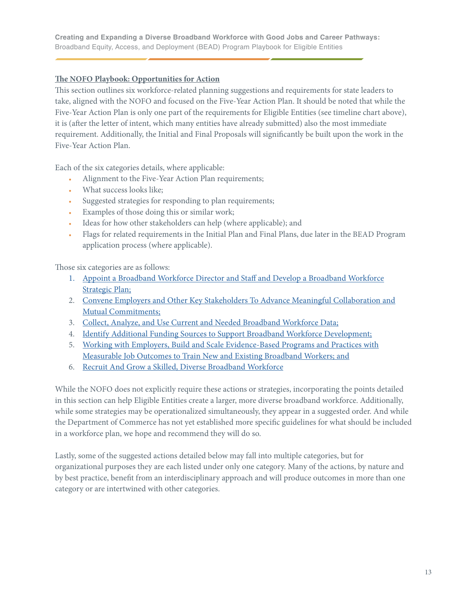#### <span id="page-12-0"></span>**The NOFO Playbook: Opportunities for Action**

This section outlines six workforce-related planning suggestions and requirements for state leaders to take, aligned with the NOFO and focused on the Five-Year Action Plan. It should be noted that while the Five-Year Action Plan is only one part of the requirements for Eligible Entities (see timeline chart above), it is (after the letter of intent, which many entities have already submitted) also the most immediate requirement. Additionally, the Initial and Final Proposals will significantly be built upon the work in the Five-Year Action Plan.

Each of the six categories details, where applicable:

- **•** Alignment to the Five-Year Action Plan requirements;
- **•** What success looks like;
- **•** Suggested strategies for responding to plan requirements;
- **•** Examples of those doing this or similar work;
- **•** Ideas for how other stakeholders can help (where applicable); and
- **•** Flags for related requirements in the Initial Plan and Final Plans, due later in the BEAD Program application process (where applicable).

Those six categories are as follows:

- 1. [Appoint a Broadband Workforce Director and Staff and Develop a Broadband Workforce](#page-13-0) [Strategic Plan;](#page-13-0)
- 2. [Convene Employers and Other Key Stakeholders To Advance Meaningful Collaboration and](#page-16-0)  [Mutual Commitments;](#page-16-0)
- 3. [Collect, Analyze, and Use Current and Needed Broadband Workforce Data;](#page-22-0)
- 4. [Identify Additional Funding Sources to Support Broadband Workforce Development;](#page-27-0)
- 5. [Working with Employers, Build and Scale Evidence-Based Programs and Practices with](#page-31-0)  [Measurable Job Outcomes to Train New and Existing Broadband Workers; and](#page-31-0)
- 6. [Recruit And Grow a Skilled, Diverse Broadband Workforce](#page-40-0)

While the NOFO does not explicitly require these actions or strategies, incorporating the points detailed in this section can help Eligible Entities create a larger, more diverse broadband workforce. Additionally, while some strategies may be operationalized simultaneously, they appear in a suggested order. And while the Department of Commerce has not yet established more specific guidelines for what should be included in a workforce plan, we hope and recommend they will do so.

Lastly, some of the suggested actions detailed below may fall into multiple categories, but for organizational purposes they are each listed under only one category. Many of the actions, by nature and by best practice, benefit from an interdisciplinary approach and will produce outcomes in more than one category or are intertwined with other categories.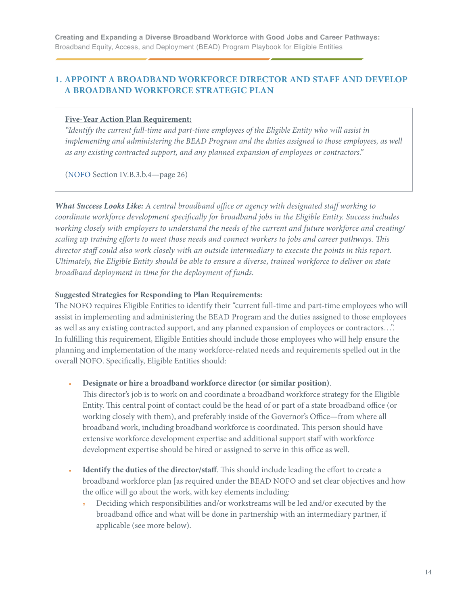### <span id="page-13-0"></span>**1. APPOINT A BROADBAND WORKFORCE DIRECTOR AND STAFF AND DEVELOP A BROADBAND WORKFORCE STRATEGIC PLAN**

#### **Five-Year Action Plan Requirement:**

*"Identify the current full-time and part-time employees of the Eligible Entity who will assist in implementing and administering the BEAD Program and the duties assigned to those employees, as well as any existing contracted support, and any planned expansion of employees or contractors."* 

[\(NOFO](https://broadbandusa.ntia.doc.gov/sites/default/files/2022-05/BEAD%20NOFO.pdf) Section IV.B.3.b.4—page 26)

*What Success Looks Like: A central broadband office or agency with designated staff working to coordinate workforce development specifically for broadband jobs in the Eligible Entity. Success includes working closely with employers to understand the needs of the current and future workforce and creating/ scaling up training efforts to meet those needs and connect workers to jobs and career pathways. This director staff could also work closely with an outside intermediary to execute the points in this report. Ultimately, the Eligible Entity should be able to ensure a diverse, trained workforce to deliver on state broadband deployment in time for the deployment of funds.*

#### **Suggested Strategies for Responding to Plan Requirements:**

The NOFO requires Eligible Entities to identify their "current full-time and part-time employees who will assist in implementing and administering the BEAD Program and the duties assigned to those employees as well as any existing contracted support, and any planned expansion of employees or contractors…". In fulfilling this requirement, Eligible Entities should include those employees who will help ensure the planning and implementation of the many workforce-related needs and requirements spelled out in the overall NOFO. Specifically, Eligible Entities should:

**• Designate or hire a broadband workforce director (or similar position)**.

 This director's job is to work on and coordinate a broadband workforce strategy for the Eligible Entity. This central point of contact could be the head of or part of a state broadband office (or working closely with them), and preferably inside of the Governor's Office—from where all broadband work, including broadband workforce is coordinated. This person should have extensive workforce development expertise and additional support staff with workforce development expertise should be hired or assigned to serve in this office as well.

- **• Identify the duties of the director/staff**. This should include leading the effort to create a broadband workforce plan [as required under the BEAD NOFO and set clear objectives and how the office will go about the work, with key elements including:
	- Deciding which responsibilities and/or workstreams will be led and/or executed by the broadband office and what will be done in partnership with an intermediary partner, if applicable (see more below).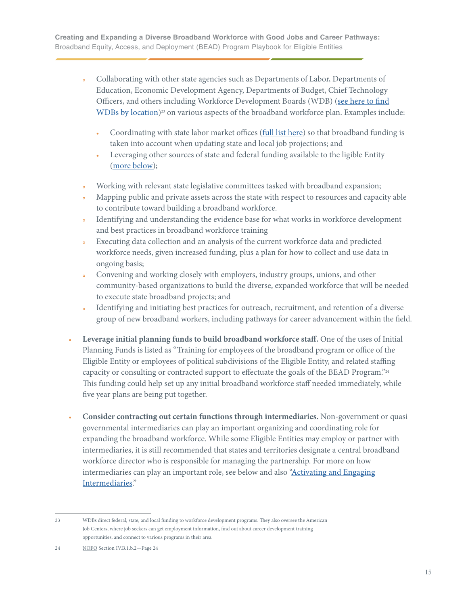- Collaborating with other state agencies such as Departments of Labor, Departments of Education, Economic Development Agency, Departments of Budget, Chief Technology Officers, and others including Workforce Development Boards (WDB) ([see here to find](https://www.careeronestop.org/LocalHelp/WorkforceDevelopment/find-workforce-development-boards.aspx) [WDBs by location](https://www.careeronestop.org/LocalHelp/WorkforceDevelopment/find-workforce-development-boards.aspx))<sup>23</sup> on various aspects of the broadband workforce plan. Examples include:
	- Coordinating with state labor market offices [\(full list here](https://www.bls.gov/bls/ofolist.htm)) so that broadband funding is taken into account when updating state and local job projections; and
	- **•** Leveraging other sources of state and federal funding available to the ligible Entity ([more below\)](#page-27-0);
- Working with relevant state legislative committees tasked with broadband expansion;
- **•** Mapping public and private assets across the state with respect to resources and capacity able to contribute toward building a broadband workforce.
- **•** Identifying and understanding the evidence base for what works in workforce development and best practices in broadband workforce training
- **•** Executing data collection and an analysis of the current workforce data and predicted workforce needs, given increased funding, plus a plan for how to collect and use data in ongoing basis;
- **•** Convening and working closely with employers, industry groups, unions, and other community-based organizations to build the diverse, expanded workforce that will be needed to execute state broadband projects; and
- **•** Identifying and initiating best practices for outreach, recruitment, and retention of a diverse group of new broadband workers, including pathways for career advancement within the field.
- **• Leverage initial planning funds to build broadband workforce staff.** One of the uses of Initial Planning Funds is listed as "Training for employees of the broadband program or office of the Eligible Entity or employees of political subdivisions of the Eligible Entity, and related staffing capacity or consulting or contracted support to effectuate the goals of the BEAD Program."24 This funding could help set up any initial broadband workforce staff needed immediately, while five year plans are being put together.
- **• Consider contracting out certain functions through intermediaries.** Non-government or quasi governmental intermediaries can play an important organizing and coordinating role for expanding the broadband workforce. While some Eligible Entities may employ or partner with intermediaries, it is still recommended that states and territories designate a central broadband workforce director who is responsible for managing the partnership. For more on how intermediaries can play an important role, see below and also ["Activating and Engaging](#page-38-0)  [Intermediaries](#page-38-0)."

<sup>23</sup> WDBs direct federal, state, and local funding to workforce development programs. They also oversee the American Job Centers, where job seekers can get employment information, find out about career development training opportunities, and connect to various programs in their area.

<sup>24</sup> [NOFO](https://broadbandusa.ntia.doc.gov/sites/default/files/2022-05/BEAD%20NOFO.pdf) Section IV.B.1.b.2—Page 24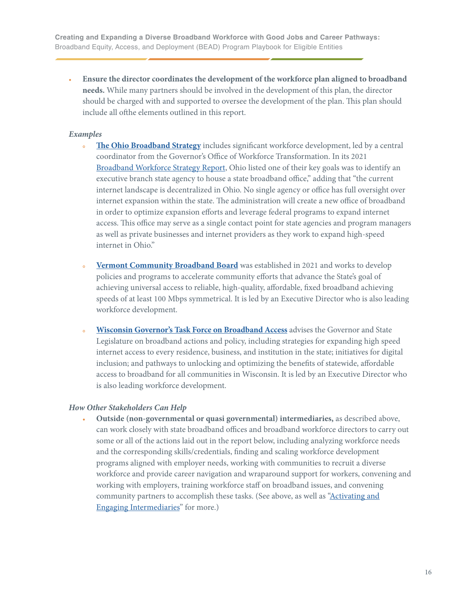**• Ensure the director coordinates the development of the workforce plan aligned to broadband needs.** While many partners should be involved in the development of this plan, the director should be charged with and supported to oversee the development of the plan. This plan should include all ofthe elements outlined in this report.

#### *Examples*

- **• [The Ohio Broadband Strategy](https://broadband.ohio.gov/explore-broadband/the-ohio-broadband-strategy/the-ohio-broadband-strategy)** includes significant workforce development, led by a central coordinator from the Governor's Office of Workforce Transformation. In its 2021 [Broadband Workforce Strategy Report,](https://innovateohio.gov/wps/wcm/connect/gov/bde9a8ce-5f93-4a04-b937-102788469bdb/OhioBroadbandStrategy_121919.pdf?MOD=AJPERES&CONVERT_TO=url&CACHEID=ROOTWORKSPACE.Z18_M1HGGIK0N0JO00QO9DDDDM3000-bde9a8ce-5f93-4a04-b937-102788469bdb-mYuKib6#:~:text=The%20vision%20of%20the%20Ohio,groups%3A%20the%20unserved%20and%20underserved.) Ohio listed one of their key goals was to identify an executive branch state agency to house a state broadband office," adding that "the current internet landscape is decentralized in Ohio. No single agency or office has full oversight over internet expansion within the state. The administration will create a new office of broadband in order to optimize expansion efforts and leverage federal programs to expand internet access. This office may serve as a single contact point for state agencies and program managers as well as private businesses and internet providers as they work to expand high-speed internet in Ohio."
- **• [Vermont Community Broadband Board](https://publicservice.vermont.gov/vcbb)** was established in 2021 and works to develop policies and programs to accelerate community efforts that advance the State's goal of achieving universal access to reliable, high-quality, affordable, fixed broadband achieving speeds of at least 100 Mbps symmetrical. It is led by an Executive Director who is also leading workforce development.
- **• [Wisconsin Governor's Task Force on Broadband Access](https://psc.wi.gov/Pages/Programs/BroadbandGovernorsTaskForce.aspx)** advises the Governor and State Legislature on broadband actions and policy, including strategies for expanding high speed internet access to every residence, business, and institution in the state; initiatives for digital inclusion; and pathways to unlocking and optimizing the benefits of statewide, affordable access to broadband for all communities in Wisconsin. It is led by an Executive Director who is also leading workforce development.

#### *How Other Stakeholders Can Help*

 **• Outside (non-governmental or quasi governmental) intermediaries,** as described above, can work closely with state broadband offices and broadband workforce directors to carry out some or all of the actions laid out in the report below, including analyzing workforce needs and the corresponding skills/credentials, finding and scaling workforce development programs aligned with employer needs, working with communities to recruit a diverse workforce and provide career navigation and wraparound support for workers, convening and working with employers, training workforce staff on broadband issues, and convening community partners to accomplish these tasks. (See above, as well as ["Activating and](#page-40-0)   [Engaging Intermediaries](#page-40-0)" for more.)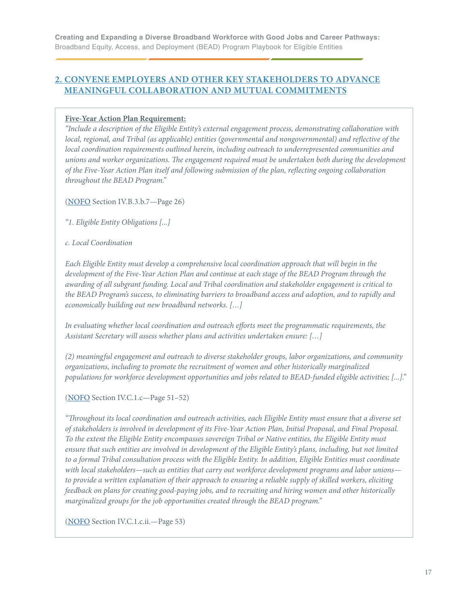### <span id="page-16-0"></span>**2. CONVENE EMPLOYERS AND OTHER KEY STAKEHOLDERS TO ADVANCE MEANINGFUL COLLABORATION AND MUTUAL COMMITMENTS**

#### **Five-Year Action Plan Requirement:**

*"Include a description of the Eligible Entity's external engagement process, demonstrating collaboration with local, regional, and Tribal (as applicable) entities (governmental and nongovernmental) and reflective of the local coordination requirements outlined herein, including outreach to underrepresented communities and unions and worker organizations. The engagement required must be undertaken both during the development of the Five-Year Action Plan itself and following submission of the plan, reflecting ongoing collaboration throughout the BEAD Program."* 

([NOFO](https://broadbandusa.ntia.doc.gov/sites/default/files/2022-05/BEAD%20NOFO.pdf) Section IV.B.3.b.7—Page 26)

*"1. Eligible Entity Obligations [...]*

*c. Local Coordination* 

*Each Eligible Entity must develop a comprehensive local coordination approach that will begin in the development of the Five-Year Action Plan and continue at each stage of the BEAD Program through the awarding of all subgrant funding. Local and Tribal coordination and stakeholder engagement is critical to the BEAD Program's success, to eliminating barriers to broadband access and adoption, and to rapidly and economically building out new broadband networks. […]* 

*In evaluating whether local coordination and outreach efforts meet the programmatic requirements, the Assistant Secretary will assess whether plans and activities undertaken ensure: […]* 

*(2) meaningful engagement and outreach to diverse stakeholder groups, labor organizations, and community organizations, including to promote the recruitment of women and other historically marginalized populations for workforce development opportunities and jobs related to BEAD-funded eligible activities; [...]."* 

([NOFO](https://broadbandusa.ntia.doc.gov/sites/default/files/2022-05/BEAD%20NOFO.pdf) Section IV.C.1.c—Page 51–52)

*"Throughout its local coordination and outreach activities, each Eligible Entity must ensure that a diverse set of stakeholders is involved in development of its Five-Year Action Plan, Initial Proposal, and Final Proposal. To the extent the Eligible Entity encompasses sovereign Tribal or Native entities, the Eligible Entity must ensure that such entities are involved in development of the Eligible Entity's plans, including, but not limited to a formal Tribal consultation process with the Eligible Entity. In addition, Eligible Entities must coordinate with local stakeholders—such as entities that carry out workforce development programs and labor unions to provide a written explanation of their approach to ensuring a reliable supply of skilled workers, eliciting feedback on plans for creating good-paying jobs, and to recruiting and hiring women and other historically marginalized groups for the job opportunities created through the BEAD program."* 

([NOFO](https://broadbandusa.ntia.doc.gov/sites/default/files/2022-05/BEAD%20NOFO.pdf) Section IV.C.1.c.ii.—Page 53)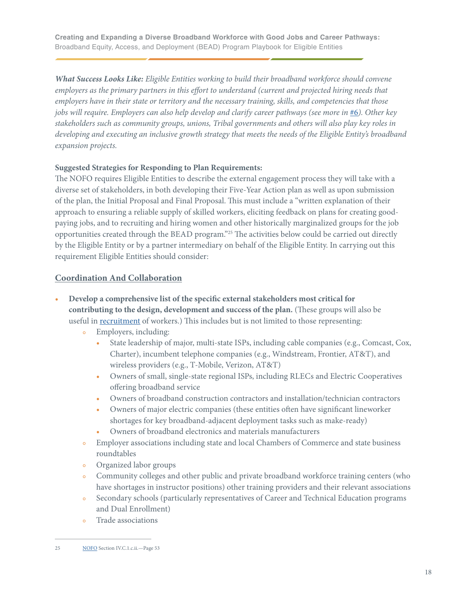<span id="page-17-0"></span>*What Success Looks Like: Eligible Entities working to build their broadband workforce should convene employers as the primary partners in this effort to understand (current and projected hiring needs that employers have in their state or territory and the necessary training, skills, and competencies that those jobs will require. Employers can also help develop and clarify career pathways (see more in*  $\#6$  $\#6$ ). Other key *stakeholders such as community groups, unions, Tribal governments and others will also play key roles in developing and executing an inclusive growth strategy that meets the needs of the Eligible Entity's broadband expansion projects.* 

#### **Suggested Strategies for Responding to Plan Requirements:**

The NOFO requires Eligible Entities to describe the external engagement process they will take with a diverse set of stakeholders, in both developing their Five-Year Action plan as well as upon submission of the plan, the Initial Proposal and Final Proposal. This must include a "written explanation of their approach to ensuring a reliable supply of skilled workers, eliciting feedback on plans for creating goodpaying jobs, and to recruiting and hiring women and other historically marginalized groups for the job opportunities created through the BEAD program."25 The activities below could be carried out directly by the Eligible Entity or by a partner intermediary on behalf of the Eligible Entity. In carrying out this requirement Eligible Entities should consider:

#### **Coordination And Collaboration**

- **• Develop a comprehensive list of the specific external stakeholders most critical for contributing to the design, development and success of the plan.** (These groups will also be useful in [recruitment](#page-40-0) of workers.) This includes but is not limited to those representing:
	- **•** Employers, including:
		- State leadership of major, multi-state ISPs, including cable companies (e.g., Comcast, Cox, Charter), incumbent telephone companies (e.g., Windstream, Frontier, AT&T), and wireless providers (e.g., T-Mobile, Verizon, AT&T)
		- **•** Owners of small, single-state regional ISPs, including RLECs and Electric Cooperatives offering broadband service
		- **•** Owners of broadband construction contractors and installation/technician contractors
		- **•** Owners of major electric companies (these entities often have significant lineworker shortages for key broadband-adjacent deployment tasks such as make-ready)
		- **•** Owners of broadband electronics and materials manufacturers
	- **•** Employer associations including state and local Chambers of Commerce and state business roundtables
	- **•** Organized labor groups
	- **•** Community colleges and other public and private broadband workforce training centers (who have shortages in instructor positions) other training providers and their relevant associations
	- **•** Secondary schools (particularly representatives of Career and Technical Education programs and Dual Enrollment)
	- **•** Trade associations

<sup>25</sup> [NOFO](https://broadbandusa.ntia.doc.gov/sites/default/files/2022-05/BEAD%20NOFO.pdf) Section IV.C.1.c.ii.—Page 53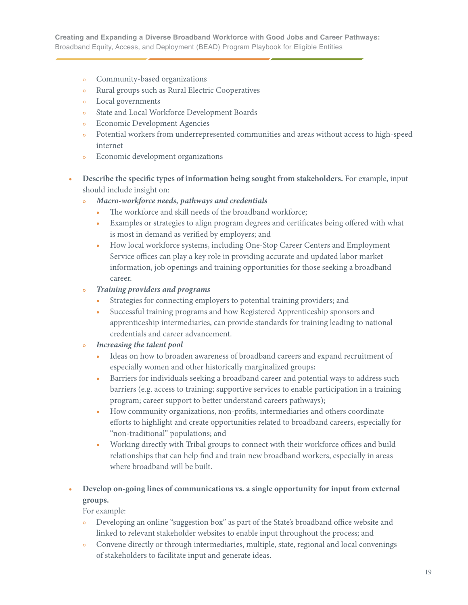- **•** Community-based organizations
- **•** Rural groups such as Rural Electric Cooperatives
- **•** Local governments
- **•** State and Local Workforce Development Boards
- **•** Economic Development Agencies
- **•** Potential workers from underrepresented communities and areas without access to high-speed internet
- **•** Economic development organizations
- **• Describe the specific types of information being sought from stakeholders.** For example, input should include insight on:
	- **•** *Macro-workforce needs, pathways and credentials*
		- **•** The workforce and skill needs of the broadband workforce;
		- **•** Examples or strategies to align program degrees and certificates being offered with what is most in demand as verified by employers; and
		- **•** How local workforce systems, including One-Stop Career Centers and Employment Service offices can play a key role in providing accurate and updated labor market information, job openings and training opportunities for those seeking a broadband career.
	- **•** *Training providers and programs*
		- **•** Strategies for connecting employers to potential training providers; and
		- **•** Successful training programs and how Registered Apprenticeship sponsors and apprenticeship intermediaries, can provide standards for training leading to national credentials and career advancement.
	- **•** *Increasing the talent pool*
		- **•** Ideas on how to broaden awareness of broadband careers and expand recruitment of especially women and other historically marginalized groups;
		- **•** Barriers for individuals seeking a broadband career and potential ways to address such barriers (e.g. access to training; supportive services to enable participation in a training program; career support to better understand careers pathways);
		- **•** How community organizations, non-profits, intermediaries and others coordinate efforts to highlight and create opportunities related to broadband careers, especially for "non-traditional" populations; and
		- **•** Working directly with Tribal groups to connect with their workforce offices and build relationships that can help find and train new broadband workers, especially in areas where broadband will be built.

### **• Develop on-going lines of communications vs. a single opportunity for input from external groups.**

For example:

- **•** Developing an online "suggestion box" as part of the State's broadband office website and linked to relevant stakeholder websites to enable input throughout the process; and
- Convene directly or through intermediaries, multiple, state, regional and local convenings of stakeholders to facilitate input and generate ideas.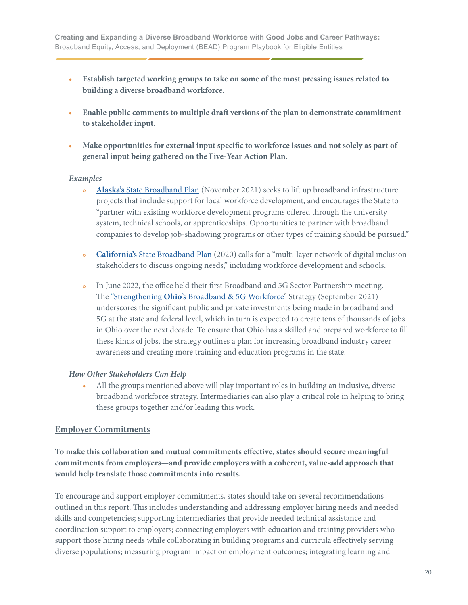- <span id="page-19-0"></span>**• Establish targeted working groups to take on some of the most pressing issues related to building a diverse broadband workforce.**
- **• Enable public comments to multiple draft versions of the plan to demonstrate commitment to stakeholder input.**
- **• Make opportunities for external input specific to workforce issues and not solely as part of general input being gathered on the Five-Year Action Plan.**

#### *Examples*

- **• Alaska's** [State Broadband Plan](https://adobeindd.com/view/publications/42ddcfe3-5ea9-4bcb-bd09-a71bcb63869a/ippo/publication-web-resources/pdf/21_CN_Alaska_Task_Force_Report_final.pdf) (November 2021) seeks to lift up broadband infrastructure projects that include support for local workforce development, and encourages the State to "partner with existing workforce development programs offered through the university system, technical schools, or apprenticeships. Opportunities to partner with broadband companies to develop job-shadowing programs or other types of training should be pursued."
- **• California's** [State Broadband Plan](https://broadbandcouncil.ca.gov/wp-content/uploads/sites/68/2020/12/BB4All-Action-Plan-Final.pdf) (2020) calls for a "multi-layer network of digital inclusion stakeholders to discuss ongoing needs," including workforce development and schools.
- **•** In June 2022, the office held their first Broadband and 5G Sector Partnership meeting. The "Strengthening **Ohio**['s Broadband & 5G Workforce"](https://broadband.ohio.gov/wps/wcm/connect/gov/7bb60dea-a273-4622-9d0c-67e7201a8016/Strengthening-Ohios-Broadband-5G-Workforce-09072021.pdf?MOD=AJPERES&CONVERT_TO=url&CACHEID=ROOTWORKSPACE.Z18_K9I401S01H7F40QBNJU3SO1F56-7bb60dea-a273-4622-9d0c-67e7201a8016-n.Q-v.B) Strategy (September 2021) underscores the significant public and private investments being made in broadband and 5G at the state and federal level, which in turn is expected to create tens of thousands of jobs in Ohio over the next decade. To ensure that Ohio has a skilled and prepared workforce to fill these kinds of jobs, the strategy outlines a plan for increasing broadband industry career awareness and creating more training and education programs in the state.

#### *How Other Stakeholders Can Help*

 **•** All the groups mentioned above will play important roles in building an inclusive, diverse broadband workforce strategy. Intermediaries can also play a critical role in helping to bring these groups together and/or leading this work.

#### **Employer Commitments**

### **To make this collaboration and mutual commitments effective, states should secure meaningful commitments from employers—and provide employers with a coherent, value-add approach that would help translate those commitments into results.**

To encourage and support employer commitments, states should take on several recommendations outlined in this report. This includes understanding and addressing employer hiring needs and needed skills and competencies; supporting intermediaries that provide needed technical assistance and coordination support to employers; connecting employers with education and training providers who support those hiring needs while collaborating in building programs and curricula effectively serving diverse populations; measuring program impact on employment outcomes; integrating learning and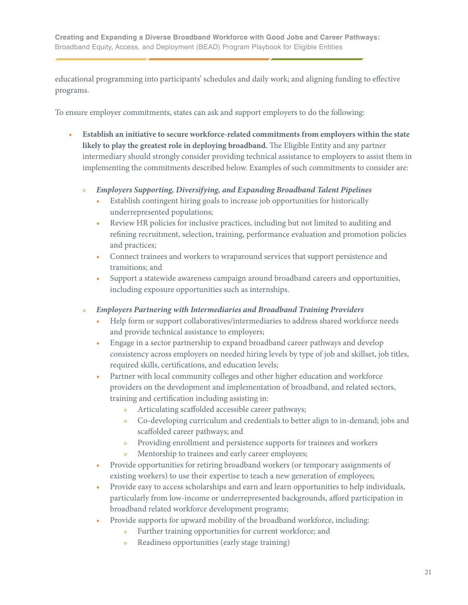educational programming into participants' schedules and daily work; and aligning funding to effective programs.

To ensure employer commitments, states can ask and support employers to do the following:

- **• Establish an initiative to secure workforce-related commitments from employers within the state likely to play the greatest role in deploying broadband.** The Eligible Entity and any partner intermediary should strongly consider providing technical assistance to employers to assist them in implementing the commitments described below. Examples of such commitments to consider are:
	- **•** *Employers Supporting, Diversifying, and Expanding Broadband Talent Pipelines*
		- **•** Establish contingent hiring goals to increase job opportunities for historically underrepresented populations;
		- **•** Review HR policies for inclusive practices, including but not limited to auditing and refining recruitment, selection, training, performance evaluation and promotion policies and practices;
		- **•** Connect trainees and workers to wraparound services that support persistence and transitions; and
		- **•** Support a statewide awareness campaign around broadband careers and opportunities, including exposure opportunities such as internships.
	- **•** *Employers Partnering with Intermediaries and Broadband Training Providers*
		- **•** Help form or support collaboratives/intermediaries to address shared workforce needs and provide technical assistance to employers;
		- **•** Engage in a sector partnership to expand broadband career pathways and develop consistency across employers on needed hiring levels by type of job and skillset, job titles, required skills, certifications, and education levels;
		- **•** Partner with local community colleges and other higher education and workforce providers on the development and implementation of broadband, and related sectors, training and certification including assisting in:
			- **•** Articulating scaffolded accessible career pathways;
			- **•** Co-developing curriculum and credentials to better align to in-demand; jobs and scaffolded career pathways; and
			- **•** Providing enrollment and persistence supports for trainees and workers
			- **•** Mentorship to trainees and early career employees;
		- **•** Provide opportunities for retiring broadband workers (or temporary assignments of existing workers) to use their expertise to teach a new generation of employees;
		- **•** Provide easy to access scholarships and earn and learn opportunities to help individuals, particularly from low-income or underrepresented backgrounds, afford participation in broadband related workforce development programs;
		- **•** Provide supports for upward mobility of the broadband workforce, including:
			- **•** Further training opportunities for current workforce; and
			- **•** Readiness opportunities (early stage training)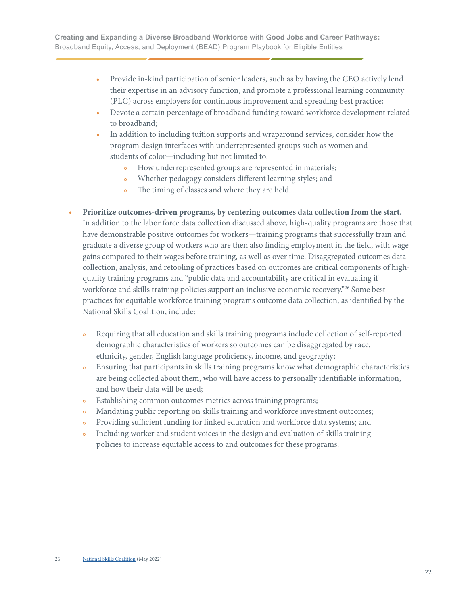- **•** Provide in-kind participation of senior leaders, such as by having the CEO actively lend their expertise in an advisory function, and promote a professional learning community (PLC) across employers for continuous improvement and spreading best practice;
- **•** Devote a certain percentage of broadband funding toward workforce development related to broadband;
- **•** In addition to including tuition supports and wraparound services, consider how the program design interfaces with underrepresented groups such as women and students of color—including but not limited to:
	- How underrepresented groups are represented in materials;
	- Whether pedagogy considers different learning styles; and
	- The timing of classes and where they are held.
- **• Prioritize outcomes-driven programs, by centering outcomes data collection from the start.** In addition to the labor force data collection discussed above, high-quality programs are those that have demonstrable positive outcomes for workers—training programs that successfully train and graduate a diverse group of workers who are then also finding employment in the field, with wage gains compared to their wages before training, as well as over time. Disaggregated outcomes data collection, analysis, and retooling of practices based on outcomes are critical components of high quality training programs and "public data and accountability are critical in evaluating if workforce and skills training policies support an inclusive economic recovery."<sup>26</sup> Some best practices for equitable workforce training programs outcome data collection, as identified by the National Skills Coalition, include:
	- **•** Requiring that all education and skills training programs include collection of self-reported demographic characteristics of workers so outcomes can be disaggregated by race, ethnicity, gender, English language proficiency, income, and geography;
	- **•** Ensuring that participants in skills training programs know what demographic characteristics are being collected about them, who will have access to personally identifiable information, and how their data will be used;
	- **•** Establishing common outcomes metrics across training programs;
	- **•** Mandating public reporting on skills training and workforce investment outcomes;
	- **•** Providing sufficient funding for linked education and workforce data systems; and
	- **•** Including worker and student voices in the design and evaluation of skills training policies to increase equitable access to and outcomes for these programs.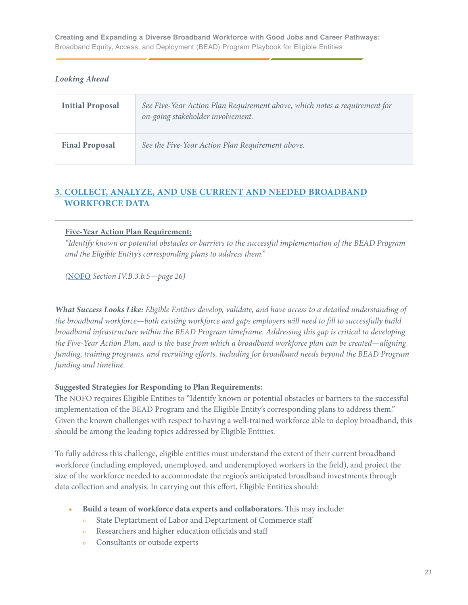#### <span id="page-22-0"></span>*Looking Ahead*

| <b>Initial Proposal</b> | See Five-Year Action Plan Requirement above, which notes a requirement for<br>on-going stakeholder involvement. |
|-------------------------|-----------------------------------------------------------------------------------------------------------------|
| <b>Final Proposal</b>   | See the Five-Year Action Plan Requirement above.                                                                |

### **3. COLLECT, ANALYZE, AND USE CURRENT AND NEEDED BROADBAND WORKFORCE DATA**

#### **Five-Year Action Plan Requirement:**

*"Identify known or potential obstacles or barriers to the successful implementation of the BEAD Program and the Eligible Entity's corresponding plans to address them."* 

*(*[NOFO](https://broadbandusa.ntia.doc.gov/sites/default/files/2022-05/BEAD%20NOFO.pdf) *Section IV.B.3.b.5—page 26)*

*What Success Looks Like: Eligible Entities develop, validate, and have access to a detailed understanding of the broadband workforce—both existing workforce and gaps employers will need to fill to successfully build broadband infrastructure within the BEAD Program timeframe. Addressing this gap is critical to developing the Five-Year Action Plan, and is the base from which a broadband workforce plan can be created—aligning funding, training programs, and recruiting efforts, including for broadband needs beyond the BEAD Program funding and timeline.*

#### **Suggested Strategies for Responding to Plan Requirements:**

The NOFO requires Eligible Entities to "Identify known or potential obstacles or barriers to the successful implementation of the BEAD Program and the Eligible Entity's corresponding plans to address them." Given the known challenges with respect to having a well-trained workforce able to deploy broadband, this should be among the leading topics addressed by Eligible Entities.

To fully address this challenge, eligible entities must understand the extent of their current broadband workforce (including employed, unemployed, and underemployed workers in the field), and project the size of the workforce needed to accommodate the region's anticipated broadband investments through data collection and analysis. In carrying out this effort, Eligible Entities should:

- **• Build a team of workforce data experts and collaborators.** This may include:
	- **•** State Deptartment of Labor and Deptartment of Commerce staff
	- **•** Researchers and higher education officials and staff
	- **•** Consultants or outside experts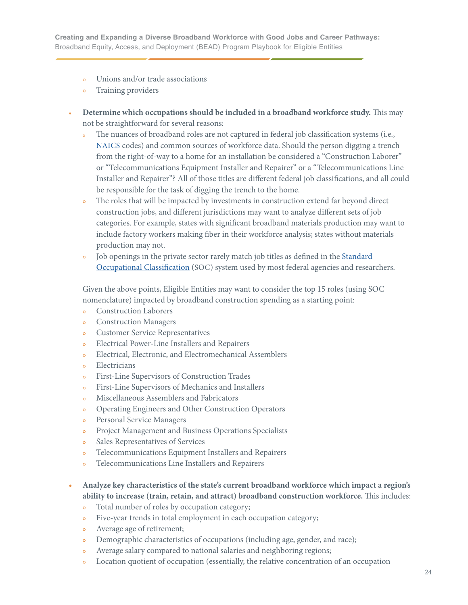- **•** Unions and/or trade associations
- **•** Training providers
- **• Determine which occupations should be included in a broadband workforce study.** This may not be straightforward for several reasons:
	- The nuances of broadband roles are not captured in federal job classification systems (i.e., [NAICS](https://www.census.gov/naics/) codes) and common sources of workforce data. Should the person digging a trench from the right-of-way to a home for an installation be considered a "Construction Laborer" or "Telecommunications Equipment Installer and Repairer" or a "Telecommunications Line Installer and Repairer"? All of those titles are different federal job classifications, and all could be responsible for the task of digging the trench to the home.
	- **•** The roles that will be impacted by investments in construction extend far beyond direct construction jobs, and different jurisdictions may want to analyze different sets of job categories. For example, states with significant broadband materials production may want to include factory workers making fiber in their workforce analysis; states without materials production may not.
	- Job openings in the private sector rarely match job titles as defined in the **Standard**  [Occupational Classification](https://www.bls.gov/soc/) (SOC) system used by most federal agencies and researchers.

 Given the above points, Eligible Entities may want to consider the top 15 roles (using SOC nomenclature) impacted by broadband construction spending as a starting point:

- **•** Construction Laborers
- **•** Construction Managers
- **•** Customer Service Representatives
- **•** Electrical Power-Line Installers and Repairers
- **•** Electrical, Electronic, and Electromechanical Assemblers
- **•** Electricians
- **•** First-Line Supervisors of Construction Trades
- **•** First-Line Supervisors of Mechanics and Installers
- **•** Miscellaneous Assemblers and Fabricators
- **•** Operating Engineers and Other Construction Operators
- **•** Personal Service Managers
- **•** Project Management and Business Operations Specialists
- **•** Sales Representatives of Services
- **•** Telecommunications Equipment Installers and Repairers
- **•** Telecommunications Line Installers and Repairers
- **• Analyze key characteristics of the state's current broadband workforce which impact a region's ability to increase (train, retain, and attract) broadband construction workforce.** This includes:
	- **•** Total number of roles by occupation category;
	- **•** Five-year trends in total employment in each occupation category;
	- **•** Average age of retirement;
	- **•** Demographic characteristics of occupations (including age, gender, and race);
	- **•** Average salary compared to national salaries and neighboring regions;
	- Location quotient of occupation (essentially, the relative concentration of an occupation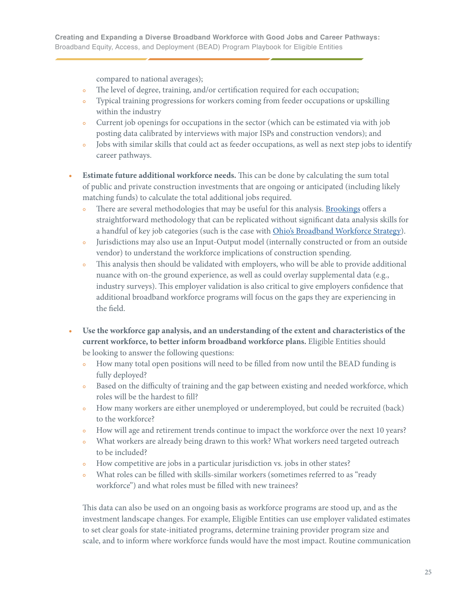compared to national averages);

- The level of degree, training, and/or certification required for each occupation;
- **•** Typical training progressions for workers coming from feeder occupations or upskilling within the industry
- **•** Current job openings for occupations in the sector (which can be estimated via with job posting data calibrated by interviews with major ISPs and construction vendors); and
- Jobs with similar skills that could act as feeder occupations, as well as next step jobs to identify career pathways.
- **• Estimate future additional workforce needs.** This can be done by calculating the sum total of public and private construction investments that are ongoing or anticipated (including likely matching funds) to calculate the total additional jobs required.
	- There are several methodologies that may be useful for this analysis. **Brookings** offers a straightforward methodology that can be replicated without significant data analysis skills for a handful of key job categories (such is the case with [Ohio's Broadband Workforce Strategy\)](https://broadband.ohio.gov/explore-broadband/strengthening-ohios-broadband-5g-workforce/strengthening-ohios-broadband-5g-workforce).
	- **•** Jurisdictions may also use an Input-Output model (internally constructed or from an outside vendor) to understand the workforce implications of construction spending.
	- **•** This analysis then should be validated with employers, who will be able to provide additional nuance with on-the ground experience, as well as could overlay supplemental data (e.g., industry surveys). This employer validation is also critical to give employers confidence that additional broadband workforce programs will focus on the gaps they are experiencing in the field.
- **• Use the workforce gap analysis, and an understanding of the extent and characteristics of the current workforce, to better inform broadband workforce plans.** Eligible Entities should be looking to answer the following questions:
	- How many total open positions will need to be filled from now until the BEAD funding is fully deployed?
	- **•** Based on the difficulty of training and the gap between existing and needed workforce, which roles will be the hardest to fill?
	- How many workers are either unemployed or underemployed, but could be recruited (back) to the workforce?
	- How will age and retirement trends continue to impact the workforce over the next 10 years?
	- **•** What workers are already being drawn to this work? What workers need targeted outreach to be included?
	- How competitive are jobs in a particular jurisdiction vs. jobs in other states?
	- **•** What roles can be filled with skills-similar workers (sometimes referred to as "ready workforce") and what roles must be filled with new trainees?

 This data can also be used on an ongoing basis as workforce programs are stood up, and as the investment landscape changes. For example, Eligible Entities can use employer validated estimates to set clear goals for state-initiated programs, determine training provider program size and scale, and to inform where workforce funds would have the most impact. Routine communication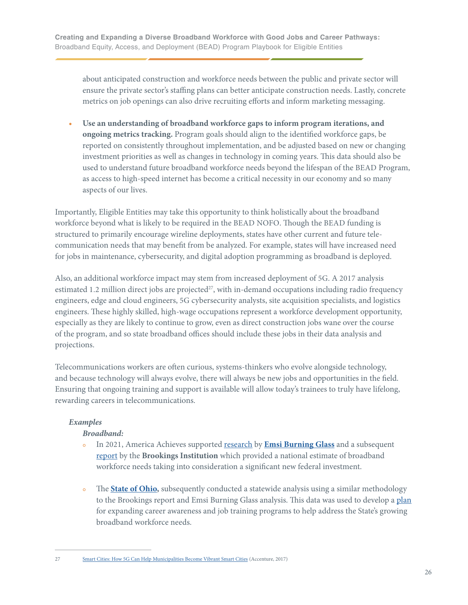about anticipated construction and workforce needs between the public and private sector will ensure the private sector's staffing plans can better anticipate construction needs. Lastly, concrete metrics on job openings can also drive recruiting efforts and inform marketing messaging.

**• Use an understanding of broadband workforce gaps to inform program iterations, and ongoing metrics tracking.** Program goals should align to the identified workforce gaps, be reported on consistently throughout implementation, and be adjusted based on new or changing investment priorities as well as changes in technology in coming years. This data should also be used to understand future broadband workforce needs beyond the lifespan of the BEAD Program, as access to high-speed internet has become a critical necessity in our economy and so many aspects of our lives.

Importantly, Eligible Entities may take this opportunity to think holistically about the broadband workforce beyond what is likely to be required in the BEAD NOFO. Though the BEAD funding is structured to primarily encourage wireline deployments, states have other current and future telecommunication needs that may benefit from be analyzed. For example, states will have increased need for jobs in maintenance, cybersecurity, and digital adoption programming as broadband is deployed.

Also, an additional workforce impact may stem from increased deployment of 5G. A 2017 analysis estimated 1.2 million direct jobs are projected<sup>27</sup>, with in-demand occupations including radio frequency engineers, edge and cloud engineers, 5G cybersecurity analysts, site acquisition specialists, and logistics engineers. These highly skilled, high-wage occupations represent a workforce development opportunity, especially as they are likely to continue to grow, even as direct construction jobs wane over the course of the program, and so state broadband offices should include these jobs in their data analysis and projections.

Telecommunications workers are often curious, systems-thinkers who evolve alongside technology, and because technology will always evolve, there will always be new jobs and opportunities in the field. Ensuring that ongoing training and support is available will allow today's trainees to truly have lifelong, rewarding careers in telecommunications.

#### *Examples*

#### *Broadband:*

- **•** In 2021, America Achieves supported [research](https://americaachieves.org/wp-content/uploads/2022/06/Broadband-Feeders-and-Next-Steps-EBG-1.pdf) by **[Emsi Burning Glass](https://www.economicmodeling.com)** and a subsequent [report](https://www.brookings.edu/research/how-federal-infrastructure-investment-can-put-america-to-work/) by the **Brookings Institution** which provided a national estimate of broadband workforce needs taking into consideration a significant new federal investment.
- The **[State of Ohio,](https://ohio.gov/home/)** subsequently conducted a statewide analysis using a similar methodology to the Brookings report and Emsi Burning Glass analysis. This data was used to develop a [plan](https://broadband.ohio.gov/wps/wcm/connect/gov/7bb60dea-a273-4622-9d0c-67e7201a8016/Strengthening-Ohios-Broadband-5G-Workforce-09072021.pdf?MOD=AJPERES&CONVERT_TO=url&CACHEID=ROOTWORKSPACE.Z18_M1HGGIK0N0JO00QO9DDDDM3000-7bb60dea-a273-4622-9d0c-67e7201a8016-n.Q-v.B) for expanding career awareness and job training programs to help address the State's growing broadband workforce needs.

<sup>27</sup> [Smart Cities: How 5G Can Help Municipalities Become Vibrant Smart Cities](https://www.accenture.com/t20170222t202102__w__/us-en/_acnmedia/pdf-43/accenture-5g-municipalities-become-smart-cities.pdf) (Accenture, 2017)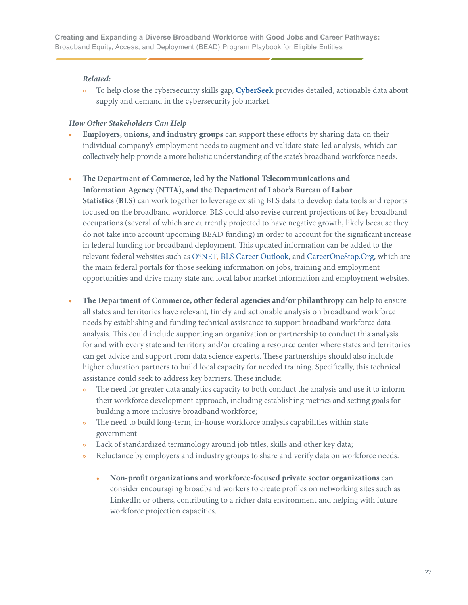#### *Related:*

 **•** To help close the cybersecurity skills gap, **[CyberSeek](https://www.cyberseek.org)** provides detailed, actionable data about supply and demand in the cybersecurity job market.

#### *How Other Stakeholders Can Help*

- **• Employers, unions, and industry groups** can support these efforts by sharing data on their individual company's employment needs to augment and validate state-led analysis, which can collectively help provide a more holistic understanding of the state's broadband workforce needs.
- **• The Department of Commerce, led by the National Telecommunications and Information Agency (NTIA), and the Department of Labor's Bureau of Labor Statistics (BLS)** can work together to leverage existing BLS data to develop data tools and reports focused on the broadband workforce. BLS could also revise current projections of key broadband occupations (several of which are currently projected to have negative growth, likely because they do not take into account upcoming BEAD funding) in order to account for the significant increase in federal funding for broadband deployment. This updated information can be added to the relevant federal websites such as [O\\*NET,](https://www.onetonline.org) [BLS Career Outlook,](https://www.bls.gov/careeroutlook/) and [CareerOneStop.Org](https://www.careeronestop.org), which are the main federal portals for those seeking information on jobs, training and employment opportunities and drive many state and local labor market information and employment websites.
- **• The Department of Commerce, other federal agencies and/or philanthropy** can help to ensure all states and territories have relevant, timely and actionable analysis on broadband workforce needs by establishing and funding technical assistance to support broadband workforce data analysis. This could include supporting an organization or partnership to conduct this analysis for and with every state and territory and/or creating a resource center where states and territories can get advice and support from data science experts. These partnerships should also include higher education partners to build local capacity for needed training. Specifically, this technical assistance could seek to address key barriers. These include:
	- The need for greater data analytics capacity to both conduct the analysis and use it to inform their workforce development approach, including establishing metrics and setting goals for building a more inclusive broadband workforce;
	- The need to build long-term, in-house workforce analysis capabilities within state government
	- Lack of standardized terminology around job titles, skills and other key data;
	- Reluctance by employers and industry groups to share and verify data on workforce needs.
		- **• Non-profit organizations and workforce-focused private sector organizations** can consider encouraging broadband workers to create profiles on networking sites such as LinkedIn or others, contributing to a richer data environment and helping with future workforce projection capacities.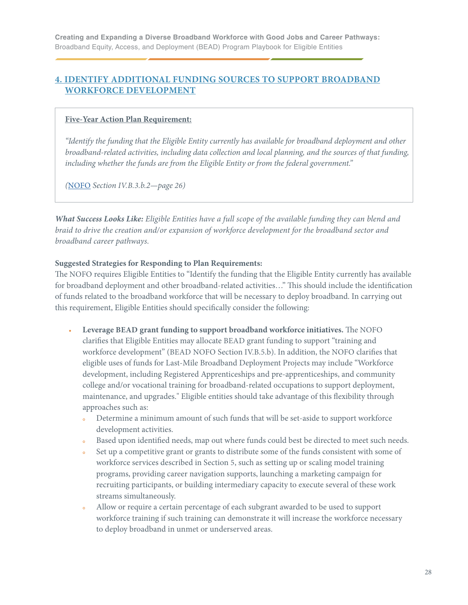### <span id="page-27-0"></span>**4. IDENTIFY ADDITIONAL FUNDING SOURCES TO SUPPORT BROADBAND WORKFORCE DEVELOPMENT**

#### **Five-Year Action Plan Requirement:**

*"Identify the funding that the Eligible Entity currently has available for broadband deployment and other broadband-related activities, including data collection and local planning, and the sources of that funding, including whether the funds are from the Eligible Entity or from the federal government."* 

*(*[NOFO]( https://broadbandusa.ntia.doc.gov/sites/default/files/2022-05/BEAD%20NOFO.pdf) *Section IV.B.3.b.2—page 26)*

*What Success Looks Like: Eligible Entities have a full scope of the available funding they can blend and braid to drive the creation and/or expansion of workforce development for the broadband sector and broadband career pathways.*

#### **Suggested Strategies for Responding to Plan Requirements:**

The NOFO requires Eligible Entities to "Identify the funding that the Eligible Entity currently has available for broadband deployment and other broadband-related activities…" This should include the identification of funds related to the broadband workforce that will be necessary to deploy broadband. In carrying out this requirement, Eligible Entities should specifically consider the following:

- **• Leverage BEAD grant funding to support broadband workforce initiatives.** The NOFO clarifies that Eligible Entities may allocate BEAD grant funding to support "training and workforce development" (BEAD NOFO Section IV.B.5.b). In addition, the NOFO clarifies that eligible uses of funds for Last-Mile Broadband Deployment Projects may include "Workforce development, including Registered Apprenticeships and pre-apprenticeships, and community college and/or vocational training for broadband-related occupations to support deployment, maintenance, and upgrades." Eligible entities should take advantage of this flexibility through approaches such as:
	- Determine a minimum amount of such funds that will be set-aside to support workforce development activities.
	- Based upon identified needs, map out where funds could best be directed to meet such needs.
	- **•** Set up a competitive grant or grants to distribute some of the funds consistent with some of workforce services described in Section 5, such as setting up or scaling model training programs, providing career navigation supports, launching a marketing campaign for recruiting participants, or building intermediary capacity to execute several of these work streams simultaneously.
	- **•** Allow or require a certain percentage of each subgrant awarded to be used to support workforce training if such training can demonstrate it will increase the workforce necessary to deploy broadband in unmet or underserved areas.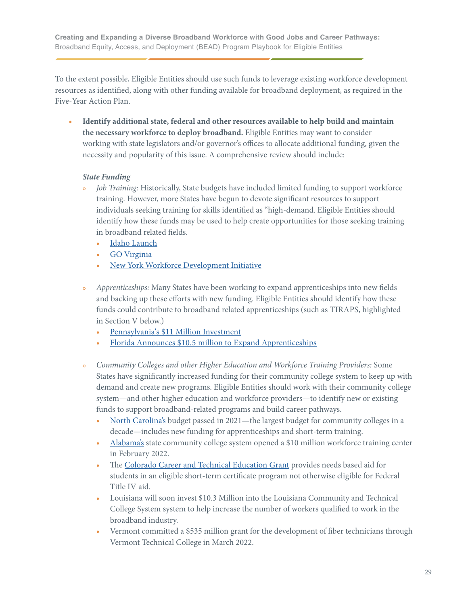To the extent possible, Eligible Entities should use such funds to leverage existing workforce development resources as identified, along with other funding available for broadband deployment, as required in the Five-Year Action Plan.

**• Identify additional state, federal and other resources available to help build and maintain the necessary workforce to deploy broadband.** Eligible Entities may want to consider working with state legislators and/or governor's offices to allocate additional funding, given the necessity and popularity of this issue. A comprehensive review should include:

#### *State Funding*

- **•** *Job Training:* Historically, State budgets have included limited funding to support workforce training. However, more States have begun to devote significant resources to support individuals seeking training for skills identified as "high-demand. Eligible Entities should identify how these funds may be used to help create opportunities for those seeking training in broadband related fields.
	- **•** [Idaho Launch](https://wdc.idaho.gov/wp-content/uploads/sites/62/2021/06/Idaho-Launch-FY22-Budget-Request-Sheet-draftcs.pdf)
	- **•** [GO Virginia](https://dhcd.virginia.gov/gova)
	- **•** [New York Workforce Development Initiative](https://www.governor.ny.gov/news/governor-hochul-announces-7-million-awarded-round-two-new-yorks-workforce-development)
- **•** *Apprenticeships:* Many States have been working to expand apprenticeships into new fields and backing up these efforts with new funding. Eligible Entities should identify how these funds could contribute to broadband related apprenticeships (such as TIRAPS, highlighted in Section V below.)
	- **•** [Pennsylvania's \\$11 Million Investment](https://www.governor.pa.gov/newsroom/gov-wolf-announces-11-million-in-workforce-development-funding-for-pasmart-apprenticeship-programs/)
	- [Florida Announces \\$10.5 million to Expand Apprenticeships](https://www.flgov.com/2022/03/30/governor-ron-desantis-announces-10-5-million-in-funding-to-expand-registered-apprenticeship-and-preapprenticeship-programs/)
- **•** *Community Colleges and other Higher Education and Workforce Training Providers:* Some States have significantly increased funding for their community college system to keep up with demand and create new programs. Eligible Entities should work with their community college system—and other higher education and workforce providers—to identify new or existing funds to support broadband-related programs and build career pathways.
	- [North Carolina's](https://www.nccommunitycolleges.edu/news-center/news/nc-community-college-system-receives-largest-budget-state-over-past-decade) budget passed in 2021—the largest budget for community colleges in a decade—includes new funding for apprenticeships and short-term training.
	- [Alabama's](https://www.accs.edu/accs-opens-innovation-center-starts-enrollment-for-rapid-workforce-training/) state community college system opened a \$10 million workforce training center in February 2022.
	- **•** The [Colorado Career and Technical Education Grant](https://www.acteonline.org/wp-content/uploads/2022/02/2021YIR_AdvanceCTE_ACTE.pdf) provides needs based aid for students in an eligible short-term certificate program not otherwise eligible for Federal Title IV aid.
	- **•** Louisiana will soon invest \$10.3 Million into the Louisiana Community and Technical College System system to help increase the number of workers qualified to work in the broadband industry.
	- **•** Vermont committed a \$535 million grant for the development of fiber technicians through Vermont Technical College in March 2022.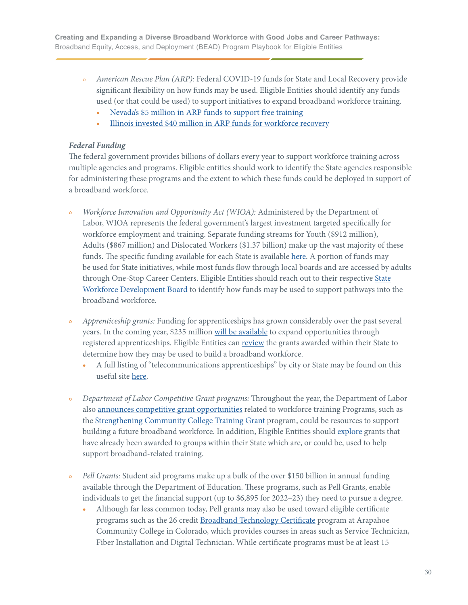- **•** *American Rescue Plan (ARP):* Federal COVID-19 funds for State and Local Recovery provide significant flexibility on how funds may be used. Eligible Entities should identify any funds used (or that could be used) to support initiatives to expand broadband workforce training.
	- **•** [Nevada's \\$5 million in ARP funds to support free training](https://gov.nv.gov/News/Press/2022/2022-03-22_Free_Community_College/)
	- **•** [Illinois invested \\$40 million in ARP funds for workforce recovery](https://www.illinois.gov/news/press-release.23932.html)

#### *Federal Funding*

The federal government provides billions of dollars every year to support workforce training across multiple agencies and programs. Eligible entities should work to identify the State agencies responsible for administering these programs and the extent to which these funds could be deployed in support of a broadband workforce.

- **•** *Workforce Innovation and Opportunity Act (WIOA):* Administered by the Department of Labor, WIOA represents the federal government's largest investment targeted specifically for workforce employment and training. Separate funding streams for Youth (\$912 million), Adults (\$867 million) and Dislocated Workers (\$1.37 billion) make up the vast majority of these funds. The specific funding available for each State is available [here](https://www.govinfo.gov/content/pkg/FR-2022-05-12/pdf/2022-10205.pdf). A portion of funds may be used for State initiatives, while most funds flow through local boards and are accessed by adults through One-Stop Career Centers. Eligible Entities should reach out to their respective [State](https://www.careeronestop.org/LocalHelp/WorkforceDevelopment/find-workforce-development-boards.aspx)  [Workforce Development Board](https://www.careeronestop.org/LocalHelp/WorkforceDevelopment/find-workforce-development-boards.aspx) to identify how funds may be used to support pathways into the broadband workforce.
- **•** *Apprenticeship grants:* Funding for apprenticeships has grown considerably over the past several years. In the coming year, \$235 million [will be available](https://www.apprenticeship.gov/investments-tax-credits-and-tuition-support/open-funding-opportunities) to expand opportunities through registered apprenticeships. Eligible Entities can [review](https://www.apprenticeship.gov/investments-tax-credits-and-tuition-support/awardee-search) the grants awarded within their State to determine how they may be used to build a broadband workforce.
	- **•** A full listing of "telecommunications apprenticeships" by city or State may be found on this useful site [here](https://www.apprenticeship.gov/finder/listings?occupation=telecommunications&location=).
- **•** *Department of Labor Competitive Grant programs:* Throughout the year, the Department of Labor also [announces competitive grant opportunities](https://www.dol.gov/agencies/eta/grants/apply/find-opportunities) related to workforce training Programs, such as the [Strengthening Community College Training Grant](https://www.dol.gov/agencies/eta/skills-training-grants/scc) program, could be resources to support building a future broadband workforce. In addition, Eligible Entities should [explore](https://www.dol.gov/agencies/eta/grants/awards) grants that have already been awarded to groups within their State which are, or could be, used to help support broadband-related training.
- **•** *Pell Grants:* Student aid programs make up a bulk of the over \$150 billion in annual funding available through the Department of Education. These programs, such as Pell Grants, enable individuals to get the financial support (up to \$6,895 for 2022–23) they need to pursue a degree.
	- **•** Although far less common today, Pell grants may also be used toward eligible certificate programs such as the 26 credit [Broadband Technology Certificate](https://www.arapahoe.edu/academics-programs/catalog/degrees-certificates/2022-2023/broadband-technology-certificate) program at Arapahoe Community College in Colorado, which provides courses in areas such as Service Technician, Fiber Installation and Digital Technician. While certificate programs must be at least 15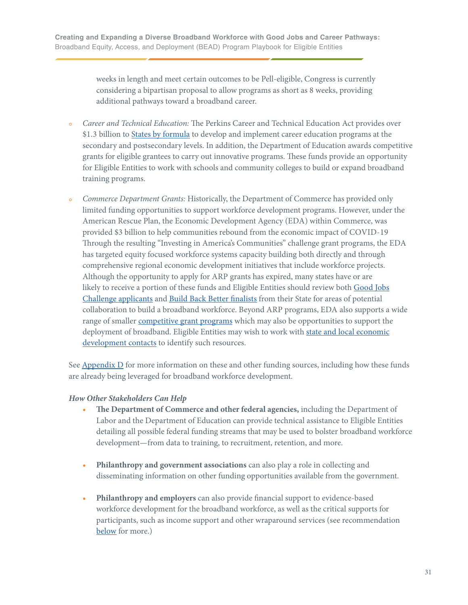weeks in length and meet certain outcomes to be Pell-eligible, Congress is currently considering a bipartisan proposal to allow programs as short as 8 weeks, providing additional pathways toward a broadband career.

- **•** *Career and Technical Education:* The Perkins Career and Technical Education Act provides over \$1.3 billion to **States by formula** to develop and implement career education programs at the secondary and postsecondary levels. In addition, the Department of Education awards competitive grants for eligible grantees to carry out innovative programs. These funds provide an opportunity for Eligible Entities to work with schools and community colleges to build or expand broadband training programs.
- **•** *Commerce Department Grants:* Historically, the Department of Commerce has provided only limited funding opportunities to support workforce development programs. However, under the American Rescue Plan, the Economic Development Agency (EDA) within Commerce, was provided \$3 billion to help communities rebound from the economic impact of COVID-19 Through the resulting "Investing in America's Communities" challenge grant programs, the EDA has targeted equity focused workforce systems capacity building both directly and through comprehensive regional economic development initiatives that include workforce projects. Although the opportunity to apply for ARP grants has expired, many states have or are likely to receive a portion of these funds and Eligible Entities should review both [Good Jobs](https://eda.gov/news/press-releases/2022/02/23/good-jobs-challenge-applicants.htm)  [Challenge applicants](https://eda.gov/news/press-releases/2022/02/23/good-jobs-challenge-applicants.htm) and [Build Back Better finalists](https://eda.gov/arpa/build-back-better/finalists/) from their State for areas of potential collaboration to build a broadband workforce. Beyond ARP programs, EDA also supports a wide range of smaller [competitive grant programs](https://eda.gov/funding-opportunities/) which may also be opportunities to support the deployment of broadband. Eligible Entities may wish to work with [state and local economic](https://eda.gov/resources/directory/) development contacts to identify such resources.

See [Appendix D](#page-65-0) for more information on these and other funding sources, including how these funds are already being leveraged for broadband workforce development.

#### *How Other Stakeholders Can Help*

- **• The Department of Commerce and other federal agencies,** including the Department of Labor and the Department of Education can provide technical assistance to Eligible Entities detailing all possible federal funding streams that may be used to bolster broadband workforce development—from data to training, to recruitment, retention, and more.
- **• Philanthropy and government associations** can also play a role in collecting and disseminating information on other funding opportunities available from the government.
- **• Philanthropy and employers** can also provide financial support to evidence-based workforce development for the broadband workforce, as well as the critical supports for participants, such as income support and other wraparound services (see recommendation [below](#page-31-0) for more.)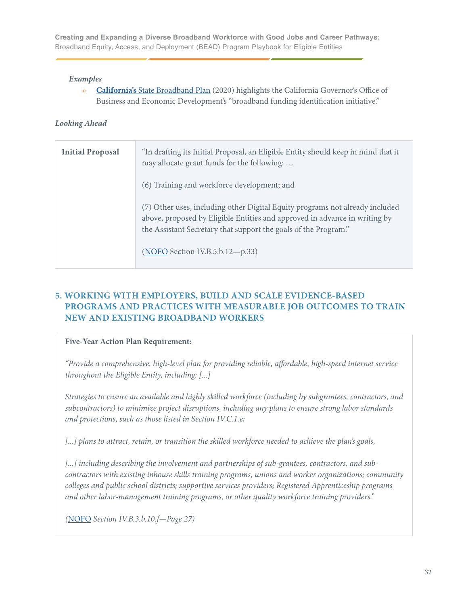#### <span id="page-31-0"></span>*Examples*

**• California's** [State Broadband Plan](https://broadbandcouncil.ca.gov/wp-content/uploads/sites/68/2020/12/BB4All-Action-Plan-Final.pdf) (2020) highlights the California Governor's Office of Business and Economic Development's "broadband funding identification initiative."

#### *Looking Ahead*

| <b>Initial Proposal</b> | "In drafting its Initial Proposal, an Eligible Entity should keep in mind that it<br>may allocate grant funds for the following:                                                                                                                                 |
|-------------------------|------------------------------------------------------------------------------------------------------------------------------------------------------------------------------------------------------------------------------------------------------------------|
|                         | (6) Training and workforce development; and                                                                                                                                                                                                                      |
|                         | (7) Other uses, including other Digital Equity programs not already included<br>above, proposed by Eligible Entities and approved in advance in writing by<br>the Assistant Secretary that support the goals of the Program."<br>(NOFO Section IV.B.5.b.12-p.33) |

### **5. WORKING WITH EMPLOYERS, BUILD AND SCALE EVIDENCE-BASED PROGRAMS AND PRACTICES WITH MEASURABLE JOB OUTCOMES TO TRAIN NEW AND EXISTING BROADBAND WORKERS**

#### **Five-Year Action Plan Requirement:**

*"Provide a comprehensive, high-level plan for providing reliable, affordable, high-speed internet service throughout the Eligible Entity, including: [...]*

*Strategies to ensure an available and highly skilled workforce (including by subgrantees, contractors, and subcontractors) to minimize project disruptions, including any plans to ensure strong labor standards and protections, such as those listed in Section IV.C.1.e;* 

*[...] plans to attract, retain, or transition the skilled workforce needed to achieve the plan's goals,* 

*[...] including describing the involvement and partnerships of sub-grantees, contractors, and subcontractors with existing inhouse skills training programs, unions and worker organizations; community colleges and public school districts; supportive services providers; Registered Apprenticeship programs and other labor-management training programs, or other quality workforce training providers."* 

*(*[NOFO](https://broadbandusa.ntia.doc.gov/sites/default/files/2022-05/BEAD%20NOFO.pdf) *Section IV.B.3.b.10.f—Page 27)*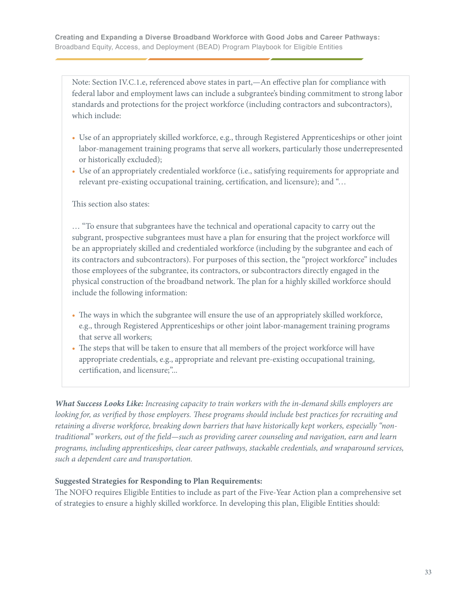Note: Section IV.C.1.e, referenced above states in part,—An effective plan for compliance with federal labor and employment laws can include a subgrantee's binding commitment to strong labor standards and protections for the project workforce (including contractors and subcontractors), which include:

- Use of an appropriately skilled workforce, e.g., through Registered Apprenticeships or other joint labor-management training programs that serve all workers, particularly those underrepresented or historically excluded);
- Use of an appropriately credentialed workforce (i.e., satisfying requirements for appropriate and relevant pre-existing occupational training, certification, and licensure); and "…

#### This section also states:

… "To ensure that subgrantees have the technical and operational capacity to carry out the subgrant, prospective subgrantees must have a plan for ensuring that the project workforce will be an appropriately skilled and credentialed workforce (including by the subgrantee and each of its contractors and subcontractors). For purposes of this section, the "project workforce" includes those employees of the subgrantee, its contractors, or subcontractors directly engaged in the physical construction of the broadband network. The plan for a highly skilled workforce should include the following information:

- The ways in which the subgrantee will ensure the use of an appropriately skilled workforce, e.g., through Registered Apprenticeships or other joint labor-management training programs that serve all workers;
- The steps that will be taken to ensure that all members of the project workforce will have appropriate credentials, e.g., appropriate and relevant pre-existing occupational training, certification, and licensure;"...

*What Success Looks Like: Increasing capacity to train workers with the in-demand skills employers are looking for, as verified by those employers. These programs should include best practices for recruiting and retaining a diverse workforce, breaking down barriers that have historically kept workers, especially "nontraditional" workers, out of the field—such as providing career counseling and navigation, earn and learn programs, including apprenticeships, clear career pathways, stackable credentials, and wraparound services, such a dependent care and transportation.*

#### **Suggested Strategies for Responding to Plan Requirements:**

The NOFO requires Eligible Entities to include as part of the Five-Year Action plan a comprehensive set of strategies to ensure a highly skilled workforce. In developing this plan, Eligible Entities should: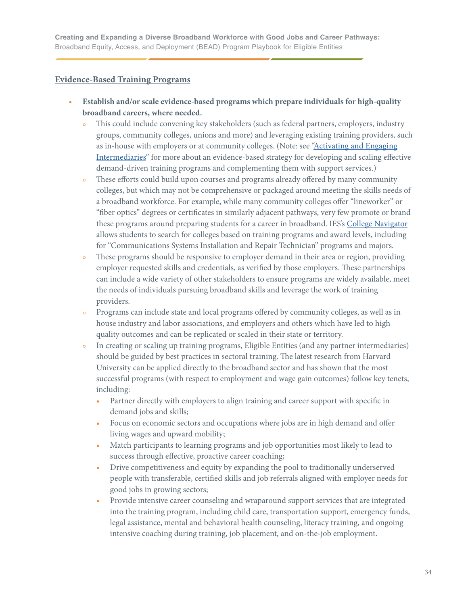#### <span id="page-33-0"></span>**Evidence-Based Training Programs**

- **• Establish and/or scale evidence-based programs which prepare individuals for high-quality broadband careers, where needed.**
	- This could include convening key stakeholders (such as federal partners, employers, industry groups, community colleges, unions and more) and leveraging existing training providers, such as in-house with employers or at community colleges. (Note: see ["Activating and Engaging](#page-38-0)  [Intermediaries"](#page-38-0) for more about an evidence-based strategy for developing and scaling effective demand-driven training programs and complementing them with support services.)
	- **•** These efforts could build upon courses and programs already offered by many community colleges, but which may not be comprehensive or packaged around meeting the skills needs of a broadband workforce. For example, while many community colleges offer "lineworker" or "fiber optics" degrees or certificates in similarly adjacent pathways, very few promote or brand these programs around preparing students for a career in broadband. IES's [College Navigator](https://nces.ed.gov/collegenavigator/) allows students to search for colleges based on training programs and award levels, including for "Communications Systems Installation and Repair Technician" programs and majors.
	- These programs should be responsive to employer demand in their area or region, providing employer requested skills and credentials, as verified by those employers. These partnerships can include a wide variety of other stakeholders to ensure programs are widely available, meet the needs of individuals pursuing broadband skills and leverage the work of training providers.
	- Programs can include state and local programs offered by community colleges, as well as in house industry and labor associations, and employers and others which have led to high quality outcomes and can be replicated or scaled in their state or territory.
	- In creating or scaling up training programs, Eligible Entities (and any partner intermediaries) should be guided by best practices in sectoral training. The latest research from Harvard University can be applied directly to the broadband sector and has shown that the most successful programs (with respect to employment and wage gain outcomes) follow key tenets, including:
		- Partner directly with employers to align training and career support with specific in demand jobs and skills;
		- Focus on economic sectors and occupations where jobs are in high demand and offer living wages and upward mobility;
		- Match participants to learning programs and job opportunities most likely to lead to success through effective, proactive career coaching;
		- Drive competitiveness and equity by expanding the pool to traditionally underserved people with transferable, certified skills and job referrals aligned with employer needs for good jobs in growing sectors;
		- Provide intensive career counseling and wraparound support services that are integrated into the training program, including child care, transportation support, emergency funds, legal assistance, mental and behavioral health counseling, literacy training, and ongoing intensive coaching during training, job placement, and on-the-job employment.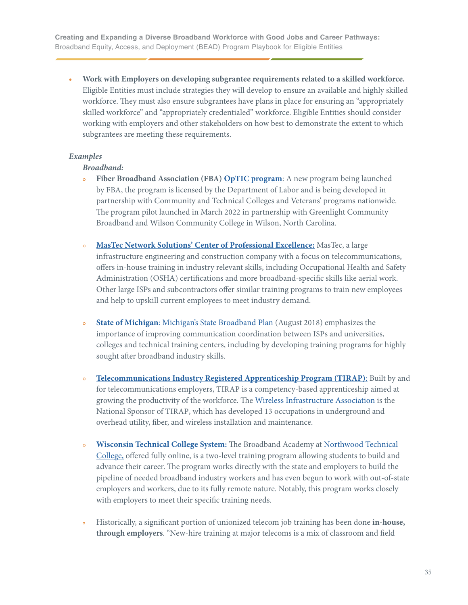**• Work with Employers on developing subgrantee requirements related to a skilled workforce.** Eligible Entities must include strategies they will develop to ensure an available and highly skilled workforce. They must also ensure subgrantees have plans in place for ensuring an "appropriately skilled workforce" and "appropriately credentialed" workforce. Eligible Entities should consider working with employers and other stakeholders on how best to demonstrate the extent to which subgrantees are meeting these requirements.

#### *Examples*

#### *Broadband:*

- **• Fiber Broadband Association (FBA) [OpTIC program](https://www.fiberbroadband.org/page/fba-optic-optical-telecom-installation-certification)**: A new program being launched by FBA, the program is licensed by the Department of Labor and is being developed in partnership with Community and Technical Colleges and Veterans' programs nationwide. The program pilot launched in March 2022 in partnership with Greenlight Community Broadband and Wilson Community College in Wilson, North Carolina.
- **• [MasTec Network Solutions' Center of Professional Excellence:](https://www.mastecnetworksolutions.com/en/services/COPE.aspx)** MasTec, a large infrastructure engineering and construction company with a focus on telecommunications, offers in-house training in industry relevant skills, including Occupational Health and Safety Administration (OSHA) certifications and more broadband-specific skills like aerial work. Other large ISPs and subcontractors offer similar training programs to train new employees and help to upskill current employees to meet industry demand.
- **• [State of Michigan](https://www.michigan.gov/som)**: [Michigan's State Broadband Plan](https://www.michigan.gov/-/media/Project/Websites/formergovernors/Folder15/MCAN_final_report.pdf?rev=68c952ace267438ab9ea39504ac56d56) (August 2018) emphasizes the importance of improving communication coordination between ISPs and universities, colleges and technical training centers, including by developing training programs for highly sought after broadband industry skills.
- **• [Telecommunications Industry Registered Apprenticeship Program \(TIRAP\)](https://www.tirap.org)**: Built by and for telecommunications employers, TIRAP is a competency-based apprenticeship aimed at growing the productivity of the workforce. The [Wireless Infrastructure Association](https://wia.org) is the National Sponsor of TIRAP, which has developed 13 occupations in underground and overhead utility, fiber, and wireless installation and maintenance.
- **• [Wisconsin Technical College System:](https://www.northwoodtech.edu/continuing-education-and-training/professional-development/broadband-academy)** The Broadband Academy at [Northwood Technical](https://www.northwoodtech.edu)  [College,](https://www.northwoodtech.edu) offered fully online, is a two-level training program allowing students to build and advance their career. The program works directly with the state and employers to build the pipeline of needed broadband industry workers and has even begun to work with out-of-state employers and workers, due to its fully remote nature. Notably, this program works closely with employers to meet their specific training needs.
- Historically, a significant portion of unionized telecom job training has been done in-house,  **through employers**. "New-hire training at major telecoms is a mix of classroom and field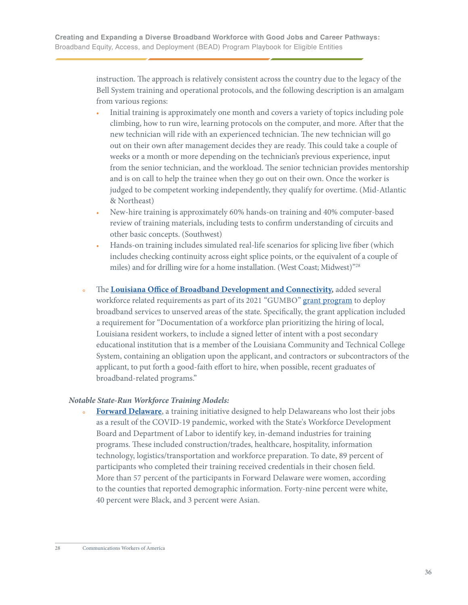instruction. The approach is relatively consistent across the country due to the legacy of the Bell System training and operational protocols, and the following description is an amalgam from various regions:

- **•** Initial training is approximately one month and covers a variety of topics including pole climbing, how to run wire, learning protocols on the computer, and more. After that the new technician will ride with an experienced technician. The new technician will go out on their own after management decides they are ready. This could take a couple of weeks or a month or more depending on the technician's previous experience, input from the senior technician, and the workload. The senior technician provides mentorship and is on call to help the trainee when they go out on their own. Once the worker is judged to be competent working independently, they qualify for overtime. (Mid-Atlantic & Northeast)
- New-hire training is approximately 60% hands-on training and 40% computer-based review of training materials, including tests to confirm understanding of circuits and other basic concepts. (Southwest)
- **•** Hands-on training includes simulated real-life scenarios for splicing live fiber (which includes checking continuity across eight splice points, or the equivalent of a couple of miles) and for drilling wire for a home installation. (West Coast; Midwest)"28
- **•** The **[Louisiana Office of Broadband Development and Connectivity,](https://connect.la.gov)** added several workforce related requirements as part of its 2021 "GUMBO" [grant program](https://gumbo.la.gov/broadband) to deploy broadband services to unserved areas of the state. Specifically, the grant application included a requirement for "Documentation of a workforce plan prioritizing the hiring of local, Louisiana resident workers, to include a signed letter of intent with a post secondary educational institution that is a member of the Louisiana Community and Technical College System, containing an obligation upon the applicant, and contractors or subcontractors of the applicant, to put forth a good-faith effort to hire, when possible, recent graduates of broadband-related programs."

#### *Notable State-Run Workforce Training Models:*

**[Forward Delaware](https://labor.delaware.gov/forward-delaware/)**, a training initiative designed to help Delawareans who lost their jobs as a result of the COVID-19 pandemic, worked with the State's Workforce Development Board and Department of Labor to identify key, in-demand industries for training programs. These included construction/trades, healthcare, hospitality, information technology, logistics/transportation and workforce preparation. To date, 89 percent of participants who completed their training received credentials in their chosen field. More than 57 percent of the participants in Forward Delaware were women, according to the counties that reported demographic information. Forty-nine percent were white, 40 percent were Black, and 3 percent were Asian.

<sup>28</sup> Communications Workers of America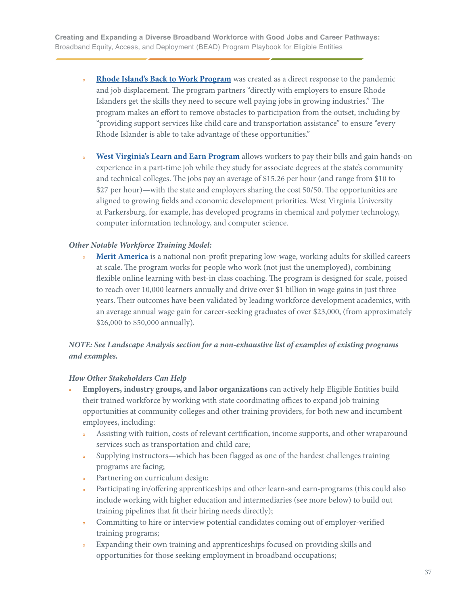- **• [Rhode Island's Back to Work Program](https://www.backtoworkri.com/dashboard?lang=en)** was created as a direct response to the pandemic and job displacement. The program partners "directly with employers to ensure Rhode Islanders get the skills they need to secure well paying jobs in growing industries." The program makes an effort to remove obstacles to participation from the outset, including by "providing support services like child care and transportation assistance" to ensure "every Rhode Islander is able to take advantage of these opportunities."
- **• [West Virginia's Learn and Earn Program](https://wvpress.org/wvpa-sharing/states-learn-earn-program-helps-students-go-college-pay-bills-home/)** allows workers to pay their bills and gain hands-on experience in a part-time job while they study for associate degrees at the state's community and technical colleges. The jobs pay an average of \$15.26 per hour (and range from \$10 to \$27 per hour)—with the state and employers sharing the cost 50/50. The opportunities are aligned to growing fields and economic development priorities. West Virginia University at Parkersburg, for example, has developed programs in chemical and polymer technology, computer information technology, and computer science.

#### *Other Notable Workforce Training Model:*

• [Merit America](https://meritamerica.org) is a national non-profit preparing low-wage, working adults for skilled careers at scale. The program works for people who work (not just the unemployed), combining flexible online learning with best-in class coaching. The program is designed for scale, poised to reach over 10,000 learners annually and drive over \$1 billion in wage gains in just three years. Their outcomes have been validated by leading workforce development academics, with an average annual wage gain for career-seeking graduates of over \$23,000, (from approximately \$26,000 to \$50,000 annually).

## *NOTE: See Landscape Analysis section for a non-exhaustive list of examples of existing programs and examples.*

#### *How Other Stakeholders Can Help*

- **• Employers, industry groups, and labor organizations** can actively help Eligible Entities build their trained workforce by working with state coordinating offices to expand job training opportunities at community colleges and other training providers, for both new and incumbent employees, including:
	- Assisting with tuition, costs of relevant certification, income supports, and other wraparound services such as transportation and child care;
	- **•** Supplying instructors—which has been flagged as one of the hardest challenges training programs are facing;
	- Partnering on curriculum design;
	- Participating in/offering apprenticeships and other learn-and earn-programs (this could also include working with higher education and intermediaries (see more below) to build out training pipelines that fit their hiring needs directly);
	- Committing to hire or interview potential candidates coming out of employer-verified training programs;
	- **•** Expanding their own training and apprenticeships focused on providing skills and opportunities for those seeking employment in broadband occupations;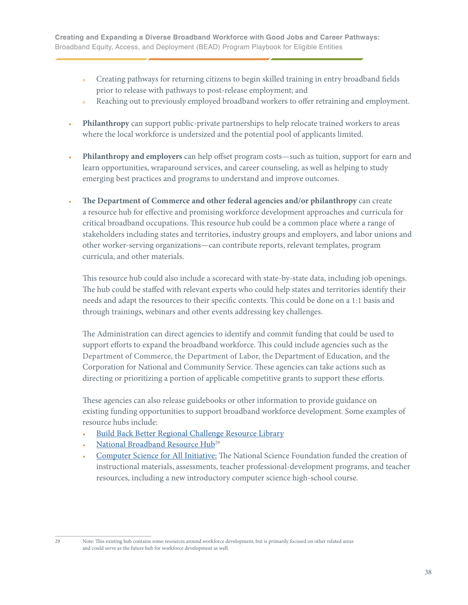- **•** Creating pathways for returning citizens to begin skilled training in entry broadband fields prior to release with pathways to post-release employment; and
- Reaching out to previously employed broadband workers to offer retraining and employment.
- **• Philanthropy** can support public-private partnerships to help relocate trained workers to areas where the local workforce is undersized and the potential pool of applicants limited.
- **• Philanthropy and employers** can help offset program costs—such as tuition, support for earn and learn opportunities, wraparound services, and career counseling, as well as helping to study emerging best practices and programs to understand and improve outcomes.
- **• The Department of Commerce and other federal agencies and/or philanthropy** can create a resource hub for effective and promising workforce development approaches and curricula for critical broadband occupations. This resource hub could be a common place where a range of stakeholders including states and territories, industry groups and employers, and labor unions and other worker-serving organizations—can contribute reports, relevant templates, program curricula, and other materials.

 This resource hub could also include a scorecard with state-by-state data, including job openings. The hub could be staffed with relevant experts who could help states and territories identify their needs and adapt the resources to their specific contexts. This could be done on a 1:1 basis and through trainings, webinars and other events addressing key challenges.

 The Administration can direct agencies to identify and commit funding that could be used to support efforts to expand the broadband workforce. This could include agencies such as the Department of Commerce, the Department of Labor, the Department of Education, and the Corporation for National and Community Service. These agencies can take actions such as directing or prioritizing a portion of applicable competitive grants to support these efforts.

 These agencies can also release guidebooks or other information to provide guidance on existing funding opportunities to support broadband workforce development. Some examples of resource hubs include:

- **•** [Build Back Better Regional Challenge Resource Library](https://americaachieves.org/build-back-better-regional-challenge-resource-library/)
- National Broadband Resource Hub<sup>29</sup>
- **•** [Computer Science for All Initiative](https://obamawhitehouse.archives.gov/the-press-office/2016/01/30/fact-sheet-president-obama-announces-computer-science-all-initiative-0): The National Science Foundation funded the creation of instructional materials, assessments, teacher professional-development programs, and teacher resources, including a new introductory computer science high-school course.

<sup>29</sup> Note: This existing hub contains some resources around workforce development, but is primarily focused on other related areas and could serve as the future hub for workforce development as well.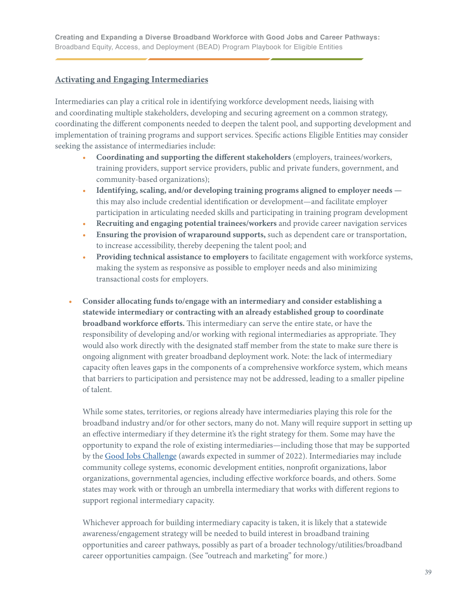# **Activating and Engaging Intermediaries**

Intermediaries can play a critical role in identifying workforce development needs, liaising with and coordinating multiple stakeholders, developing and securing agreement on a common strategy, coordinating the different components needed to deepen the talent pool, and supporting development and implementation of training programs and support services. Specific actions Eligible Entities may consider seeking the assistance of intermediaries include:

- **Coordinating and supporting the different stakeholders** (employers, trainees/workers, training providers, support service providers, public and private funders, government, and community-based organizations);
- **Identifying, scaling, and/or developing training programs aligned to employer needs**  this may also include credential identification or development—and facilitate employer participation in articulating needed skills and participating in training program development
- **Recruiting and engaging potential trainees/workers** and provide career navigation services
- **Ensuring the provision of wraparound supports,** such as dependent care or transportation, to increase accessibility, thereby deepening the talent pool; and
- **Providing technical assistance to employers** to facilitate engagement with workforce systems, making the system as responsive as possible to employer needs and also minimizing transactional costs for employers.
- **• Consider allocating funds to/engage with an intermediary and consider establishing a statewide intermediary or contracting with an already established group to coordinate broadband workforce efforts.** This intermediary can serve the entire state, or have the responsibility of developing and/or working with regional intermediaries as appropriate. They would also work directly with the designated staff member from the state to make sure there is ongoing alignment with greater broadband deployment work. Note: the lack of intermediary capacity often leaves gaps in the components of a comprehensive workforce system, which means that barriers to participation and persistence may not be addressed, leading to a smaller pipeline of talent.

 While some states, territories, or regions already have intermediaries playing this role for the broadband industry and/or for other sectors, many do not. Many will require support in setting up an effective intermediary if they determine it's the right strategy for them. Some may have the opportunity to expand the role of existing intermediaries—including those that may be supported by the [Good Jobs Challenge](https://eda.gov/arpa/good-jobs-challenge/) (awards expected in summer of 2022). Intermediaries may include community college systems, economic development entities, nonprofit organizations, labor organizations, governmental agencies, including effective workforce boards, and others. Some states may work with or through an umbrella intermediary that works with different regions to support regional intermediary capacity.

 Whichever approach for building intermediary capacity is taken, it is likely that a statewide awareness/engagement strategy will be needed to build interest in broadband training opportunities and career pathways, possibly as part of a broader technology/utilities/broadband career opportunities campaign. (See "outreach and marketing" for more.)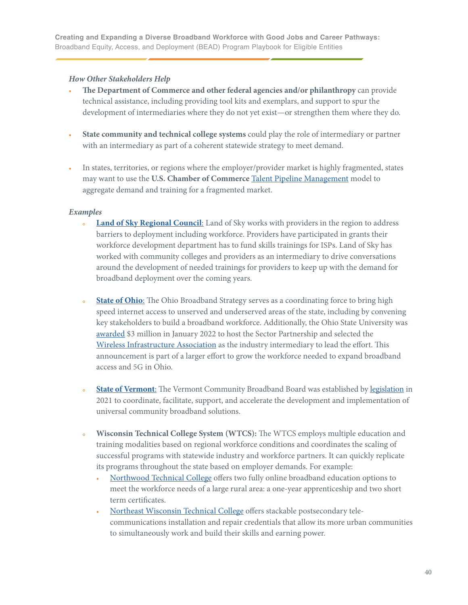#### *How Other Stakeholders Help*

- **• The Department of Commerce and other federal agencies and/or philanthropy** can provide technical assistance, including providing tool kits and exemplars, and support to spur the development of intermediaries where they do not yet exist—or strengthen them where they do.
- **• State community and technical college systems** could play the role of intermediary or partner with an intermediary as part of a coherent statewide strategy to meet demand.
- **•** In states, territories, or regions where the employer/provider market is highly fragmented, states may want to use the **U.S. Chamber of Commerce** [Talent Pipeline Management](https://www.uschamberfoundation.org/talent-pipeline-management) model to aggregate demand and training for a fragmented market.

#### *Examples*

- **[Land of Sky Regional Council](http://www.landofsky.org/westngnbroadband.html)**: Land of Sky works with providers in the region to address barriers to deployment including workforce. Providers have participated in grants their workforce development department has to fund skills trainings for ISPs. Land of Sky has worked with community colleges and providers as an intermediary to drive conversations around the development of needed trainings for providers to keep up with the demand for broadband deployment over the coming years.
- **[State of Ohio](https://innovateohio.gov/priorities/resources/broadband/)**: The Ohio Broadband Strategy serves as a coordinating force to bring high speed internet access to unserved and underserved areas of the state, including by convening key stakeholders to build a broadband workforce. Additionally, the Ohio State University was [awarded](https://broadband.ohio.gov/news-and-events/all-news/2022-0526-husted-announce-industry-education-government-entities) \$3 million in January 2022 to host the Sector Partnership and selected the [Wireless Infrastructure Association](https://wia.org/wia-selected-as-industry-intermediary-for-ohio-state-universitys-broadband-and-5g-sector-partnership-with-the-ohio-governors-office-of-workforce-transformation/) as the industry intermediary to lead the effort. This announcement is part of a larger effort to grow the workforce needed to expand broadband access and 5G in Ohio.
- **[State of Vermont](https://publicservice.vermont.gov/vcbb)**: The Vermont Community Broadband Board was established by [legislation](https://legislature.vermont.gov/Documents/2022/Docs/ACTS/ACT071/ACT071%20As%20Enacted.pdf) in 2021 to coordinate, facilitate, support, and accelerate the development and implementation of universal community broadband solutions.
- **• Wisconsin Technical College System (WTCS):** The WTCS employs multiple education and training modalities based on regional workforce conditions and coordinates the scaling of successful programs with statewide industry and workforce partners. It can quickly replicate its programs throughout the state based on employer demands. For example:
	- [Northwood Technical College](https://www.northwoodtech.edu) offers two fully online broadband education options to meet the workforce needs of a large rural area: a one-year apprenticeship and two short term certificates.
	- [Northeast Wisconsin Technical College](https://www.nwtc.edu) offers stackable postsecondary tele communications installation and repair credentials that allow its more urban communities to simultaneously work and build their skills and earning power.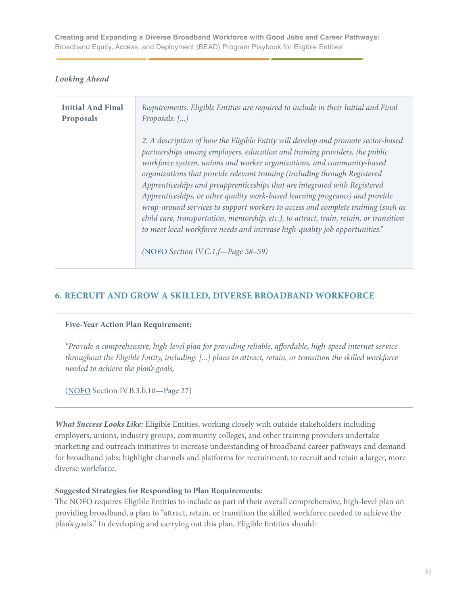#### *Looking Ahead*

| <b>Initial And Final</b> | Requirements. Eligible Entities are required to include in their Initial and Final                                                                                                                                                                                                                                                                                                                                                                                                                                                                                                                                                                                                                                                                                                       |
|--------------------------|------------------------------------------------------------------------------------------------------------------------------------------------------------------------------------------------------------------------------------------------------------------------------------------------------------------------------------------------------------------------------------------------------------------------------------------------------------------------------------------------------------------------------------------------------------------------------------------------------------------------------------------------------------------------------------------------------------------------------------------------------------------------------------------|
| Proposals                | Proposals: $[]$                                                                                                                                                                                                                                                                                                                                                                                                                                                                                                                                                                                                                                                                                                                                                                          |
|                          | 2. A description of how the Eligible Entity will develop and promote sector-based<br>partnerships among employers, education and training providers, the public<br>workforce system, unions and worker organizations, and community-based<br>organizations that provide relevant training (including through Registered<br>Apprenticeships and preapprenticeships that are integrated with Registered<br>Apprenticeships, or other quality work-based learning programs) and provide<br>wrap-around services to support workers to access and complete training (such as<br>child care, transportation, mentorship, etc.), to attract, train, retain, or transition<br>to meet local workforce needs and increase high-quality job opportunities."<br>(NOFO Section IV.C.1.f-Page 58-59) |

## **6. RECRUIT AND GROW A SKILLED, DIVERSE BROADBAND WORKFORCE**

#### **Five-Year Action Plan Requirement:**

*"Provide a comprehensive, high-level plan for providing reliable, affordable, high-speed internet service throughout the Eligible Entity, including: [...] plans to attract, retain, or transition the skilled workforce needed to achieve the plan's goals,* 

[\(NOFO](https://broadbandusa.ntia.doc.gov/sites/default/files/2022-05/BEAD%20NOFO.pdf) Section IV.B.3.b.10—Page 27)

*What Success Looks Like:* Eligible Entities, working closely with outside stakeholders including employers, unions, industry groups, community colleges, and other training providers undertake marketing and outreach initiatives to increase understanding of broadband career pathways and demand for broadband jobs; highlight channels and platforms for recruitment; to recruit and retain a larger, more diverse workforce.

#### **Suggested Strategies for Responding to Plan Requirements:**

The NOFO requires Eligible Entities to include as part of their overall comprehensive, high-level plan on providing broadband, a plan to "attract, retain, or transition the skilled workforce needed to achieve the plan's goals." In developing and carrying out this plan, Eligible Entities should: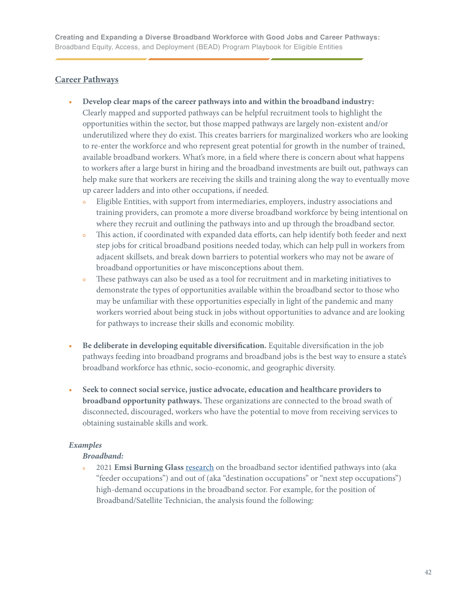## **Career Pathways**

- **• Develop clear maps of the career pathways into and within the broadband industry:** Clearly mapped and supported pathways can be helpful recruitment tools to highlight the opportunities within the sector, but those mapped pathways are largely non-existent and/or underutilized where they do exist. This creates barriers for marginalized workers who are looking to re-enter the workforce and who represent great potential for growth in the number of trained, available broadband workers. What's more, in a field where there is concern about what happens to workers after a large burst in hiring and the broadband investments are built out, pathways can help make sure that workers are receiving the skills and training along the way to eventually move up career ladders and into other occupations, if needed.
	- **•** Eligible Entities, with support from intermediaries, employers, industry associations and training providers, can promote a more diverse broadband workforce by being intentional on where they recruit and outlining the pathways into and up through the broadband sector.
	- **•** This action, if coordinated with expanded data efforts, can help identify both feeder and next step jobs for critical broadband positions needed today, which can help pull in workers from adjacent skillsets, and break down barriers to potential workers who may not be aware of broadband opportunities or have misconceptions about them.
	- These pathways can also be used as a tool for recruitment and in marketing initiatives to demonstrate the types of opportunities available within the broadband sector to those who may be unfamiliar with these opportunities especially in light of the pandemic and many workers worried about being stuck in jobs without opportunities to advance and are looking for pathways to increase their skills and economic mobility.
- **• Be deliberate in developing equitable diversification.** Equitable diversification in the job pathways feeding into broadband programs and broadband jobs is the best way to ensure a state's broadband workforce has ethnic, socio-economic, and geographic diversity.
- **• Seek to connect social service, justice advocate, education and healthcare providers to broadband opportunity pathways.** These organizations are connected to the broad swath of disconnected, discouraged, workers who have the potential to move from receiving services to obtaining sustainable skills and work.

## *Examples*

#### *Broadband:*

 **•** 2021 **Emsi Burning Glass** [research](https://americaachieves.org/wp-content/uploads/2022/06/Broadband-Feeders-and-Next-Steps-EBG-1.pdf) on the broadband sector identified pathways into (aka "feeder occupations") and out of (aka "destination occupations" or "next step occupations") high-demand occupations in the broadband sector. For example, for the position of Broadband/Satellite Technician, the analysis found the following: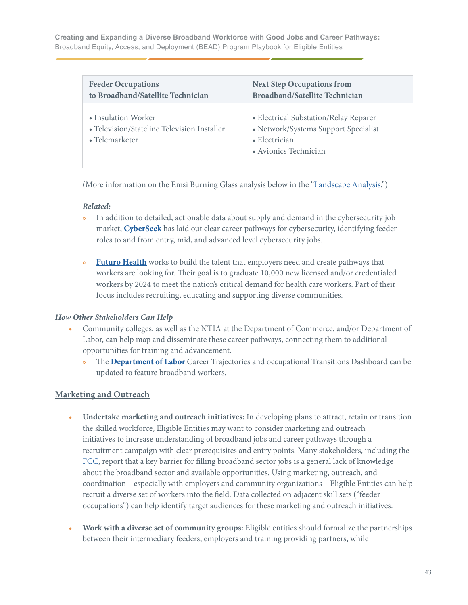| <b>Feeder Occupations</b>                                                            | <b>Next Step Occupations from</b>                                                                                               |
|--------------------------------------------------------------------------------------|---------------------------------------------------------------------------------------------------------------------------------|
| to Broadband/Satellite Technician                                                    | <b>Broadband/Satellite Technician</b>                                                                                           |
| • Insulation Worker<br>• Television/Stateline Television Installer<br>• Telemarketer | • Electrical Substation/Relay Reparer<br>• Network/Systems Support Specialist<br>$\bullet$ Electrician<br>• Avionics Technician |

(More information on the Emsi Burning Glass analysis below in the ["Landscape Analysis](#page-54-0).")

### *Related:*

- In addition to detailed, actionable data about supply and demand in the cybersecurity job market, **[CyberSeek](https://www.cyberseek.org/pathway.html)** has laid out clear career pathways for cybersecurity, identifying feeder roles to and from entry, mid, and advanced level cybersecurity jobs.
- **• [Futuro Health](https://futurohealth.org)** works to build the talent that employers need and create pathways that workers are looking for. Their goal is to graduate 10,000 new licensed and/or credentialed workers by 2024 to meet the nation's critical demand for health care workers. Part of their focus includes recruiting, educating and supporting diverse communities.

## *How Other Stakeholders Can Help*

- **•** Community colleges, as well as the NTIA at the Department of Commerce, and/or Department of Labor, can help map and disseminate these career pathways, connecting them to additional opportunities for training and advancement.
	- **•** The **[Department of Labor](https://www.dol.gov/agencies/oasp/evaluation/resources/career-trajectories-and-occupational-transitions-dashboard)** Career Trajectories and occupational Transitions Dashboard can be updated to feature broadband workers.

# **Marketing and Outreach**

- **• Undertake marketing and outreach initiatives:** In developing plans to attract, retain or transition the skilled workforce, Eligible Entities may want to consider marketing and outreach initiatives to increase understanding of broadband jobs and career pathways through a recruitment campaign with clear prerequisites and entry points. Many stakeholders, including the [FCC,](https://www.fcc.gov/sites/default/files/bdac-job-skills-training-opportunities-approved-rec-10292020.pdf) report that a key barrier for filling broadband sector jobs is a general lack of knowledge about the broadband sector and available opportunities. Using marketing, outreach, and coordination—especially with employers and community organizations—Eligible Entities can help recruit a diverse set of workers into the field. Data collected on adjacent skill sets ("feeder occupations") can help identify target audiences for these marketing and outreach initiatives.
- **• Work with a diverse set of community groups:** Eligible entities should formalize the partnerships between their intermediary feeders, employers and training providing partners, while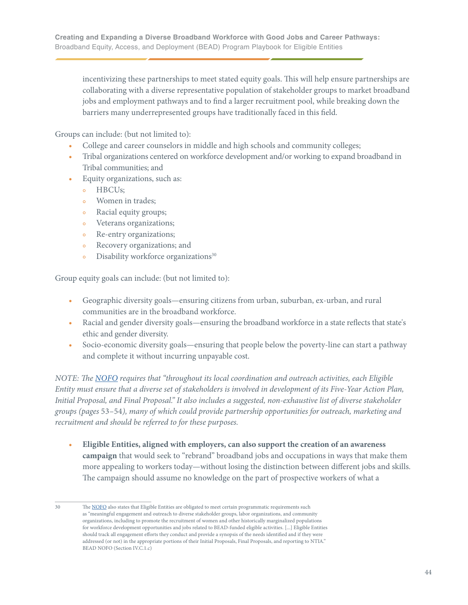incentivizing these partnerships to meet stated equity goals. This will help ensure partnerships are collaborating with a diverse representative population of stakeholder groups to market broadband jobs and employment pathways and to find a larger recruitment pool, while breaking down the barriers many underrepresented groups have traditionally faced in this field.

Groups can include: (but not limited to):

- **•** College and career counselors in middle and high schools and community colleges;
- **•** Tribal organizations centered on workforce development and/or working to expand broadband in Tribal communities; and
- **•** Equity organizations, such as:
	- **•** HBCUs;
	- **•** Women in trades;
	- **•** Racial equity groups;
	- **•** Veterans organizations;
	- **•** Re-entry organizations;
	- **•** Recovery organizations; and
	- Disability workforce organizations<sup>30</sup>

Group equity goals can include: (but not limited to):

- **•** Geographic diversity goals—ensuring citizens from urban, suburban, ex-urban, and rural communities are in the broadband workforce.
- Racial and gender diversity goals—ensuring the broadband workforce in a state reflects that state's ethic and gender diversity.
- Socio-economic diversity goals—ensuring that people below the poverty-line can start a pathway and complete it without incurring unpayable cost.

*NOTE: The [NOFO](https://broadbandusa.ntia.doc.gov/sites/default/files/2022-05/BEAD%20NOFO.pdf) requires that "throughout its local coordination and outreach activities, each Eligible Entity must ensure that a diverse set of stakeholders is involved in development of its Five-Year Action Plan, Initial Proposal, and Final Proposal." It also includes a suggested, non-exhaustive list of diverse stakeholder groups (pages* 53–54*), many of which could provide partnership opportunities for outreach, marketing and recruitment and should be referred to for these purposes.* 

- **• Eligible Entities, aligned with employers, can also support the creation of an awareness campaign** that would seek to "rebrand" broadband jobs and occupations in ways that make them more appealing to workers today—without losing the distinction between different jobs and skills. The campaign should assume no knowledge on the part of prospective workers of what a
- 30 The [NOFO](https://broadbandusa.ntia.doc.gov/sites/default/files/2022-05/BEAD%20NOFO.pdf) also states that Eligible Entities are obligated to meet certain programmatic requirements such as "meaningful engagement and outreach to diverse stakeholder groups, labor organizations, and community organizations, including to promote the recruitment of women and other historically marginalized populations for workforce development opportunities and jobs related to BEAD-funded eligible activities. [...] Eligible Entities should track all engagement efforts they conduct and provide a synopsis of the needs identified and if they were addressed (or not) in the appropriate portions of their Initial Proposals, Final Proposals, and reporting to NTIA." BEAD NOFO (Section IV.C.1.c)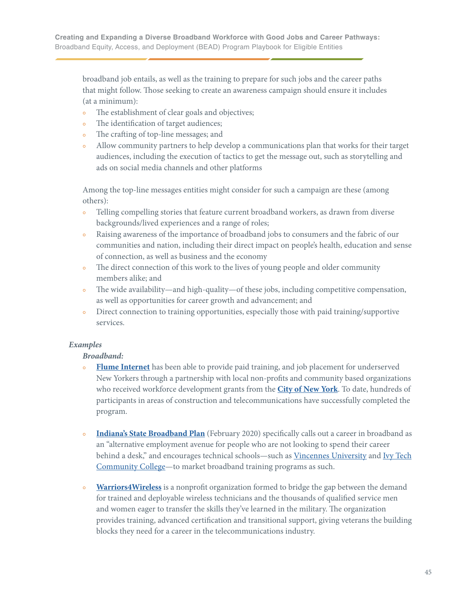broadband job entails, as well as the training to prepare for such jobs and the career paths that might follow. Those seeking to create an awareness campaign should ensure it includes (at a minimum):

- The establishment of clear goals and objectives;
- The identification of target audiences;
- The crafting of top-line messages; and
- Allow community partners to help develop a communications plan that works for their target audiences, including the execution of tactics to get the message out, such as storytelling and ads on social media channels and other platforms

 Among the top-line messages entities might consider for such a campaign are these (among others):

- Telling compelling stories that feature current broadband workers, as drawn from diverse backgrounds/lived experiences and a range of roles;
- **•** Raising awareness of the importance of broadband jobs to consumers and the fabric of our communities and nation, including their direct impact on people's health, education and sense of connection, as well as business and the economy
- The direct connection of this work to the lives of young people and older community members alike; and
- The wide availability—and high-quality—of these jobs, including competitive compensation, as well as opportunities for career growth and advancement; and
- Direct connection to training opportunities, especially those with paid training/supportive services.

## *Examples*

## *Broadband:*

- **• [Flume Internet](https://www.flumeinternet.com)** has been able to provide paid training, and job placement for underserved New Yorkers through a partnership with local non-profits and community based organizations who received workforce development grants from the **[City of New York](https://www1.nyc.gov)**. To date, hundreds of participants in areas of construction and telecommunications have successfully completed the program.
- **• [Indiana's State Broadband Plan](https://www.in.gov/indianabroadband/files/indiana-statewide-broadband-strategic-plan-3-24-2020.pdf)** (February 2020) specifically calls out a career in broadband as an "alternative employment avenue for people who are not looking to spend their career behind a desk," and encourages technical schools—such as [Vincennes University](https://www.vinu.edu/web/workforce-development/nextleveljobs) and [Ivy Tech](https://content.govdelivery.com/accounts/INDWD/bulletins/2ebf507)  [Community College](https://content.govdelivery.com/accounts/INDWD/bulletins/2ebf507)—to market broadband training programs as such.
- **• [Warriors4Wireless](https://www.warriors4wireless.org/careers/tower/)** is a nonprofit organization formed to bridge the gap between the demand for trained and deployable wireless technicians and the thousands of qualified service men and women eager to transfer the skills they've learned in the military. The organization provides training, advanced certification and transitional support, giving veterans the building blocks they need for a career in the telecommunications industry.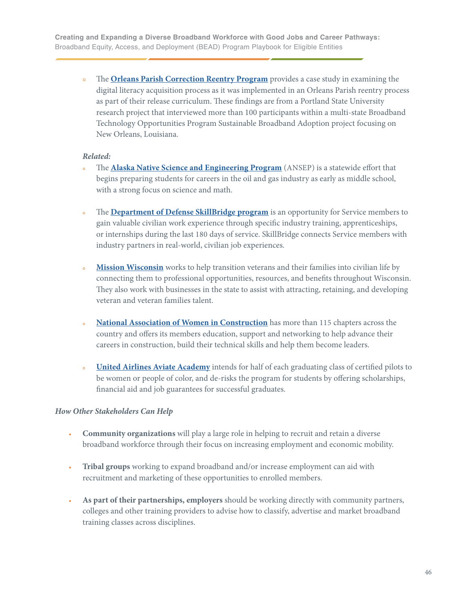**•** The **[Orleans Parish Correction Reentry Program](https://pdxscholar.library.pdx.edu/cgi/viewcontent.cgi?article=1020&context=dla_research_briefs)** provides a case study in examining the digital literacy acquisition process as it was implemented in an Orleans Parish reentry process as part of their release curriculum. These findings are from a Portland State University research project that interviewed more than 100 participants within a multi-state Broadband Technology Opportunities Program Sustainable Broadband Adoption project focusing on New Orleans, Louisiana.

#### *Related:*

- **•** The **[Alaska Native Science and Engineering Program](https://www.urban.org/sites/default/files/publication/33911/2000073-building-alaska-science-and-engineering-pipeline_1.pdf)** (ANSEP) is a statewide effort that begins preparing students for careers in the oil and gas industry as early as middle school, with a strong focus on science and math.
- The **[Department of Defense SkillBridge program](https://skillbridge.osd.mil/index.htm)** is an opportunity for Service members to gain valuable civilian work experience through specific industry training, apprenticeships, or internships during the last 180 days of service. SkillBridge connects Service members with industry partners in real-world, civilian job experiences.
- **• [Mission Wisconsin](https://mission-wisconsin.com/?fbclid=IwAR2G0iELRD6h6Fi5IDWFEljn87exbnSXoc-ru1Wftr9nese-EYpjjfBkJao)** works to help transition veterans and their families into civilian life by connecting them to professional opportunities, resources, and benefits throughout Wisconsin. They also work with businesses in the state to assist with attracting, retaining, and developing veteran and veteran families talent.
- **• [National Association of Women in Construction](https://www.nawic.org)** has more than 115 chapters across the country and offers its members education, support and networking to help advance their careers in construction, build their technical skills and help them become leaders.
- **• [United Airlines Aviate Academy](https://unitedaviate.com)** intends for half of each graduating class of certified pilots to be women or people of color, and de-risks the program for students by offering scholarships, financial aid and job guarantees for successful graduates.

## *How Other Stakeholders Can Help*

- **• Community organizations** will play a large role in helping to recruit and retain a diverse broadband workforce through their focus on increasing employment and economic mobility.
- **• Tribal groups** working to expand broadband and/or increase employment can aid with recruitment and marketing of these opportunities to enrolled members.
- **• As part of their partnerships, employers** should be working directly with community partners, colleges and other training providers to advise how to classify, advertise and market broadband training classes across disciplines.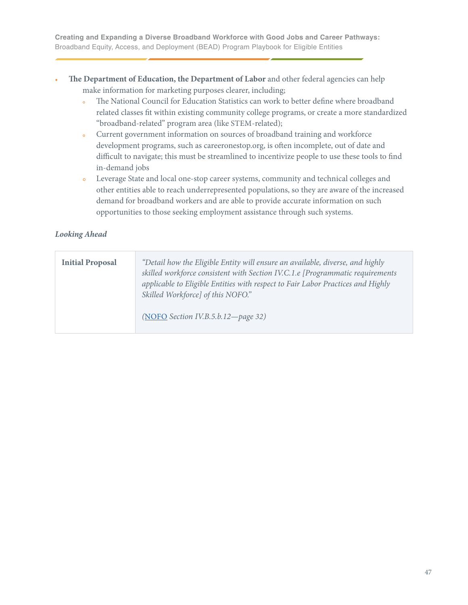- **• The Department of Education, the Department of Labor** and other federal agencies can help make information for marketing purposes clearer, including;
	- **•** The National Council for Education Statistics can work to better define where broadband related classes fit within existing community college programs, or create a more standardized "broadband-related" program area (like STEM-related);
	- **•** Current government information on sources of broadband training and workforce development programs, such as careeronestop.org, is often incomplete, out of date and difficult to navigate; this must be streamlined to incentivize people to use these tools to find in-demand jobs
	- **•** Leverage State and local one-stop career systems, community and technical colleges and other entities able to reach underrepresented populations, so they are aware of the increased demand for broadband workers and are able to provide accurate information on such opportunities to those seeking employment assistance through such systems.

## *Looking Ahead*

| <b>Initial Proposal</b> | "Detail how the Eligible Entity will ensure an available, diverse, and highly<br>skilled workforce consistent with Section IV.C.1.e [Programmatic requirements<br>applicable to Eligible Entities with respect to Fair Labor Practices and Highly<br>Skilled Workforce] of this NOFO."<br>(NOFO Section IV.B.5.b.12-page 32) |
|-------------------------|------------------------------------------------------------------------------------------------------------------------------------------------------------------------------------------------------------------------------------------------------------------------------------------------------------------------------|
|                         |                                                                                                                                                                                                                                                                                                                              |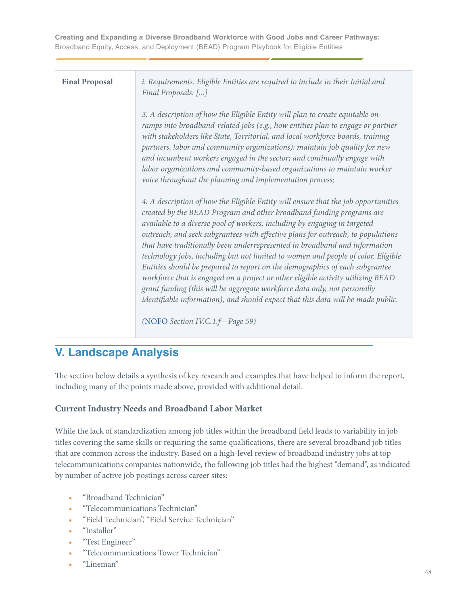| <b>Final Proposal</b> | i. Requirements. Eligible Entities are required to include in their Initial and<br>Final Proposals: []                                                                                                                                                                                                                                                                                                                                                                                                                                                                                                                                                                                                                                                                                                                              |
|-----------------------|-------------------------------------------------------------------------------------------------------------------------------------------------------------------------------------------------------------------------------------------------------------------------------------------------------------------------------------------------------------------------------------------------------------------------------------------------------------------------------------------------------------------------------------------------------------------------------------------------------------------------------------------------------------------------------------------------------------------------------------------------------------------------------------------------------------------------------------|
|                       | 3. A description of how the Eligible Entity will plan to create equitable on-<br>ramps into broadband-related jobs (e.g., how entities plan to engage or partner<br>with stakeholders like State, Territorial, and local workforce boards, training<br>partners, labor and community organizations); maintain job quality for new<br>and incumbent workers engaged in the sector; and continually engage with<br>labor organizations and community-based organizations to maintain worker<br>voice throughout the planning and implementation process;                                                                                                                                                                                                                                                                              |
|                       | 4. A description of how the Eligible Entity will ensure that the job opportunities<br>created by the BEAD Program and other broadband funding programs are<br>available to a diverse pool of workers, including by engaging in targeted<br>outreach, and seek subgrantees with effective plans for outreach, to populations<br>that have traditionally been underrepresented in broadband and information<br>technology jobs, including but not limited to women and people of color. Eligible<br>Entities should be prepared to report on the demographics of each subgrantee<br>workforce that is engaged on a project or other eligible activity utilizing BEAD<br>grant funding (this will be aggregate workforce data only, not personally<br>identifiable information), and should expect that this data will be made public. |
|                       | (NOFO Section IV.C.1.f-Page 59)                                                                                                                                                                                                                                                                                                                                                                                                                                                                                                                                                                                                                                                                                                                                                                                                     |

# **V. Landscape Analysis**

The section below details a synthesis of key research and examples that have helped to inform the report, including many of the points made above, provided with additional detail.

# **Current Industry Needs and Broadband Labor Market**

While the lack of standardization among job titles within the broadband field leads to variability in job titles covering the same skills or requiring the same qualifications, there are several broadband job titles that are common across the industry. Based on a high-level review of broadband industry jobs at top telecommunications companies nationwide, the following job titles had the highest "demand", as indicated by number of active job postings across career sites:

- **•** "Broadband Technician"
- **•** "Telecommunications Technician"
- **•** "Field Technician", "Field Service Technician"
- **•** "Installer"
- **•** "Test Engineer"
- **•** "Telecommunications Tower Technician"
- **•** "Lineman"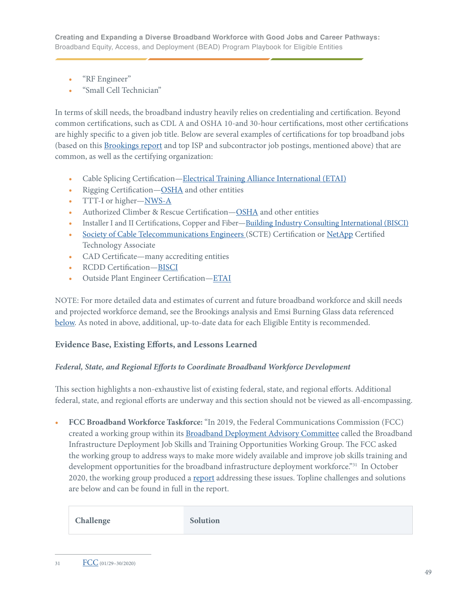- **•** "RF Engineer"
- **•** "Small Cell Technician"

In terms of skill needs, the broadband industry heavily relies on credentialing and certification. Beyond common certifications, such as CDL A and OSHA 10-and 30-hour certifications, most other certifications are highly specific to a given job title. Below are several examples of certifications for top broadband jobs (based on this [Brookings report](https://www.brookings.edu/research/how-federal-infrastructure-investment-can-put-america-to-work/) and top ISP and subcontractor job postings, mentioned above) that are common, as well as the certifying organization:

- **•** Cable Splicing Certification[—Electrical Training Alliance International \(ETAI\)](https://www.etai.org)
- **•** Rigging Certification—[OSHA](https://www.osha.gov) and other entities
- **•** TTT-I or higher[—NWS-A](https://www.nws-a.org)
- **•** Authorized Climber & Rescue Certification—[OSHA](https://www.osha.gov) and other entities
- Installer I and II Certifications, Copper and Fiber—<u>Building Industry Consulting International (BISCI)</u>
- **•** [Society of Cable Telecommunications Engineers \(SCTE\)](https://www.scte.org) Certification or [NetApp](https://www.netapp.com) Certified Technology Associate
- **•** CAD Certificate—many accrediting entities
- **•** RCDD Certification—[BISCI](https://www.bicsi.org)
- **•** Outside Plant Engineer Certification—[ETAI](https://www.etai.org)

NOTE: For more detailed data and estimates of current and future broadband workforce and skill needs and projected workforce demand, see the Brookings analysis and Emsi Burning Glass data referenced [below.](#page-54-0) As noted in above, additional, up-to-date data for each Eligible Entity is recommended.

## **Evidence Base, Existing Efforts, and Lessons Learned**

## *Federal, State, and Regional Efforts to Coordinate Broadband Workforce Development*

This section highlights a non-exhaustive list of existing federal, state, and regional efforts. Additional federal, state, and regional efforts are underway and this section should not be viewed as all-encompassing.

**• FCC Broadband Workforce Taskforce:** "In 2019, the Federal Communications Commission (FCC) created a working group within its [Broadband Deployment Advisory Committee](https://www.fcc.gov/broadband-deployment-advisory-committee) called the Broadband Infrastructure Deployment Job Skills and Training Opportunities Working Group. The FCC asked the working group to address ways to make more widely available and improve job skills training and development opportunities for the broadband infrastructure deployment workforce."<sup>31</sup> In October 2020, the working group produced a [report](https://www.fcc.gov/sites/default/files/bdac-job-skills-training-opportunities-approved-rec-10292020.pdf) addressing these issues. Topline challenges and solutions are below and can be found in full in the report.

| Challenge | Solution |
|-----------|----------|
|-----------|----------|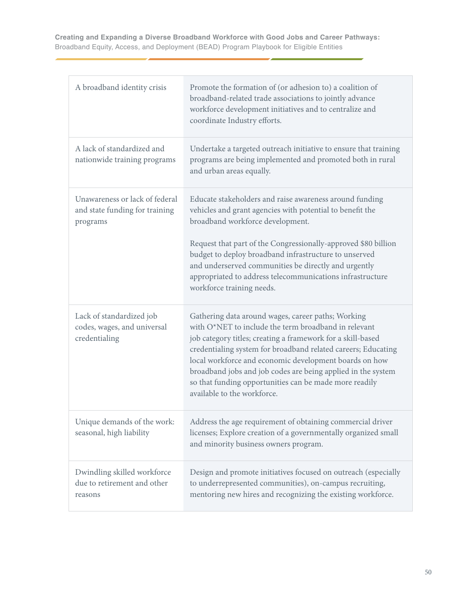| A broadband identity crisis                                                  | Promote the formation of (or adhesion to) a coalition of<br>broadband-related trade associations to jointly advance<br>workforce development initiatives and to centralize and<br>coordinate Industry efforts.                                                                                                                                                                                                                                                |
|------------------------------------------------------------------------------|---------------------------------------------------------------------------------------------------------------------------------------------------------------------------------------------------------------------------------------------------------------------------------------------------------------------------------------------------------------------------------------------------------------------------------------------------------------|
| A lack of standardized and<br>nationwide training programs                   | Undertake a targeted outreach initiative to ensure that training<br>programs are being implemented and promoted both in rural<br>and urban areas equally.                                                                                                                                                                                                                                                                                                     |
| Unawareness or lack of federal<br>and state funding for training<br>programs | Educate stakeholders and raise awareness around funding<br>vehicles and grant agencies with potential to benefit the<br>broadband workforce development.<br>Request that part of the Congressionally-approved \$80 billion<br>budget to deploy broadband infrastructure to unserved<br>and underserved communities be directly and urgently<br>appropriated to address telecommunications infrastructure<br>workforce training needs.                         |
| Lack of standardized job<br>codes, wages, and universal<br>credentialing     | Gathering data around wages, career paths; Working<br>with O*NET to include the term broadband in relevant<br>job category titles; creating a framework for a skill-based<br>credentialing system for broadband related careers; Educating<br>local workforce and economic development boards on how<br>broadband jobs and job codes are being applied in the system<br>so that funding opportunities can be made more readily<br>available to the workforce. |
| Unique demands of the work:<br>seasonal, high liability                      | Address the age requirement of obtaining commercial driver<br>licenses; Explore creation of a governmentally organized small<br>and minority business owners program.                                                                                                                                                                                                                                                                                         |
| Dwindling skilled workforce<br>due to retirement and other<br>reasons        | Design and promote initiatives focused on outreach (especially<br>to underrepresented communities), on-campus recruiting,<br>mentoring new hires and recognizing the existing workforce.                                                                                                                                                                                                                                                                      |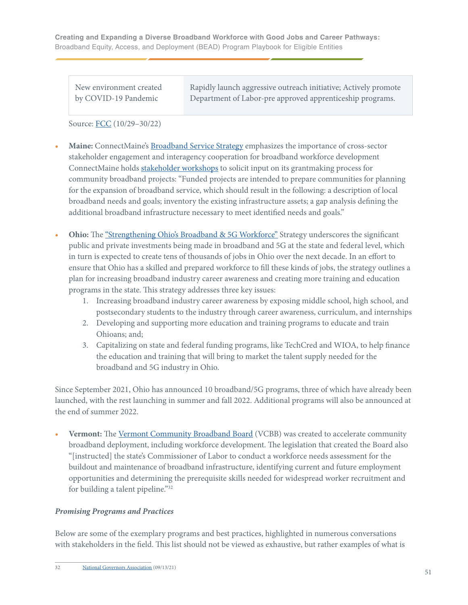| New environment created | Rapidly launch aggressive outreach initiative; Actively promote |
|-------------------------|-----------------------------------------------------------------|
| by COVID-19 Pandemic    | Department of Labor-pre approved apprenticeship programs.       |

Source: [FCC](https://www.fcc.gov/sites/default/files/bdac-job-skills-training-opportunities-approved-rec-10292020.pdf) (10/29–30/22)

- **• Maine:** ConnectMaine's [Broadband Service Strategy](https://www.maine.gov/connectme/sites/maine.gov.connectme/files/inline-files/Plan_Triennial_draft.pdf) emphasizes the importance of cross-sector stakeholder engagement and interagency cooperation for broadband workforce development ConnectMaine holds [stakeholder workshops](https://www.maine.gov/connectme/grants/engagement) to solicit input on its grantmaking process for community broadband projects: "Funded projects are intended to prepare communities for planning for the expansion of broadband service, which should result in the following: a description of local broadband needs and goals; inventory the existing infrastructure assets; a gap analysis defining the additional broadband infrastructure necessary to meet identified needs and goals."
- **• Ohio:** The ["Strengthening Ohio's Broadband & 5G Workforce"](https://broadband.ohio.gov/wps/wcm/connect/gov/7bb60dea-a273-4622-9d0c-67e7201a8016/Strengthening-Ohios-Broadband-5G-Workforce-09072021.pdf?MOD=AJPERES&CONVERT_TO=url&CACHEID=ROOTWORKSPACE.Z18_K9I401S01H7F40QBNJU3SO1F56-7bb60dea-a273-4622-9d0c-67e7201a8016-n.Q-v.B) Strategy underscores the significant public and private investments being made in broadband and 5G at the state and federal level, which in turn is expected to create tens of thousands of jobs in Ohio over the next decade. In an effort to ensure that Ohio has a skilled and prepared workforce to fill these kinds of jobs, the strategy outlines a plan for increasing broadband industry career awareness and creating more training and education programs in the state. This strategy addresses three key issues:
	- 1. Increasing broadband industry career awareness by exposing middle school, high school, and postsecondary students to the industry through career awareness, curriculum, and internships
	- 2. Developing and supporting more education and training programs to educate and train Ohioans; and;
	- 3. Capitalizing on state and federal funding programs, like TechCred and WIOA, to help finance the education and training that will bring to market the talent supply needed for the broadband and 5G industry in Ohio.

Since September 2021, Ohio has announced 10 broadband/5G programs, three of which have already been launched, with the rest launching in summer and fall 2022. Additional programs will also be announced at the end of summer 2022.

**• Vermont:** The [Vermont Community Broadband Board](https://publicservice.vermont.gov/vcbb) (VCBB) was created to accelerate community broadband deployment, including workforce development. The legislation that created the Board also "[instructed] the state's Commissioner of Labor to conduct a workforce needs assessment for the buildout and maintenance of broadband infrastructure, identifying current and future employment opportunities and determining the prerequisite skills needed for widespread worker recruitment and for building a talent pipeline."32

#### *Promising Programs and Practices*

Below are some of the exemplary programs and best practices, highlighted in numerous conversations with stakeholders in the field. This list should not be viewed as exhaustive, but rather examples of what is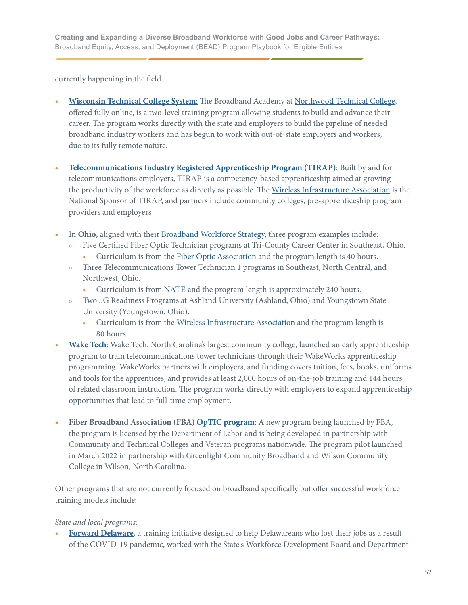currently happening in the field.

- **• [Wisconsin Technical College System](https://www.northwoodtech.edu/continuing-education-and-training/professional-development/broadband-academy)**: The Broadband Academy at [Northwood Technical College,](https://www.northwoodtech.edu) offered fully online, is a two-level training program allowing students to build and advance their career. The program works directly with the state and employers to build the pipeline of needed broadband industry workers and has begun to work with out-of-state employers and workers, due to its fully remote nature.
- **• [Telecommunications Industry Registered Apprenticeship Program \(TIRAP\)](https://www.tirap.org)**: Built by and for telecommunications employers, TIRAP is a competency-based apprenticeship aimed at growing the productivity of the workforce as directly as possible. The [Wireless Infrastructure Association](https://wia.org) is the National Sponsor of TIRAP, and partners include community colleges, pre-apprenticeship program providers and employers
- **•** In **Ohio,** aligned with their [Broadband Workforce Strategy](https://broadband.ohio.gov/explore-broadband/strengthening-ohios-broadband-5g-workforce), three program examples include:
	- **•** Five Certified Fiber Optic Technician programs at Tri-County Career Center in Southeast, Ohio.
		- Curriculum is from the **Fiber Optic Association** and the program length is 40 hours.
	- **•** Three Telecommunications Tower Technician 1 programs in Southeast, North Central, and Northwest, Ohio.
		- **•** Curriculum is from [NATE](https://natehome.com) and the program length is approximately 240 hours.
	- **•** Two 5G Readiness Programs at Ashland University (Ashland, Ohio) and Youngstown State University (Youngstown, Ohio).
		- Curriculum is from the [Wireless Infrastructure](https://wia.org) Association and the program length is 80 hours.
- **• [Wake Tech](https://www.waketech.edu/post/wt-news-story/6745)**: Wake Tech, North Carolina's largest community college, launched an early apprenticeship program to train telecommunications tower technicians through their WakeWorks apprenticeship programming. WakeWorks partners with employers, and funding covers tuition, fees, books, uniforms and tools for the apprentices, and provides at least 2,000 hours of on-the-job training and 144 hours of related classroom instruction. The program works directly with employers to expand apprenticeship opportunities that lead to full-time employment.
- **• Fiber Broadband Association (FBA) [OpTIC program](https://www.fiberbroadband.org/page/fba-optic-optical-telecom-installation-certification)**: A new program being launched by FBA, the program is licensed by the Department of Labor and is being developed in partnership with Community and Technical Colleges and Veteran programs nationwide. The program pilot launched in March 2022 in partnership with Greenlight Community Broadband and Wilson Community College in Wilson, North Carolina.

Other programs that are not currently focused on broadband specifically but offer successful workforce training models include:

## *State and local programs:*

**• [Forward Delaware](https://labor.delaware.gov/forward-delaware/)**, a training initiative designed to help Delawareans who lost their jobs as a result of the COVID-19 pandemic, worked with the State's Workforce Development Board and Department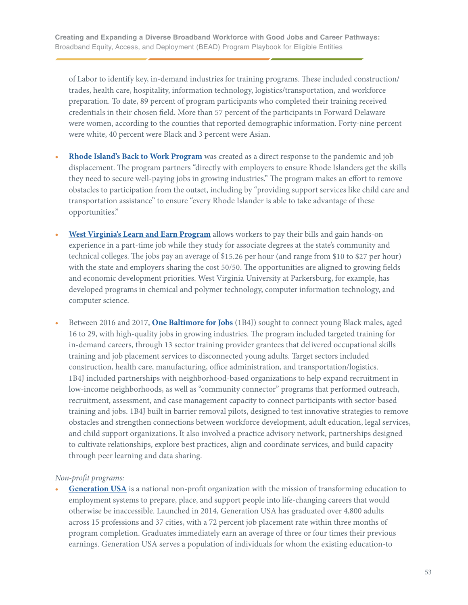of Labor to identify key, in-demand industries for training programs. These included construction/ trades, health care, hospitality, information technology, logistics/transportation, and workforce preparation. To date, 89 percent of program participants who completed their training received credentials in their chosen field. More than 57 percent of the participants in Forward Delaware were women, according to the counties that reported demographic information. Forty-nine percent were white, 40 percent were Black and 3 percent were Asian.

- **• [Rhode Island's Back to Work Program](https://www.backtoworkri.com/dashboard?lang=en)** was created as a direct response to the pandemic and job displacement. The program partners "directly with employers to ensure Rhode Islanders get the skills they need to secure well-paying jobs in growing industries." The program makes an effort to remove obstacles to participation from the outset, including by "providing support services like child care and transportation assistance" to ensure "every Rhode Islander is able to take advantage of these opportunities."
- **• [West Virginia's Learn and Earn Program](https://wvpress.org/wvpa-sharing/states-learn-earn-program-helps-students-go-college-pay-bills-home/)** allows workers to pay their bills and gain hands-on experience in a part-time job while they study for associate degrees at the state's community and technical colleges. The jobs pay an average of \$15.26 per hour (and range from \$10 to \$27 per hour) with the state and employers sharing the cost 50/50. The opportunities are aligned to growing fields and economic development priorities. West Virginia University at Parkersburg, for example, has developed programs in chemical and polymer technology, computer information technology, and computer science.
- **•** Between 2016 and 2017, **[One Baltimore for Jobs](https://assets.aecf.org/m/resourcedoc/kingslow-evaluationofonebaltimoreforjobs-summary-2018.pdf)** (1B4J) sought to connect young Black males, aged 16 to 29, with high-quality jobs in growing industries. The program included targeted training for in-demand careers, through 13 sector training provider grantees that delivered occupational skills training and job placement services to disconnected young adults. Target sectors included construction, health care, manufacturing, office administration, and transportation/logistics. 1B4J included partnerships with neighborhood-based organizations to help expand recruitment in low-income neighborhoods, as well as "community connector" programs that performed outreach, recruitment, assessment, and case management capacity to connect participants with sector-based training and jobs. 1B4J built in barrier removal pilots, designed to test innovative strategies to remove obstacles and strengthen connections between workforce development, adult education, legal services, and child support organizations. It also involved a practice advisory network, partnerships designed to cultivate relationships, explore best practices, align and coordinate services, and build capacity through peer learning and data sharing.

#### *Non-profit programs:*

**<u>[Generation USA](https://usa.generation.org)</u>** is a national non-profit organization with the mission of transforming education to employment systems to prepare, place, and support people into life-changing careers that would otherwise be inaccessible. Launched in 2014, Generation USA has graduated over 4,800 adults across 15 professions and 37 cities, with a 72 percent job placement rate within three months of program completion. Graduates immediately earn an average of three or four times their previous earnings. Generation USA serves a population of individuals for whom the existing education-to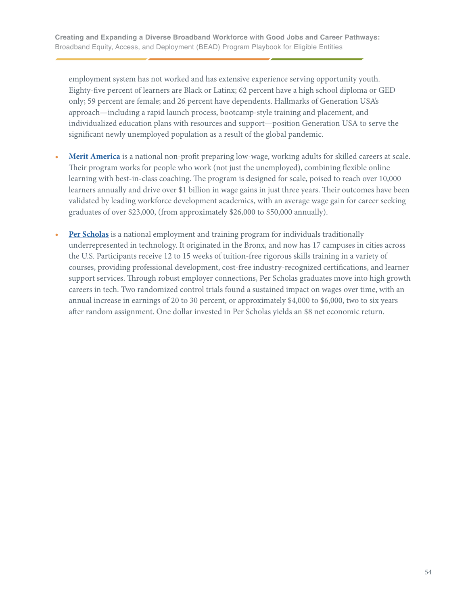employment system has not worked and has extensive experience serving opportunity youth. Eighty-five percent of learners are Black or Latinx; 62 percent have a high school diploma or GED only; 59 percent are female; and 26 percent have dependents. Hallmarks of Generation USA's approach—including a rapid launch process, bootcamp-style training and placement, and individualized education plans with resources and support—position Generation USA to serve the significant newly unemployed population as a result of the global pandemic.

- **• [Merit America](https://meritamerica.org)** is a national non-profit preparing low-wage, working adults for skilled careers at scale. Their program works for people who work (not just the unemployed), combining flexible online learning with best-in-class coaching. The program is designed for scale, poised to reach over 10,000 learners annually and drive over \$1 billion in wage gains in just three years. Their outcomes have been validated by leading workforce development academics, with an average wage gain for career seeking graduates of over \$23,000, (from approximately \$26,000 to \$50,000 annually).
- **• [Per Scholas](https://perscholas.org)** is a national employment and training program for individuals traditionally underrepresented in technology. It originated in the Bronx, and now has 17 campuses in cities across the U.S. Participants receive 12 to 15 weeks of tuition-free rigorous skills training in a variety of courses, providing professional development, cost-free industry-recognized certifications, and learner support services. Through robust employer connections, Per Scholas graduates move into high growth careers in tech. Two randomized control trials found a sustained impact on wages over time, with an annual increase in earnings of 20 to 30 percent, or approximately \$4,000 to \$6,000, two to six years after random assignment. One dollar invested in Per Scholas yields an \$8 net economic return.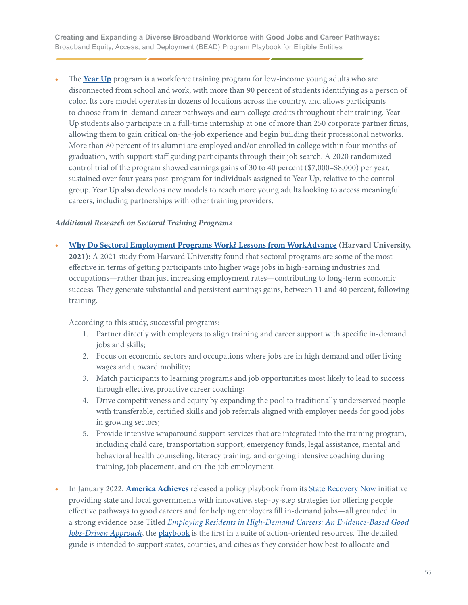<span id="page-54-0"></span>**•** The **[Year Up](https://www.yearup.org)** program is a workforce training program for low-income young adults who are disconnected from school and work, with more than 90 percent of students identifying as a person of color. Its core model operates in dozens of locations across the country, and allows participants to choose from in-demand career pathways and earn college credits throughout their training. Year Up students also participate in a full-time internship at one of more than 250 corporate partner firms, allowing them to gain critical on-the-job experience and begin building their professional networks. More than 80 percent of its alumni are employed and/or enrolled in college within four months of graduation, with support staff guiding participants through their job search. A 2020 randomized control trial of the program showed earnings gains of 30 to 40 percent (\$7,000–\$8,000) per year, sustained over four years post-program for individuals assigned to Year Up, relative to the control group. Year Up also develops new models to reach more young adults looking to access meaningful careers, including partnerships with other training providers.

#### *Additional Research on Sectoral Training Programs*

**• [Why Do Sectoral Employment Programs Work? Lessons from WorkAdvance](https://scholar.harvard.edu/lkatz/publications/why-do-sectoral-employment-programs-work-lessons-workadvance) (Harvard University, 2021):** A 2021 study from Harvard University found that sectoral programs are some of the most effective in terms of getting participants into higher wage jobs in high-earning industries and occupations—rather than just increasing employment rates—contributing to long-term economic success. They generate substantial and persistent earnings gains, between 11 and 40 percent, following training.

According to this study, successful programs:

- 1. Partner directly with employers to align training and career support with specific in-demand jobs and skills;
- 2. Focus on economic sectors and occupations where jobs are in high demand and offer living wages and upward mobility;
- 3. Match participants to learning programs and job opportunities most likely to lead to success through effective, proactive career coaching;
- 4. Drive competitiveness and equity by expanding the pool to traditionally underserved people with transferable, certified skills and job referrals aligned with employer needs for good jobs in growing sectors;
- 5. Provide intensive wraparound support services that are integrated into the training program, including child care, transportation support, emergency funds, legal assistance, mental and behavioral health counseling, literacy training, and ongoing intensive coaching during training, job placement, and on-the-job employment.
- **•** In January 2022, **[America Achieves](https://americaachieves.org)** released a policy playbook from its [State Recovery Now](https://www.staterecoverynow.org) initiative providing state and local governments with innovative, step-by-step strategies for offering people effective pathways to good careers and for helping employers fill in-demand jobs—all grounded in a strong evidence base Titled *[Employing Residents in High-Demand Careers: An Evidence-Based Good](https://www.staterecoverynow.org/policy-solution/good-jobs) [Jobs-Driven Approach](https://www.staterecoverynow.org/policy-solution/good-jobs)*, the [playbook](https://www.staterecoverynow.org/policy-solution/good-jobs) is the first in a suite of action-oriented resources. The detailed guide is intended to support states, counties, and cities as they consider how best to allocate and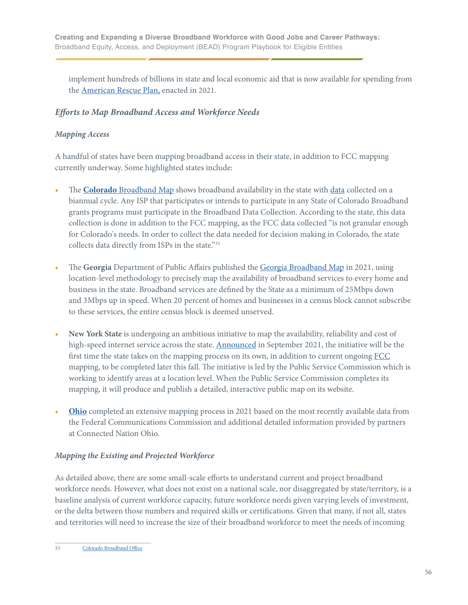implement hundreds of billions in state and local economic aid that is now available for spending from the [American Rescue Plan,](https://www.whitehouse.gov/american-rescue-plan/) enacted in 2021.

## *Efforts to Map Broadband Access and Workforce Needs*

## *Mapping Access*

A handful of states have been mapping broadband access in their state, in addition to FCC mapping currently underway. Some highlighted states include:

- **•** The **Colorado** [Broadband Map](https://broadband.colorado.gov/data-hub/colorado-broadband-map) shows broadband availability in the state with [data](https://broadband.colorado.gov/data-hub/broadband-data-collection) collected on a biannual cycle. Any ISP that participates or intends to participate in any State of Colorado Broadband grants programs must participate in the Broadband Data Collection. According to the state, this data collection is done in addition to the FCC mapping, as the FCC data collected "is not granular enough for Colorado's needs. In order to collect the data needed for decision making in Colorado, the state collects data directly from ISPs in the state."33
- **•** The **Georgia** Department of Public Affairs published the [Georgia Broadband Map](https://broadband.georgia.gov/2021-georgia-broadband-availability-map) in 2021, using location-level methodology to precisely map the availability of broadband services to every home and business in the state. Broadband services are defined by the State as a minimum of 25Mbps down and 3Mbps up in speed. When 20 percent of homes and businesses in a census block cannot subscribe to these services, the entire census block is deemed unserved.
- **• New York State** is undergoing an ambitious initiative to map the availability, reliability and cost of high-speed internet service across the state. [Announced](https://www.govtech.com/network/new-york-to-create-states-first-map-of-broadband-service) in September 2021, the initiative will be the first time the state takes on the mapping process on its own, in addition to current ongoing [FCC](https://www.govtech.com/network/fcc-chair-broadband-maps-will-be-absolutely-done-in-fall) mapping, to be completed later this fall. The initiative is led by the Public Service Commission which is working to identify areas at a location level. When the Public Service Commission completes its mapping, it will produce and publish a detailed, interactive public map on its website.
- **• [Ohio](https://broadband.ohio.gov/view-maps/ohio-broadband-coverage-map/ohio-broadband-coverage-map)** completed an extensive mapping process in 2021 based on the most recently available data from the Federal Communications Commission and additional detailed information provided by partners at Connected Nation Ohio.

## *Mapping the Existing and Projected Workforce*

As detailed above, there are some small-scale efforts to understand current and project broadband workforce needs. However, what does not exist on a national scale, nor disaggregated by state/territory, is a baseline analysis of current workforce capacity, future workforce needs given varying levels of investment, or the delta between those numbers and required skills or certifications. Given that many, if not all, states and territories will need to increase the size of their broadband workforce to meet the needs of incoming

<sup>33</sup> [Colorado Broadband Office](https://broadband.colorado.gov/data-hub/broadband-data-collection)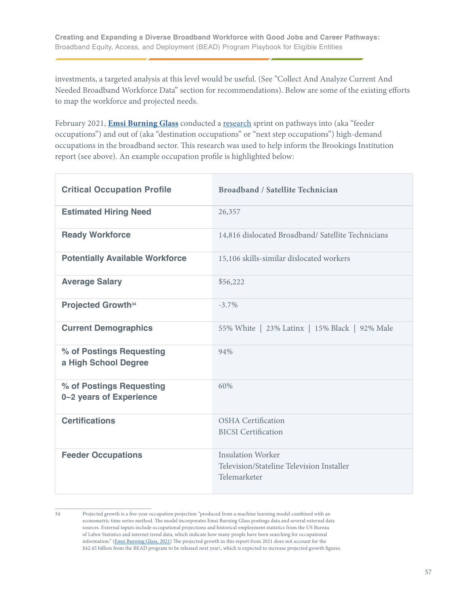investments, a targeted analysis at this level would be useful. (See "Collect And Analyze Current And Needed Broadband Workforce Data" section for recommendations). Below are some of the existing efforts to map the workforce and projected needs.

February 2021, **[Emsi Burning Glass](https://www.economicmodeling.com/2021/06/14/emsi-and-burning-glass-merger/)** conducted a [research](https://americaachieves.org/wp-content/uploads/2022/06/Broadband-Feeders-and-Next-Steps-EBG-1.pdf) sprint on pathways into (aka "feeder occupations") and out of (aka "destination occupations" or "next step occupations") high-demand occupations in the broadband sector. This research was used to help inform the Brookings Institution report (see above). An example occupation profile is highlighted below:

| <b>Critical Occupation Profile</b>                  | Broadband / Satellite Technician                                                      |
|-----------------------------------------------------|---------------------------------------------------------------------------------------|
| <b>Estimated Hiring Need</b>                        | 26,357                                                                                |
| <b>Ready Workforce</b>                              | 14,816 dislocated Broadband/ Satellite Technicians                                    |
| <b>Potentially Available Workforce</b>              | 15,106 skills-similar dislocated workers                                              |
| <b>Average Salary</b>                               | \$56,222                                                                              |
| <b>Projected Growth</b> <sup>34</sup>               | $-3.7\%$                                                                              |
| <b>Current Demographics</b>                         | 55% White   23% Latinx   15% Black   92% Male                                         |
| % of Postings Requesting<br>a High School Degree    | 94%                                                                                   |
| % of Postings Requesting<br>0-2 years of Experience | 60%                                                                                   |
| <b>Certifications</b>                               | <b>OSHA</b> Certification<br><b>BICSI</b> Certification                               |
| <b>Feeder Occupations</b>                           | <b>Insulation Worker</b><br>Television/Stateline Television Installer<br>Telemarketer |

<sup>34</sup> Projected growth is a five-year occupation projection "produced from a machine learning model combined with an econometric time series method. The model incorporates Emsi Burning Glass postings data and several external data sources. External inputs include occupational projections and historical employment statistics from the US Bureau of Labor Statistics and internet trend data, which indicate how many people have been searching for occupational information." ([Emsi Burning Glass, 2021\)](https://americaachieves.org/wp-content/uploads/2022/06/Broadband-Feeders-and-Next-Steps-EBG-1.pdf) The projected growth in this report from 2021 does not account for the \$42.45 billion from the BEAD program to be released next year\, which is expected to increase projected growth figures.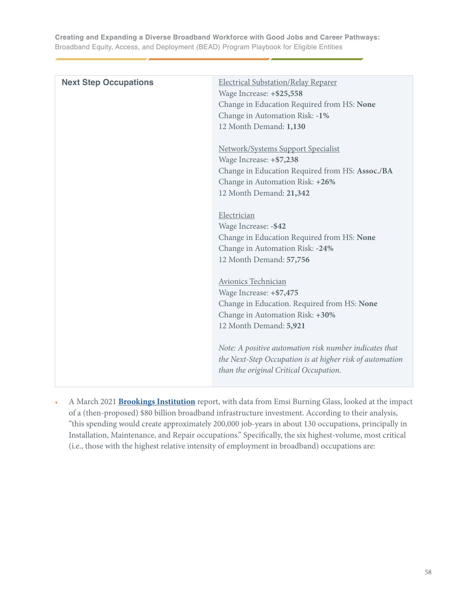| <b>Next Step Occupations</b> | Electrical Substation/Relay Reparer<br>Wage Increase: +\$25,558<br>Change in Education Required from HS: None<br>Change in Automation Risk: -1%<br>12 Month Demand: 1,130             |
|------------------------------|---------------------------------------------------------------------------------------------------------------------------------------------------------------------------------------|
|                              | <b>Network/Systems Support Specialist</b><br>Wage Increase: +\$7,238<br>Change in Education Required from HS: Assoc./BA<br>Change in Automation Risk: +26%<br>12 Month Demand: 21,342 |
|                              | Electrician<br>Wage Increase: - \$42<br>Change in Education Required from HS: None<br>Change in Automation Risk: -24%<br>12 Month Demand: 57,756                                      |
|                              | Avionics Technician<br>Wage Increase: +\$7,475<br>Change in Education. Required from HS: None<br>Change in Automation Risk: +30%<br>12 Month Demand: 5,921                            |
|                              | Note: A positive automation risk number indicates that<br>the Next-Step Occupation is at higher risk of automation<br>than the original Critical Occupation.                          |

**•** A March 2021 **[Brookings Institution](https://www.brookings.edu/research/how-federal-infrastructure-investment-can-put-america-to-work/)** report, with data from Emsi Burning Glass, looked at the impact of a (then-proposed) \$80 billion broadband infrastructure investment. According to their analysis, "this spending would create approximately 200,000 job-years in about 130 occupations, principally in Installation, Maintenance, and Repair occupations." Specifically, the six highest-volume, most critical (i.e., those with the highest relative intensity of employment in broadband) occupations are: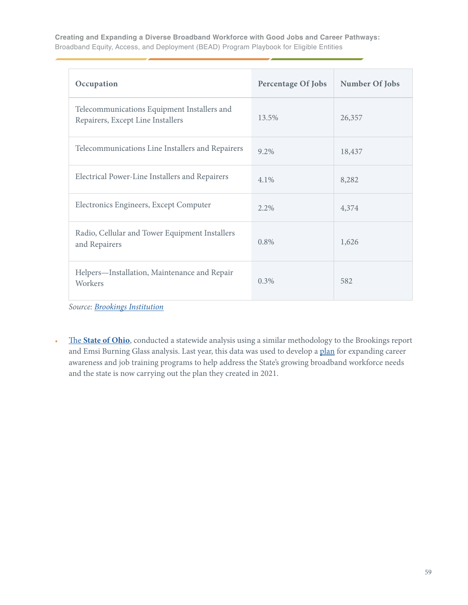| Occupation                                                                       | <b>Percentage Of Jobs</b> | Number Of Jobs |
|----------------------------------------------------------------------------------|---------------------------|----------------|
| Telecommunications Equipment Installers and<br>Repairers, Except Line Installers | 13.5%                     | 26,357         |
| Telecommunications Line Installers and Repairers                                 | 9.2%                      | 18,437         |
| Electrical Power-Line Installers and Repairers                                   | 4.1%                      | 8,282          |
| Electronics Engineers, Except Computer                                           | $2.2\%$                   | 4,374          |
| Radio, Cellular and Tower Equipment Installers<br>and Repairers                  | 0.8%                      | 1,626          |
| Helpers-Installation, Maintenance and Repair<br>Workers                          | 0.3%                      | 582            |

*Source: Brookings Institution*

**•** The **[State of Ohio](https://ohio.gov/home/)**, conducted a statewide analysis using a similar methodology to the Brookings report and Emsi Burning Glass analysis. Last year, this data was used to develop a [plan](https://broadband.ohio.gov/wps/wcm/connect/gov/7bb60dea-a273-4622-9d0c-67e7201a8016/Strengthening-Ohios-Broadband-5G-Workforce-09072021.pdf?MOD=AJPERES&CONVERT_TO=url&CACHEID=ROOTWORKSPACE.Z18_M1HGGIK0N0JO00QO9DDDDM3000-7bb60dea-a273-4622-9d0c-67e7201a8016-n.Q-v.B) for expanding career awareness and job training programs to help address the State's growing broadband workforce needs and the state is now carrying out the plan they created in 2021.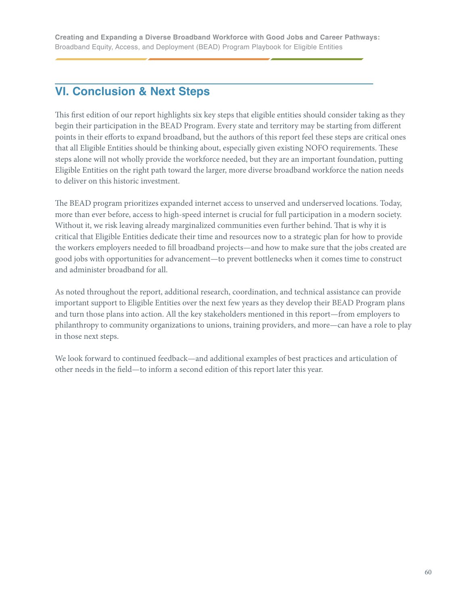# **VI. Conclusion & Next Steps**

This first edition of our report highlights six key steps that eligible entities should consider taking as they begin their participation in the BEAD Program. Every state and territory may be starting from different points in their efforts to expand broadband, but the authors of this report feel these steps are critical ones that all Eligible Entities should be thinking about, especially given existing NOFO requirements. These steps alone will not wholly provide the workforce needed, but they are an important foundation, putting Eligible Entities on the right path toward the larger, more diverse broadband workforce the nation needs to deliver on this historic investment.

The BEAD program prioritizes expanded internet access to unserved and underserved locations. Today, more than ever before, access to high-speed internet is crucial for full participation in a modern society. Without it, we risk leaving already marginalized communities even further behind. That is why it is critical that Eligible Entities dedicate their time and resources now to a strategic plan for how to provide the workers employers needed to fill broadband projects—and how to make sure that the jobs created are good jobs with opportunities for advancement—to prevent bottlenecks when it comes time to construct and administer broadband for all.

As noted throughout the report, additional research, coordination, and technical assistance can provide important support to Eligible Entities over the next few years as they develop their BEAD Program plans and turn those plans into action. All the key stakeholders mentioned in this report—from employers to philanthropy to community organizations to unions, training providers, and more—can have a role to play in those next steps.

We look forward to continued feedback—and additional examples of best practices and articulation of other needs in the field—to inform a second edition of this report later this year.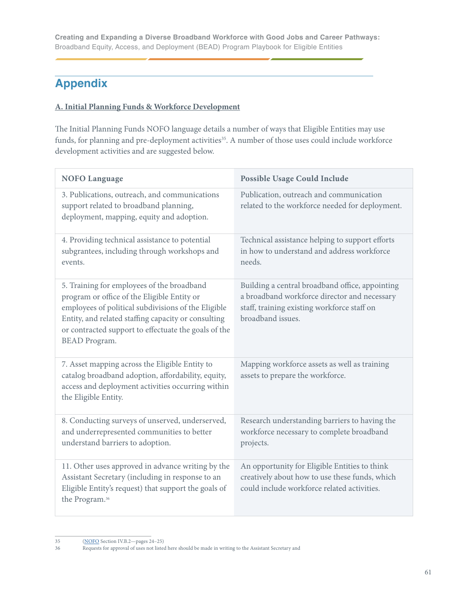# **Appendix**

## **A. Initial Planning Funds & Workforce Development**

The Initial Planning Funds NOFO language details a number of ways that Eligible Entities may use funds, for planning and pre-deployment activities<sup>35</sup>. A number of those uses could include workforce development activities and are suggested below.

| <b>NOFO Language</b>                                                                                                                                                                                                                                                                    | <b>Possible Usage Could Include</b>                                                                                                                                 |
|-----------------------------------------------------------------------------------------------------------------------------------------------------------------------------------------------------------------------------------------------------------------------------------------|---------------------------------------------------------------------------------------------------------------------------------------------------------------------|
| 3. Publications, outreach, and communications<br>support related to broadband planning,<br>deployment, mapping, equity and adoption.                                                                                                                                                    | Publication, outreach and communication<br>related to the workforce needed for deployment.                                                                          |
| 4. Providing technical assistance to potential<br>subgrantees, including through workshops and<br>events.                                                                                                                                                                               | Technical assistance helping to support efforts<br>in how to understand and address workforce<br>needs.                                                             |
| 5. Training for employees of the broadband<br>program or office of the Eligible Entity or<br>employees of political subdivisions of the Eligible<br>Entity, and related staffing capacity or consulting<br>or contracted support to effectuate the goals of the<br><b>BEAD</b> Program. | Building a central broadband office, appointing<br>a broadband workforce director and necessary<br>staff, training existing workforce staff on<br>broadband issues. |
| 7. Asset mapping across the Eligible Entity to<br>catalog broadband adoption, affordability, equity,<br>access and deployment activities occurring within<br>the Eligible Entity.                                                                                                       | Mapping workforce assets as well as training<br>assets to prepare the workforce.                                                                                    |
| 8. Conducting surveys of unserved, underserved,<br>and underrepresented communities to better<br>understand barriers to adoption.                                                                                                                                                       | Research understanding barriers to having the<br>workforce necessary to complete broadband<br>projects.                                                             |
| 11. Other uses approved in advance writing by the<br>Assistant Secretary (including in response to an<br>Eligible Entity's request) that support the goals of<br>the Program. <sup>36</sup>                                                                                             | An opportunity for Eligible Entities to think<br>creatively about how to use these funds, which<br>could include workforce related activities.                      |

35 [\(NOFO](https://broadbandusa.ntia.doc.gov/sites/default/files/2022-05/BEAD%20NOFO.pdf) Section IV.B.2—pages 24–25)

<sup>36</sup> Requests for approval of uses not listed here should be made in writing to the Assistant Secretary and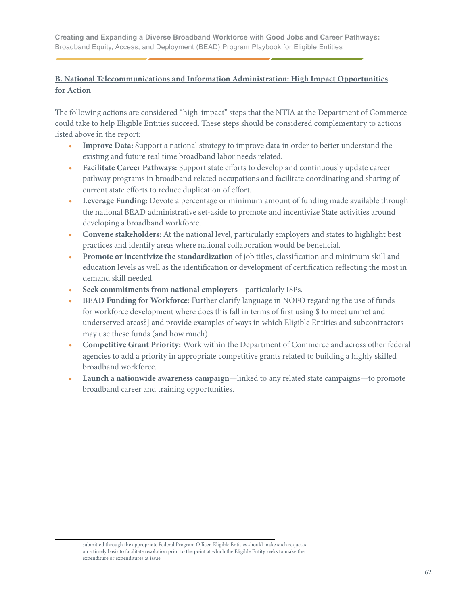## **B. National Telecommunications and Information Administration: High Impact Opportunities for Action**

The following actions are considered "high-impact" steps that the NTIA at the Department of Commerce could take to help Eligible Entities succeed. These steps should be considered complementary to actions listed above in the report:

- **• Improve Data:** Support a national strategy to improve data in order to better understand the existing and future real time broadband labor needs related.
- **• Facilitate Career Pathways:** Support state efforts to develop and continuously update career pathway programs in broadband related occupations and facilitate coordinating and sharing of current state efforts to reduce duplication of effort.
- **• Leverage Funding:** Devote a percentage or minimum amount of funding made available through the national BEAD administrative set-aside to promote and incentivize State activities around developing a broadband workforce.
- **• Convene stakeholders:** At the national level, particularly employers and states to highlight best practices and identify areas where national collaboration would be beneficial.
- **• Promote or incentivize the standardization** of job titles, classification and minimum skill and education levels as well as the identification or development of certification reflecting the most in demand skill needed.
- **• Seek commitments from national employers**—particularly ISPs.
- **• BEAD Funding for Workforce:** Further clarify language in NOFO regarding the use of funds for workforce development where does this fall in terms of first using \$ to meet unmet and underserved areas?] and provide examples of ways in which Eligible Entities and subcontractors may use these funds (and how much).
- **• Competitive Grant Priority:** Work within the Department of Commerce and across other federal agencies to add a priority in appropriate competitive grants related to building a highly skilled broadband workforce.
- **• Launch a nationwide awareness campaign**—linked to any related state campaigns—to promote broadband career and training opportunities.

submitted through the appropriate Federal Program Officer. Eligible Entities should make such requests on a timely basis to facilitate resolution prior to the point at which the Eligible Entity seeks to make the expenditure or expenditures at issue.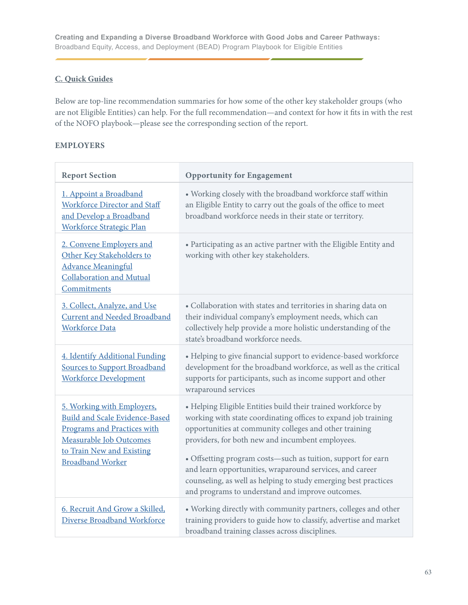## **C. Quick Guides**

Below are top-line recommendation summaries for how some of the other key stakeholder groups (who are not Eligible Entities) can help. For the full recommendation—and context for how it fits in with the rest of the NOFO playbook—please see the corresponding section of the report.

#### **EMPLOYERS**

| <b>Report Section</b>                                                                                                                                                                        | <b>Opportunity for Engagement</b>                                                                                                                                                                                                                                                                                                                                                                                                                                                               |
|----------------------------------------------------------------------------------------------------------------------------------------------------------------------------------------------|-------------------------------------------------------------------------------------------------------------------------------------------------------------------------------------------------------------------------------------------------------------------------------------------------------------------------------------------------------------------------------------------------------------------------------------------------------------------------------------------------|
| 1. Appoint a Broadband<br>Workforce Director and Staff<br>and Develop a Broadband<br><b>Workforce Strategic Plan</b>                                                                         | • Working closely with the broadband workforce staff within<br>an Eligible Entity to carry out the goals of the office to meet<br>broadband workforce needs in their state or territory.                                                                                                                                                                                                                                                                                                        |
| 2. Convene Employers and<br>Other Key Stakeholders to<br><b>Advance Meaningful</b><br><b>Collaboration and Mutual</b><br>Commitments                                                         | • Participating as an active partner with the Eligible Entity and<br>working with other key stakeholders.                                                                                                                                                                                                                                                                                                                                                                                       |
| 3. Collect, Analyze, and Use<br><b>Current and Needed Broadband</b><br><b>Workforce Data</b>                                                                                                 | • Collaboration with states and territories in sharing data on<br>their individual company's employment needs, which can<br>collectively help provide a more holistic understanding of the<br>state's broadband workforce needs.                                                                                                                                                                                                                                                                |
| 4. Identify Additional Funding<br><b>Sources to Support Broadband</b><br><b>Workforce Development</b>                                                                                        | • Helping to give financial support to evidence-based workforce<br>development for the broadband workforce, as well as the critical<br>supports for participants, such as income support and other<br>wraparound services                                                                                                                                                                                                                                                                       |
| 5. Working with Employers,<br><b>Build and Scale Evidence-Based</b><br><b>Programs and Practices with</b><br>Measurable Job Outcomes<br>to Train New and Existing<br><b>Broadband Worker</b> | • Helping Eligible Entities build their trained workforce by<br>working with state coordinating offices to expand job training<br>opportunities at community colleges and other training<br>providers, for both new and incumbent employees.<br>• Offsetting program costs-such as tuition, support for earn<br>and learn opportunities, wraparound services, and career<br>counseling, as well as helping to study emerging best practices<br>and programs to understand and improve outcomes. |
| 6. Recruit And Grow a Skilled,<br>Diverse Broadband Workforce                                                                                                                                | • Working directly with community partners, colleges and other<br>training providers to guide how to classify, advertise and market<br>broadband training classes across disciplines.                                                                                                                                                                                                                                                                                                           |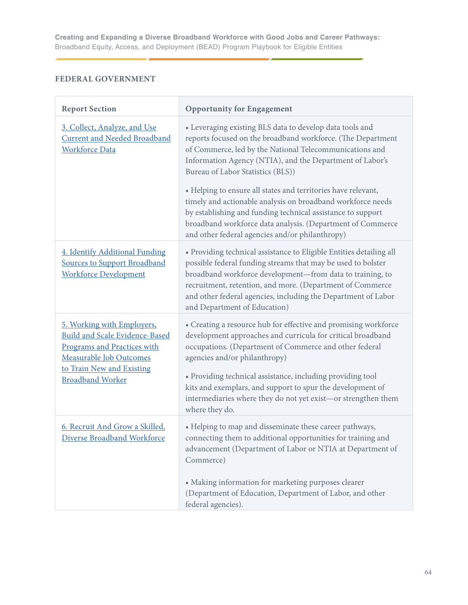## **FEDERAL GOVERNMENT**

| <b>Report Section</b>                                                                                                                                                                        | <b>Opportunity for Engagement</b>                                                                                                                                                                                                                                                                                                                                                                                                        |
|----------------------------------------------------------------------------------------------------------------------------------------------------------------------------------------------|------------------------------------------------------------------------------------------------------------------------------------------------------------------------------------------------------------------------------------------------------------------------------------------------------------------------------------------------------------------------------------------------------------------------------------------|
| 3. Collect, Analyze, and Use<br><b>Current and Needed Broadband</b><br><b>Workforce Data</b>                                                                                                 | • Leveraging existing BLS data to develop data tools and<br>reports focused on the broadband workforce. (The Department<br>of Commerce, led by the National Telecommunications and<br>Information Agency (NTIA), and the Department of Labor's<br>Bureau of Labor Statistics (BLS))                                                                                                                                                      |
|                                                                                                                                                                                              | • Helping to ensure all states and territories have relevant,<br>timely and actionable analysis on broadband workforce needs<br>by establishing and funding technical assistance to support<br>broadband workforce data analysis. (Department of Commerce<br>and other federal agencies and/or philanthropy)                                                                                                                             |
| 4. Identify Additional Funding<br><b>Sources to Support Broadband</b><br><b>Workforce Development</b>                                                                                        | • Providing technical assistance to Eligible Entities detailing all<br>possible federal funding streams that may be used to bolster<br>broadband workforce development-from data to training, to<br>recruitment, retention, and more. (Department of Commerce<br>and other federal agencies, including the Department of Labor<br>and Department of Education)                                                                           |
| 5. Working with Employers,<br><b>Build and Scale Evidence-Based</b><br><b>Programs and Practices with</b><br>Measurable Job Outcomes<br>to Train New and Existing<br><b>Broadband Worker</b> | • Creating a resource hub for effective and promising workforce<br>development approaches and curricula for critical broadband<br>occupations. (Department of Commerce and other federal<br>agencies and/or philanthropy)<br>• Providing technical assistance, including providing tool<br>kits and exemplars, and support to spur the development of<br>intermediaries where they do not yet exist-or strengthen them<br>where they do. |
| 6. Recruit And Grow a Skilled,<br>Diverse Broadband Workforce                                                                                                                                | • Helping to map and disseminate these career pathways,<br>connecting them to additional opportunities for training and<br>advancement (Department of Labor or NTIA at Department of<br>Commerce)<br>• Making information for marketing purposes clearer<br>(Department of Education, Department of Labor, and other<br>federal agencies).                                                                                               |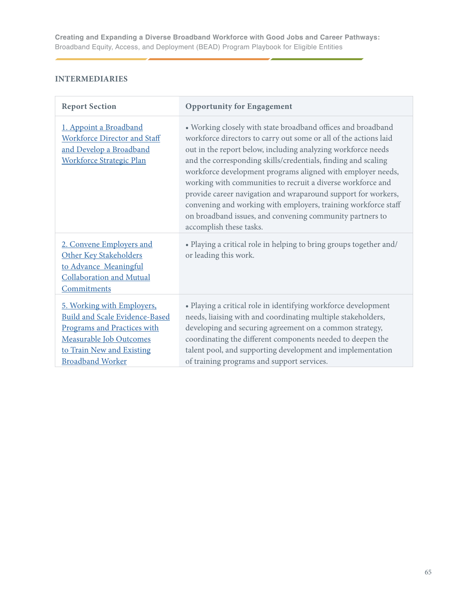## **INTERMEDIARIES**

| <b>Report Section</b>                                                                                                                                                                        | <b>Opportunity for Engagement</b>                                                                                                                                                                                                                                                                                                                                                                                                                                                                                                                                                                                         |
|----------------------------------------------------------------------------------------------------------------------------------------------------------------------------------------------|---------------------------------------------------------------------------------------------------------------------------------------------------------------------------------------------------------------------------------------------------------------------------------------------------------------------------------------------------------------------------------------------------------------------------------------------------------------------------------------------------------------------------------------------------------------------------------------------------------------------------|
| 1. Appoint a Broadband<br><b>Workforce Director and Staff</b><br>and Develop a Broadband<br><b>Workforce Strategic Plan</b>                                                                  | • Working closely with state broadband offices and broadband<br>workforce directors to carry out some or all of the actions laid<br>out in the report below, including analyzing workforce needs<br>and the corresponding skills/credentials, finding and scaling<br>workforce development programs aligned with employer needs,<br>working with communities to recruit a diverse workforce and<br>provide career navigation and wraparound support for workers,<br>convening and working with employers, training workforce staff<br>on broadband issues, and convening community partners to<br>accomplish these tasks. |
| 2. Convene Employers and<br>Other Key Stakeholders<br>to Advance Meaningful<br>Collaboration and Mutual<br>Commitments                                                                       | • Playing a critical role in helping to bring groups together and/<br>or leading this work.                                                                                                                                                                                                                                                                                                                                                                                                                                                                                                                               |
| 5. Working with Employers,<br><b>Build and Scale Evidence-Based</b><br><b>Programs and Practices with</b><br>Measurable Job Outcomes<br>to Train New and Existing<br><b>Broadband Worker</b> | • Playing a critical role in identifying workforce development<br>needs, liaising with and coordinating multiple stakeholders,<br>developing and securing agreement on a common strategy,<br>coordinating the different components needed to deepen the<br>talent pool, and supporting development and implementation<br>of training programs and support services.                                                                                                                                                                                                                                                       |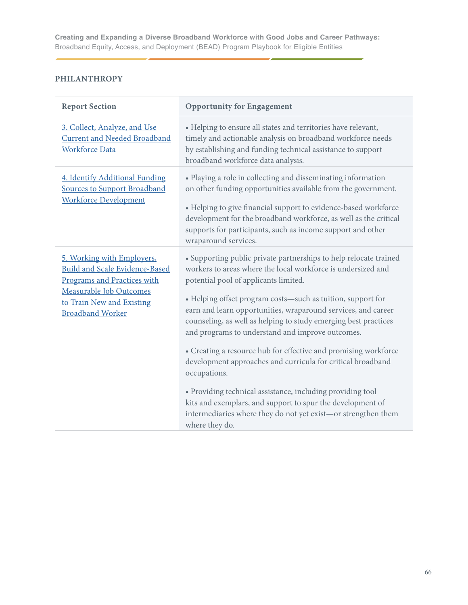# **PHILANTHROPY**

| <b>Report Section</b>                                                                                                                                                                        | <b>Opportunity for Engagement</b>                                                                                                                                                                                                                                                                                                                                                                                                                                                                                                                                                                                                                                                                                                                                                                  |
|----------------------------------------------------------------------------------------------------------------------------------------------------------------------------------------------|----------------------------------------------------------------------------------------------------------------------------------------------------------------------------------------------------------------------------------------------------------------------------------------------------------------------------------------------------------------------------------------------------------------------------------------------------------------------------------------------------------------------------------------------------------------------------------------------------------------------------------------------------------------------------------------------------------------------------------------------------------------------------------------------------|
| 3. Collect, Analyze, and Use<br><b>Current and Needed Broadband</b><br><b>Workforce Data</b>                                                                                                 | • Helping to ensure all states and territories have relevant,<br>timely and actionable analysis on broadband workforce needs<br>by establishing and funding technical assistance to support<br>broadband workforce data analysis.                                                                                                                                                                                                                                                                                                                                                                                                                                                                                                                                                                  |
| 4. Identify Additional Funding<br><b>Sources to Support Broadband</b><br><b>Workforce Development</b>                                                                                        | • Playing a role in collecting and disseminating information<br>on other funding opportunities available from the government.<br>• Helping to give financial support to evidence-based workforce<br>development for the broadband workforce, as well as the critical<br>supports for participants, such as income support and other<br>wraparound services.                                                                                                                                                                                                                                                                                                                                                                                                                                        |
| 5. Working with Employers,<br><b>Build and Scale Evidence-Based</b><br><b>Programs and Practices with</b><br>Measurable Job Outcomes<br>to Train New and Existing<br><b>Broadband Worker</b> | • Supporting public private partnerships to help relocate trained<br>workers to areas where the local workforce is undersized and<br>potential pool of applicants limited.<br>• Helping offset program costs-such as tuition, support for<br>earn and learn opportunities, wraparound services, and career<br>counseling, as well as helping to study emerging best practices<br>and programs to understand and improve outcomes.<br>• Creating a resource hub for effective and promising workforce<br>development approaches and curricula for critical broadband<br>occupations.<br>• Providing technical assistance, including providing tool<br>kits and exemplars, and support to spur the development of<br>intermediaries where they do not yet exist-or strengthen them<br>where they do. |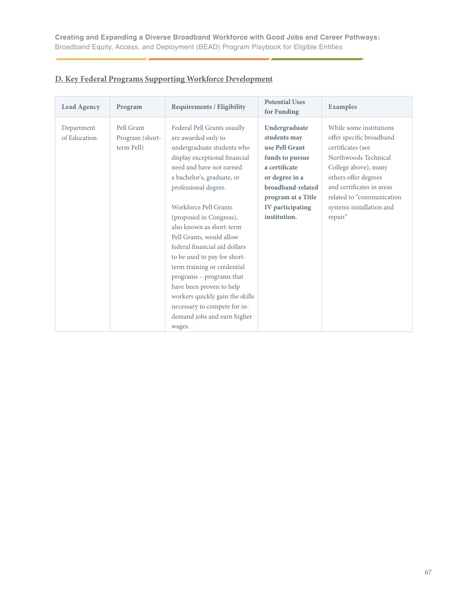| <b>Lead Agency</b>         | Program                                     | <b>Requirements / Eligibility</b>                                                                                                                                                                                                                                                                                                                                                                                                                                                                                                                                                   | <b>Potential Uses</b><br>for Funding                                                                                                                                                 | Examples                                                                                                                                                                                                                                           |
|----------------------------|---------------------------------------------|-------------------------------------------------------------------------------------------------------------------------------------------------------------------------------------------------------------------------------------------------------------------------------------------------------------------------------------------------------------------------------------------------------------------------------------------------------------------------------------------------------------------------------------------------------------------------------------|--------------------------------------------------------------------------------------------------------------------------------------------------------------------------------------|----------------------------------------------------------------------------------------------------------------------------------------------------------------------------------------------------------------------------------------------------|
| Department<br>of Education | Pell Grant<br>Program (short-<br>term Pell) | Federal Pell Grants usually<br>are awarded only to<br>undergraduate students who<br>display exceptional financial<br>need and have not earned<br>a bachelor's, graduate, or<br>professional degree.<br>Workforce Pell Grants<br>(proposed in Congress),<br>also known as short-term<br>Pell Grants, would allow<br>federal financial aid dollars<br>to be used to pay for short-<br>term training or credential<br>programs - programs that<br>have been proven to help<br>workers quickly gain the skills<br>necessary to compete for in-<br>demand jobs and earn higher<br>wages. | Undergraduate<br>students may<br>use Pell Grant<br>funds to pursue<br>a certificate<br>or degree in a<br>broadband-related<br>program at a Title<br>IV participating<br>institution. | While some institutions<br>offer specific broadband<br>certificates (see<br>Northwoods Technical<br>College above), many<br>others offer degrees<br>and certificates in areas<br>related to "communication<br>systems installation and<br>repair." |

# **D. Key Federal Programs Supporting Workforce Development**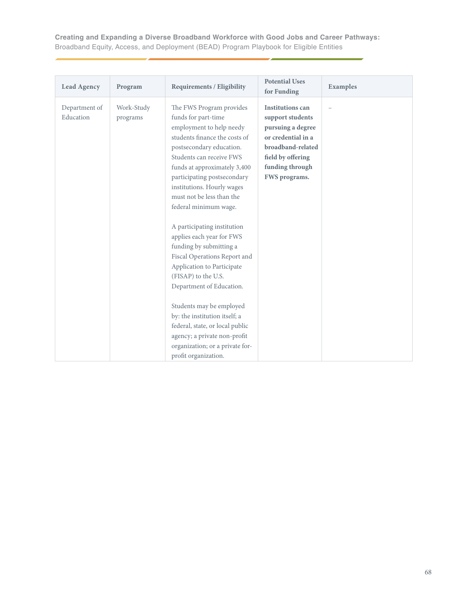| <b>Lead Agency</b>         | Program                | <b>Requirements / Eligibility</b>                                                                                                                                                                                                                                                                                                                                                                                                                                                                                                                                                                                                                                                                                          | <b>Potential Uses</b><br>for Funding                                                                                                                                 | Examples |
|----------------------------|------------------------|----------------------------------------------------------------------------------------------------------------------------------------------------------------------------------------------------------------------------------------------------------------------------------------------------------------------------------------------------------------------------------------------------------------------------------------------------------------------------------------------------------------------------------------------------------------------------------------------------------------------------------------------------------------------------------------------------------------------------|----------------------------------------------------------------------------------------------------------------------------------------------------------------------|----------|
| Department of<br>Education | Work-Study<br>programs | The FWS Program provides<br>funds for part-time<br>employment to help needy<br>students finance the costs of<br>postsecondary education.<br>Students can receive FWS<br>funds at approximately 3,400<br>participating postsecondary<br>institutions. Hourly wages<br>must not be less than the<br>federal minimum wage.<br>A participating institution<br>applies each year for FWS<br>funding by submitting a<br>Fiscal Operations Report and<br>Application to Participate<br>(FISAP) to the U.S.<br>Department of Education.<br>Students may be employed<br>by: the institution itself; a<br>federal, state, or local public<br>agency; a private non-profit<br>organization; or a private for-<br>profit organization. | <b>Institutions can</b><br>support students<br>pursuing a degree<br>or credential in a<br>broadband-related<br>field by offering<br>funding through<br>FWS programs. |          |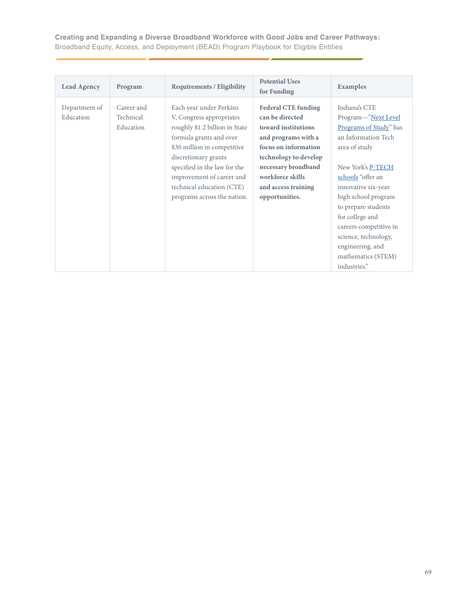| <b>Lead Agency</b>         | Program                              | <b>Requirements / Eligibility</b>                                                                                                                                                                                                                                                                | <b>Potential Uses</b><br>for Funding                                                                                                                                                                                             | <b>Examples</b>                                                                                                                                                                                                                                                                                                                                      |
|----------------------------|--------------------------------------|--------------------------------------------------------------------------------------------------------------------------------------------------------------------------------------------------------------------------------------------------------------------------------------------------|----------------------------------------------------------------------------------------------------------------------------------------------------------------------------------------------------------------------------------|------------------------------------------------------------------------------------------------------------------------------------------------------------------------------------------------------------------------------------------------------------------------------------------------------------------------------------------------------|
| Department of<br>Education | Career and<br>Technical<br>Education | Each year under Perkins<br>V, Congress appropriates<br>roughly \$1.2 billion in State<br>formula grants and over<br>\$30 million in competitive<br>discretionary grants<br>specified in the law for the<br>improvement of career and<br>technical education (CTE)<br>programs across the nation. | <b>Federal CTE funding</b><br>can be directed<br>toward institutions<br>and programs with a<br>focus on information<br>technology to develop<br>necessary broadband<br>workforce skills<br>and access training<br>opportunities. | Indiana's CTE<br>Program-"Next Level<br>Programs of Study" has<br>an Information Tech<br>area of study<br>New York's P-TECH<br>schools "offer an<br>innovative six-year<br>high school program<br>to prepare students<br>for college and<br>careers competitive in<br>science, technology,<br>engineering, and<br>mathematics (STEM)<br>industries." |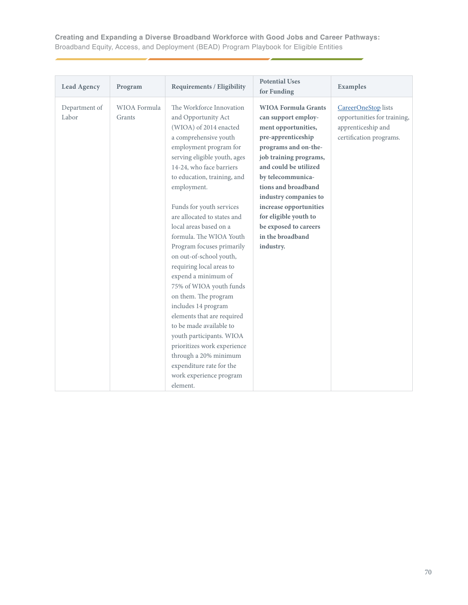| <b>Lead Agency</b>     | Program                | Requirements / Eligibility                                                                                                                                                                                                                                                                                                                                                                                                                                                                                                                                                                                                                                                                                                                                  | <b>Potential Uses</b><br>for Funding                                                                                                                                                                                                                                                                                                                        | <b>Examples</b>                                                                                     |
|------------------------|------------------------|-------------------------------------------------------------------------------------------------------------------------------------------------------------------------------------------------------------------------------------------------------------------------------------------------------------------------------------------------------------------------------------------------------------------------------------------------------------------------------------------------------------------------------------------------------------------------------------------------------------------------------------------------------------------------------------------------------------------------------------------------------------|-------------------------------------------------------------------------------------------------------------------------------------------------------------------------------------------------------------------------------------------------------------------------------------------------------------------------------------------------------------|-----------------------------------------------------------------------------------------------------|
| Department of<br>Labor | WIOA Formula<br>Grants | The Workforce Innovation<br>and Opportunity Act<br>(WIOA) of 2014 enacted<br>a comprehensive youth<br>employment program for<br>serving eligible youth, ages<br>14-24, who face barriers<br>to education, training, and<br>employment.<br>Funds for youth services<br>are allocated to states and<br>local areas based on a<br>formula. The WIOA Youth<br>Program focuses primarily<br>on out-of-school youth,<br>requiring local areas to<br>expend a minimum of<br>75% of WIOA youth funds<br>on them. The program<br>includes 14 program<br>elements that are required<br>to be made available to<br>youth participants. WIOA<br>prioritizes work experience<br>through a 20% minimum<br>expenditure rate for the<br>work experience program<br>element. | <b>WIOA Formula Grants</b><br>can support employ-<br>ment opportunities,<br>pre-apprenticeship<br>programs and on-the-<br>job training programs,<br>and could be utilized<br>by telecommunica-<br>tions and broadband<br>industry companies to<br>increase opportunities<br>for eligible youth to<br>be exposed to careers<br>in the broadband<br>industry. | CareerOneStop lists<br>opportunities for training,<br>apprenticeship and<br>certification programs. |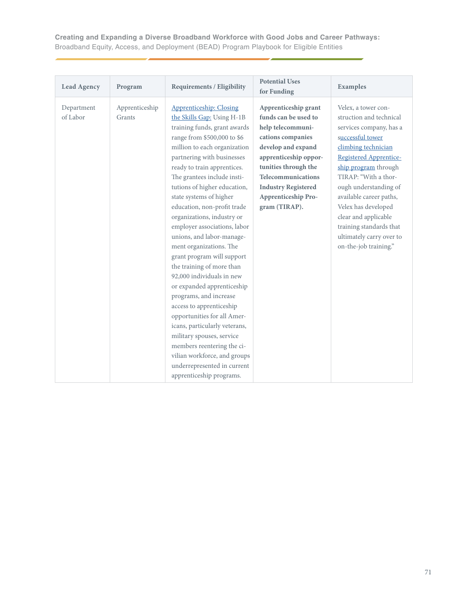| <b>Lead Agency</b>     | Program                  | <b>Requirements / Eligibility</b>                                                                                                                                                                                                                                                                                                                                                                                                                                                                                                                                                                                                                                                                                                                                                                                                                                         | <b>Potential Uses</b><br>for Funding                                                                                                                                                                                                                             | Examples                                                                                                                                                                                                                                                                                                                                                                          |
|------------------------|--------------------------|---------------------------------------------------------------------------------------------------------------------------------------------------------------------------------------------------------------------------------------------------------------------------------------------------------------------------------------------------------------------------------------------------------------------------------------------------------------------------------------------------------------------------------------------------------------------------------------------------------------------------------------------------------------------------------------------------------------------------------------------------------------------------------------------------------------------------------------------------------------------------|------------------------------------------------------------------------------------------------------------------------------------------------------------------------------------------------------------------------------------------------------------------|-----------------------------------------------------------------------------------------------------------------------------------------------------------------------------------------------------------------------------------------------------------------------------------------------------------------------------------------------------------------------------------|
| Department<br>of Labor | Apprenticeship<br>Grants | <b>Apprenticeship: Closing</b><br>the Skills Gap: Using H-1B<br>training funds, grant awards<br>range from \$500,000 to \$6<br>million to each organization<br>partnering with businesses<br>ready to train apprentices.<br>The grantees include insti-<br>tutions of higher education,<br>state systems of higher<br>education, non-profit trade<br>organizations, industry or<br>employer associations, labor<br>unions, and labor-manage-<br>ment organizations. The<br>grant program will support<br>the training of more than<br>92,000 individuals in new<br>or expanded apprenticeship<br>programs, and increase<br>access to apprenticeship<br>opportunities for all Amer-<br>icans, particularly veterans,<br>military spouses, service<br>members reentering the ci-<br>vilian workforce, and groups<br>underrepresented in current<br>apprenticeship programs. | Apprenticeship grant<br>funds can be used to<br>help telecommuni-<br>cations companies<br>develop and expand<br>apprenticeship oppor-<br>tunities through the<br>Telecommunications<br><b>Industry Registered</b><br><b>Apprenticeship Pro-</b><br>gram (TIRAP). | Velex, a tower con-<br>struction and technical<br>services company, has a<br>successful tower<br>climbing technician<br>Registered Apprentice-<br>ship program through<br>TIRAP: "With a thor-<br>ough understanding of<br>available career paths,<br>Velex has developed<br>clear and applicable<br>training standards that<br>ultimately carry over to<br>on-the-job training." |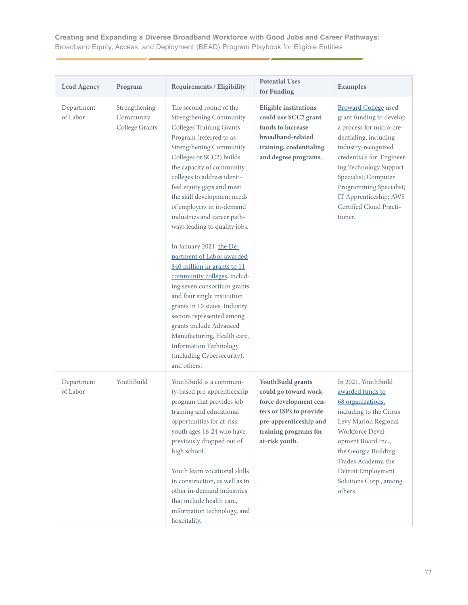| <b>Lead Agency</b>     | Program                                      | <b>Requirements / Eligibility</b>                                                                                                                                                                                                                                                                                                                                                                                                                                                                                                                                                                                                                                                                                                                                                               | <b>Potential Uses</b><br>for Funding                                                                                                                                 | <b>Examples</b>                                                                                                                                                                                                                                                                                                |
|------------------------|----------------------------------------------|-------------------------------------------------------------------------------------------------------------------------------------------------------------------------------------------------------------------------------------------------------------------------------------------------------------------------------------------------------------------------------------------------------------------------------------------------------------------------------------------------------------------------------------------------------------------------------------------------------------------------------------------------------------------------------------------------------------------------------------------------------------------------------------------------|----------------------------------------------------------------------------------------------------------------------------------------------------------------------|----------------------------------------------------------------------------------------------------------------------------------------------------------------------------------------------------------------------------------------------------------------------------------------------------------------|
| Department<br>of Labor | Strengthening<br>Community<br>College Grants | The second round of the<br><b>Strengthening Community</b><br><b>Colleges Training Grants</b><br>Program (referred to as<br>Strengthening Community<br>Colleges or SCC2) builds<br>the capacity of community<br>colleges to address identi-<br>fied equity gaps and meet<br>the skill development needs<br>of employers in in-demand<br>industries and career path-<br>ways leading to quality jobs.<br>In January 2021, the De-<br>partment of Labor awarded<br>\$40 million in grants to 11<br>community colleges, includ-<br>ing seven consortium grants<br>and four single institution<br>grants in 10 states. Industry<br>sectors represented among<br>grants include Advanced<br>Manufacturing, Health care,<br><b>Information Technology</b><br>(including Cybersecurity),<br>and others. | <b>Eligible institutions</b><br>could use SCC2 grant<br>funds to increase<br>broadband-related<br>training, credentialing<br>and degree programs.                    | <b>Broward College</b> used<br>grant funding to develop<br>a process for micro-cre-<br>dentialing, including<br>industry-recognized<br>credentials for: Engineer-<br>ing Technology Support<br>Specialist; Computer<br>Programming Specialist;<br>IT Apprenticeship; AWS<br>Certified Cloud Practi-<br>tioner. |
| Department<br>of Labor | YouthBuild                                   | YouthBuild is a communi-<br>ty-based pre-apprenticeship<br>program that provides job<br>training and educational<br>opportunities for at-risk<br>youth ages 16-24 who have<br>previously dropped out of<br>high school.<br>Youth learn vocational skills<br>in construction, as well as in<br>other in-demand industries<br>that include health care,<br>information technology, and<br>hospitality.                                                                                                                                                                                                                                                                                                                                                                                            | YouthBuild grants<br>could go toward work-<br>force development cen-<br>ters or ISPs to provide<br>pre-apprenticeship and<br>training programs for<br>at-risk youth. | In 2021, YouthBuild<br>awarded funds to<br>68 organizations,<br>including to the Citrus<br>Levy Marion Regional<br>Workforce Devel-<br>opment Board Inc.,<br>the Georgia Building<br>Trades Academy, the<br>Detroit Employment<br>Solutions Corp., among<br>others.                                            |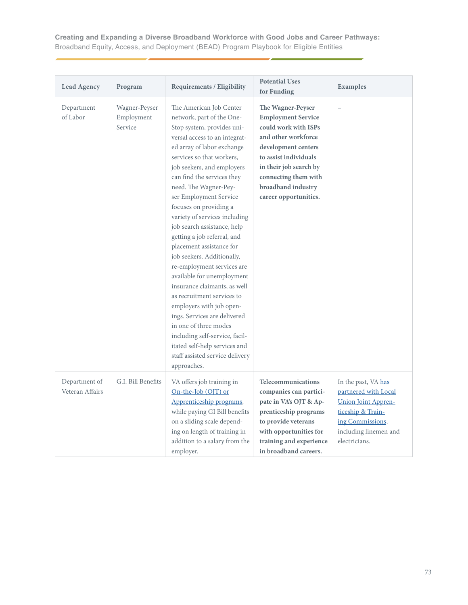| <b>Lead Agency</b>               | Program                                | <b>Requirements / Eligibility</b>                                                                                                                                                                                                                                                                                                                                                                                                                                                                                                                                                                                                                                                                                                                                                                                    | <b>Potential Uses</b><br>for Funding                                                                                                                                                                                                           | Examples                                                                                                                                                     |
|----------------------------------|----------------------------------------|----------------------------------------------------------------------------------------------------------------------------------------------------------------------------------------------------------------------------------------------------------------------------------------------------------------------------------------------------------------------------------------------------------------------------------------------------------------------------------------------------------------------------------------------------------------------------------------------------------------------------------------------------------------------------------------------------------------------------------------------------------------------------------------------------------------------|------------------------------------------------------------------------------------------------------------------------------------------------------------------------------------------------------------------------------------------------|--------------------------------------------------------------------------------------------------------------------------------------------------------------|
| Department<br>of Labor           | Wagner-Peyser<br>Employment<br>Service | The American Job Center<br>network, part of the One-<br>Stop system, provides uni-<br>versal access to an integrat-<br>ed array of labor exchange<br>services so that workers,<br>job seekers, and employers<br>can find the services they<br>need. The Wagner-Pey-<br>ser Employment Service<br>focuses on providing a<br>variety of services including<br>job search assistance, help<br>getting a job referral, and<br>placement assistance for<br>job seekers. Additionally,<br>re-employment services are<br>available for unemployment<br>insurance claimants, as well<br>as recruitment services to<br>employers with job open-<br>ings. Services are delivered<br>in one of three modes<br>including self-service, facil-<br>itated self-help services and<br>staff assisted service delivery<br>approaches. | The Wagner-Peyser<br><b>Employment Service</b><br>could work with ISPs<br>and other workforce<br>development centers<br>to assist individuals<br>in their job search by<br>connecting them with<br>broadband industry<br>career opportunities. |                                                                                                                                                              |
| Department of<br>Veteran Affairs | G.I. Bill Benefits                     | VA offers job training in<br>On-the-Job (OJT) or<br>Apprenticeship programs,<br>while paying GI Bill benefits<br>on a sliding scale depend-<br>ing on length of training in<br>addition to a salary from the<br>employer.                                                                                                                                                                                                                                                                                                                                                                                                                                                                                                                                                                                            | Telecommunications<br>companies can partici-<br>pate in VA's OJT & Ap-<br>prenticeship programs<br>to provide veterans<br>with opportunities for<br>training and experience<br>in broadband careers.                                           | In the past, VA has<br>partnered with Local<br><b>Union Joint Appren-</b><br>ticeship & Train-<br>ing Commissions,<br>including linemen and<br>electricians. |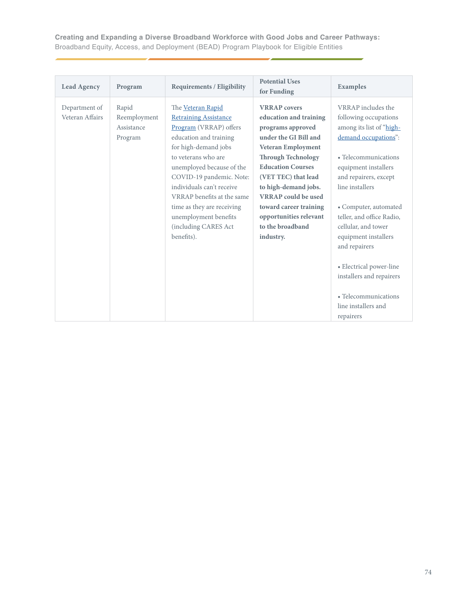| <b>Lead Agency</b>               | Program                                        | <b>Requirements / Eligibility</b>                                                                                                                                                                                                                                                                                                                                     | <b>Potential Uses</b><br>for Funding                                                                                                                                                                                                                                                                                                         | <b>Examples</b>                                                                                                                                                                                                                                                                                                                                                                                                                      |
|----------------------------------|------------------------------------------------|-----------------------------------------------------------------------------------------------------------------------------------------------------------------------------------------------------------------------------------------------------------------------------------------------------------------------------------------------------------------------|----------------------------------------------------------------------------------------------------------------------------------------------------------------------------------------------------------------------------------------------------------------------------------------------------------------------------------------------|--------------------------------------------------------------------------------------------------------------------------------------------------------------------------------------------------------------------------------------------------------------------------------------------------------------------------------------------------------------------------------------------------------------------------------------|
| Department of<br>Veteran Affairs | Rapid<br>Reemployment<br>Assistance<br>Program | The Veteran Rapid<br><b>Retraining Assistance</b><br>Program (VRRAP) offers<br>education and training<br>for high-demand jobs<br>to veterans who are<br>unemployed because of the<br>COVID-19 pandemic. Note:<br>individuals can't receive<br>VRRAP benefits at the same<br>time as they are receiving<br>unemployment benefits<br>(including CARES Act<br>benefits). | <b>VRRAP</b> covers<br>education and training<br>programs approved<br>under the GI Bill and<br>Veteran Employment<br><b>Through Technology</b><br><b>Education Courses</b><br>(VET TEC) that lead<br>to high-demand jobs.<br><b>VRRAP</b> could be used<br>toward career training<br>opportunities relevant<br>to the broadband<br>industry. | VRRAP includes the<br>following occupations<br>among its list of "high-<br>demand occupations":<br>• Telecommunications<br>equipment installers<br>and repairers, except<br>line installers<br>• Computer, automated<br>teller, and office Radio,<br>cellular, and tower<br>equipment installers<br>and repairers<br>• Electrical power-line<br>installers and repairers<br>• Telecommunications<br>line installers and<br>repairers |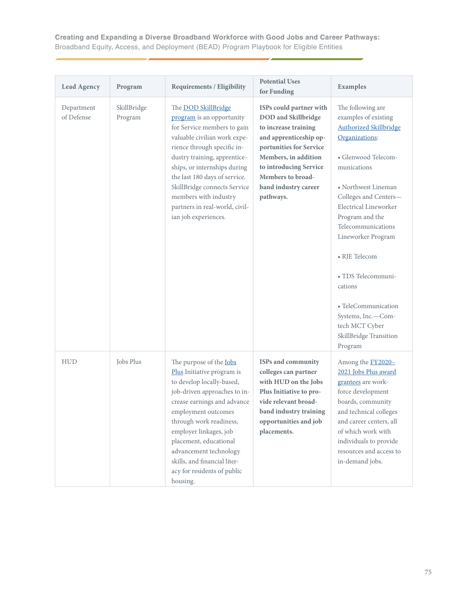| <b>Lead Agency</b>       | Program                | <b>Requirements / Eligibility</b>                                                                                                                                                                                                                                                                                                                                         | <b>Potential Uses</b><br>for Funding                                                                                                                                                                                                           | Examples                                                                                                                                                                                                                                                                                                                                                                                                                         |
|--------------------------|------------------------|---------------------------------------------------------------------------------------------------------------------------------------------------------------------------------------------------------------------------------------------------------------------------------------------------------------------------------------------------------------------------|------------------------------------------------------------------------------------------------------------------------------------------------------------------------------------------------------------------------------------------------|----------------------------------------------------------------------------------------------------------------------------------------------------------------------------------------------------------------------------------------------------------------------------------------------------------------------------------------------------------------------------------------------------------------------------------|
| Department<br>of Defense | SkillBridge<br>Program | The <b>DOD</b> SkillBridge<br>program is an opportunity<br>for Service members to gain<br>valuable civilian work expe-<br>rience through specific in-<br>dustry training, apprentice-<br>ships, or internships during<br>the last 180 days of service.<br>SkillBridge connects Service<br>members with industry<br>partners in real-world, civil-<br>ian job experiences. | ISPs could partner with<br><b>DOD</b> and Skillbridge<br>to increase training<br>and apprenticeship op-<br>portunities for Service<br>Members, in addition<br>to introducing Service<br>Members to broad-<br>band industry career<br>pathways. | The following are<br>examples of existing<br><b>Authorized Skillbridge</b><br>Organizations:<br>· Glenwood Telecom-<br>munications<br>• Northwest Lineman<br>Colleges and Centers-<br>Electrical Lineworker<br>Program and the<br>Telecommunications<br>Lineworker Program<br>• RJE Telecom<br>· TDS Telecommuni-<br>cations<br>• TeleCommunication<br>Systems, Inc.-Com-<br>tech MCT Cyber<br>SkillBridge Transition<br>Program |
| <b>HUD</b>               | Jobs Plus              | The purpose of the <b>Jobs</b><br>Plus Initiative program is<br>to develop locally-based,<br>job-driven approaches to in-<br>crease earnings and advance<br>employment outcomes<br>through work readiness,<br>employer linkages, job<br>placement, educational<br>advancement technology<br>skills, and financial liter-<br>acy for residents of public<br>housing.       | ISPs and community<br>colleges can partner<br>with HUD on the Jobs<br>Plus Initiative to pro-<br>vide relevant broad-<br>band industry training<br>opportunities and job<br>placements.                                                        | Among the <b>FY2020-</b><br>2021 Jobs Plus award<br>grantees are work-<br>force development<br>boards, community<br>and technical colleges<br>and career centers, all<br>of which work with<br>individuals to provide<br>resources and access to<br>in-demand jobs.                                                                                                                                                              |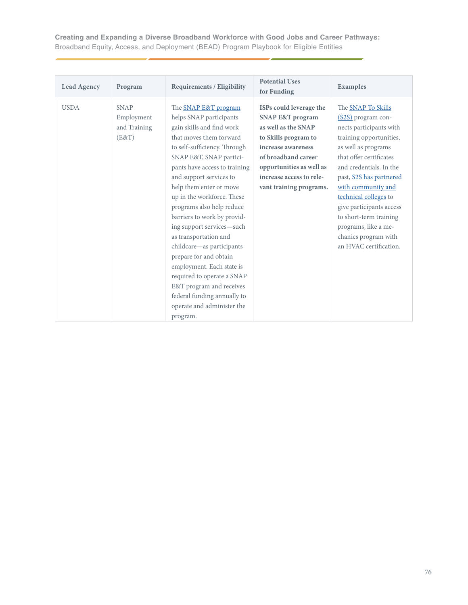| <b>Lead Agency</b> | Program                                            | <b>Requirements / Eligibility</b>                                                                                                                                                                                                                                                                                                                                                                                                                                                                                                                                                                                                | <b>Potential Uses</b><br>for Funding                                                                                                                                                                                                  | Examples                                                                                                                                                                                                                                                                                                                                                                              |
|--------------------|----------------------------------------------------|----------------------------------------------------------------------------------------------------------------------------------------------------------------------------------------------------------------------------------------------------------------------------------------------------------------------------------------------------------------------------------------------------------------------------------------------------------------------------------------------------------------------------------------------------------------------------------------------------------------------------------|---------------------------------------------------------------------------------------------------------------------------------------------------------------------------------------------------------------------------------------|---------------------------------------------------------------------------------------------------------------------------------------------------------------------------------------------------------------------------------------------------------------------------------------------------------------------------------------------------------------------------------------|
| <b>USDA</b>        | <b>SNAP</b><br>Employment<br>and Training<br>(E&T) | The SNAP E&T program<br>helps SNAP participants<br>gain skills and find work<br>that moves them forward<br>to self-sufficiency. Through<br>SNAP E&T, SNAP partici-<br>pants have access to training<br>and support services to<br>help them enter or move<br>up in the workforce. These<br>programs also help reduce<br>barriers to work by provid-<br>ing support services-such<br>as transportation and<br>childcare-as participants<br>prepare for and obtain<br>employment. Each state is<br>required to operate a SNAP<br>E&T program and receives<br>federal funding annually to<br>operate and administer the<br>program. | ISPs could leverage the<br><b>SNAP E&amp;T program</b><br>as well as the SNAP<br>to Skills program to<br>increase awareness<br>of broadband career<br>opportunities as well as<br>increase access to rele-<br>vant training programs. | The SNAP To Skills<br>(S2S) program con-<br>nects participants with<br>training opportunities,<br>as well as programs<br>that offer certificates<br>and credentials. In the<br>past, S2S has partnered<br>with community and<br>technical colleges to<br>give participants access<br>to short-term training<br>programs, like a me-<br>chanics program with<br>an HVAC certification. |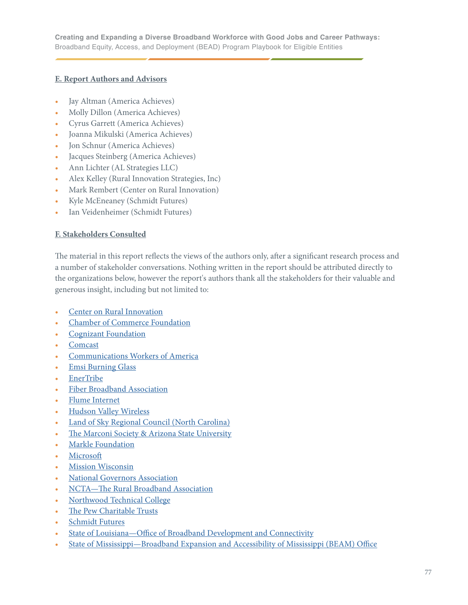## **E. Report Authors and Advisors**

- Jay Altman (America Achieves)
- Molly Dillon (America Achieves)
- Cyrus Garrett (America Achieves)
- Joanna Mikulski (America Achieves)
- Jon Schnur (America Achieves)
- Jacques Steinberg (America Achieves)
- Ann Lichter (AL Strategies LLC)
- Alex Kelley (Rural Innovation Strategies, Inc)
- Mark Rembert (Center on Rural Innovation)
- Kyle McEneaney (Schmidt Futures)
- Ian Veidenheimer (Schmidt Futures)

## **F. Stakeholders Consulted**

The material in this report reflects the views of the authors only, after a significant research process and a number of stakeholder conversations. Nothing written in the report should be attributed directly to the organizations below, however the report's authors thank all the stakeholders for their valuable and generous insight, including but not limited to:

- [Center on Rural Innovation](https://ruralinnovation.us)
- [Chamber of Commerce Foundation](https://www.uschamberfoundation.org)
- [Cognizant Foundation](https://www.cognizantusfoundation.org)
- **[Comcast](https://www.xfinity.com/overview)**
- [Communications Workers of America](https://cwa-union.org)
- [Emsi Burning Glass](https://www.economicmodeling.com)
- [EnerTribe](https://www.enertribe.com)
- [Fiber Broadband Association](https://www.fiberbroadband.org)
- [Flume Internet](https://www.flumeinternet.com)
- [Hudson Valley Wireless](https://www.hvwisp.com)
- [Land of Sky Regional Council \(North Carolina\)](http://www.landofsky.org)
- [The Marconi Society & Arizona State University](https://www.marconisociety.org)
- [Markle Foundation](https://markle.org)
- **[Microsoft](https://www.microsoft.com/en-us/?ql=2)**
- **[Mission Wisconsin](https://mission-wisconsin.com)**
- [National Governors Association](https://www.nga.org)
- [NCTA—The Rural Broadband Association](https://www.ntca.org)
- [Northwood Technical College](https://www.northwoodtech.edu)
- [The Pew Charitable Trusts](https://www.pewtrusts.org/en/)
- [Schmidt Futures](https://www.schmidtfutures.com)
- State of Louisiana-Office of Broadband Development and Connectivity
- State of Mississippi-Broadband Expansion and Accessibility of Mississippi (BEAM) Office